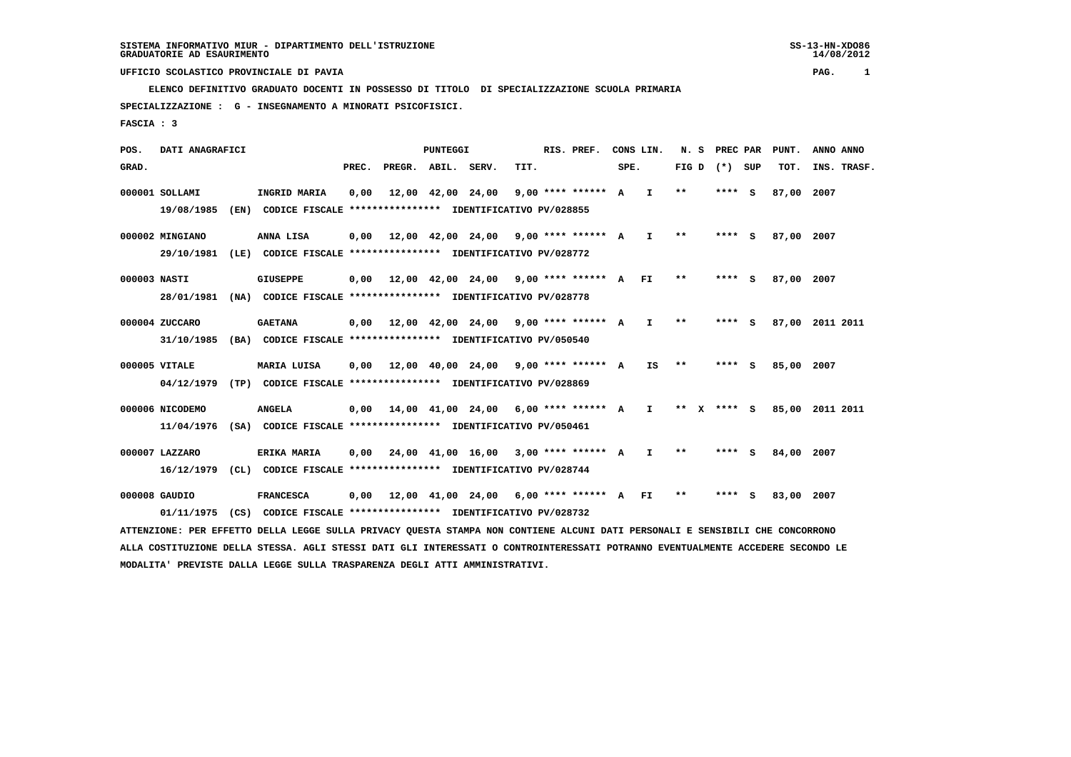**ELENCO DEFINITIVO GRADUATO DOCENTI IN POSSESSO DI TITOLO DI SPECIALIZZAZIONE SCUOLA PRIMARIA SPECIALIZZAZIONE : G - INSEGNAMENTO A MINORATI PSICOFISICI.**

 **FASCIA : 3**

 **POS. DATI ANAGRAFICI PUNTEGGI RIS. PREF. CONS LIN. N. S PREC PAR PUNT. ANNO ANNO**GRAD. **BRAD. PREC. PREGR. ABIL. SERV. TIT.** SPE. FIG D (\*) SUP TOT. INS. TRASF.  **000001 SOLLAMI INGRID MARIA 0,00 12,00 42,00 24,00 9,00 \*\*\*\* \*\*\*\*\*\* A I \*\* \*\*\*\* S 87,00 2007 19/08/1985 (EN) CODICE FISCALE \*\*\*\*\*\*\*\*\*\*\*\*\*\*\*\* IDENTIFICATIVO PV/028855 000002 MINGIANO ANNA LISA 0,00 12,00 42,00 24,00 9,00 \*\*\*\* \*\*\*\*\*\* A I \*\* \*\*\*\* S 87,00 2007 29/10/1981 (LE) CODICE FISCALE \*\*\*\*\*\*\*\*\*\*\*\*\*\*\*\* IDENTIFICATIVO PV/028772**

- **000003 NASTI GIUSEPPE 0,00 12,00 42,00 24,00 9,00 \*\*\*\* \*\*\*\*\*\* A FI \*\* \*\*\*\* S 87,00 2007 28/01/1981 (NA) CODICE FISCALE \*\*\*\*\*\*\*\*\*\*\*\*\*\*\*\* IDENTIFICATIVO PV/028778**
- **000004 ZUCCARO GAETANA 0,00 12,00 42,00 24,00 9,00 \*\*\*\* \*\*\*\*\*\* A I \*\* \*\*\*\* S 87,00 2011 2011 31/10/1985 (BA) CODICE FISCALE \*\*\*\*\*\*\*\*\*\*\*\*\*\*\*\* IDENTIFICATIVO PV/050540**
- **000005 VITALE MARIA LUISA 0,00 12,00 40,00 24,00 9,00 \*\*\*\* \*\*\*\*\*\* A IS \*\* \*\*\*\* S 85,00 2007 04/12/1979 (TP) CODICE FISCALE \*\*\*\*\*\*\*\*\*\*\*\*\*\*\*\* IDENTIFICATIVO PV/028869**
- **000006 NICODEMO ANGELA 0,00 14,00 41,00 24,00 6,00 \*\*\*\* \*\*\*\*\*\* A I \*\* X \*\*\*\* S 85,00 2011 2011 11/04/1976 (SA) CODICE FISCALE \*\*\*\*\*\*\*\*\*\*\*\*\*\*\*\* IDENTIFICATIVO PV/050461**
- **000007 LAZZARO ERIKA MARIA 0,00 24,00 41,00 16,00 3,00 \*\*\*\* \*\*\*\*\*\* A I \*\* \*\*\*\* S 84,00 2007 16/12/1979 (CL) CODICE FISCALE \*\*\*\*\*\*\*\*\*\*\*\*\*\*\*\* IDENTIFICATIVO PV/028744**
- **000008 GAUDIO FRANCESCA 0,00 12,00 41,00 24,00 6,00 \*\*\*\* \*\*\*\*\*\* A FI \*\* \*\*\*\* S 83,00 2007 01/11/1975 (CS) CODICE FISCALE \*\*\*\*\*\*\*\*\*\*\*\*\*\*\*\* IDENTIFICATIVO PV/028732**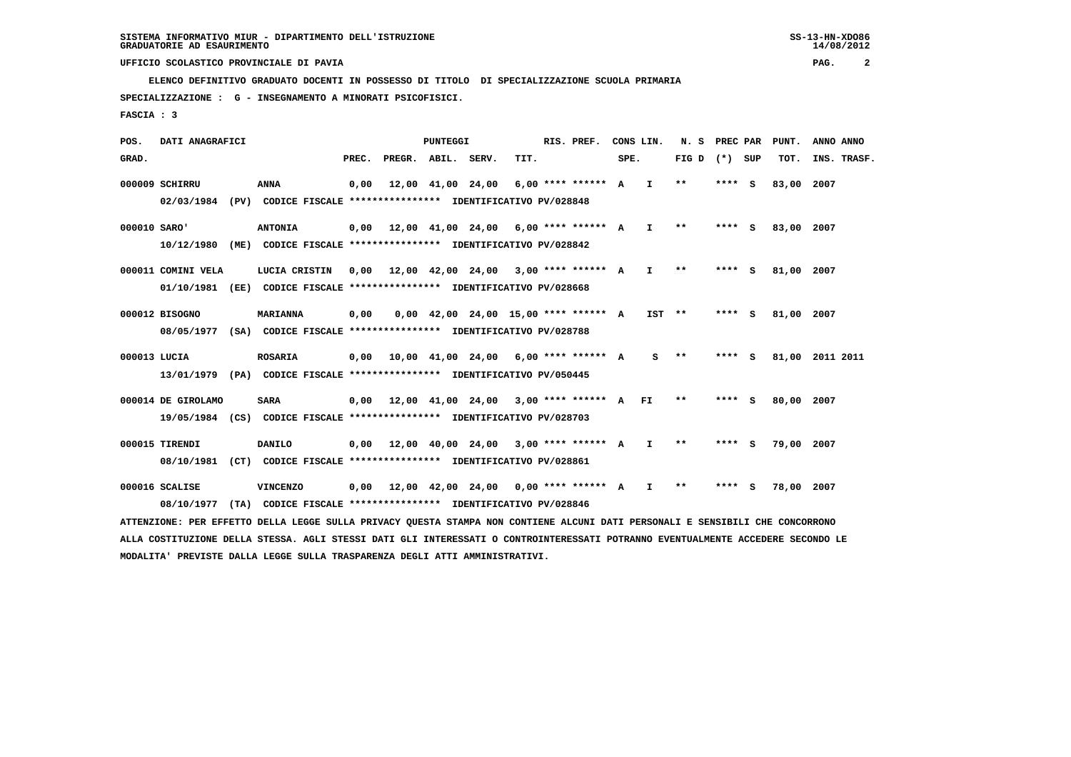**ELENCO DEFINITIVO GRADUATO DOCENTI IN POSSESSO DI TITOLO DI SPECIALIZZAZIONE SCUOLA PRIMARIA**

 **SPECIALIZZAZIONE : G - INSEGNAMENTO A MINORATI PSICOFISICI.**

 **FASCIA : 3**

 **POS. DATI ANAGRAFICI PUNTEGGI RIS. PREF. CONS LIN. N. S PREC PAR PUNT. ANNO ANNO**GRAD. **PREGRADE SERVEGE SERVE SERVE SPEREGE SPEREGALES SPEREGALES SPEREGALES SPEREGALES SPEREGALES SUP TOT. INS. TRASF. 000009 SCHIRRU ANNA 0,00 12,00 41,00 24,00 6,00 \*\*\*\* \*\*\*\*\*\* A I \*\* \*\*\*\* S 83,00 2007 02/03/1984 (PV) CODICE FISCALE \*\*\*\*\*\*\*\*\*\*\*\*\*\*\*\* IDENTIFICATIVO PV/028848 000010 SARO' ANTONIA 0,00 12,00 41,00 24,00 6,00 \*\*\*\* \*\*\*\*\*\* A I \*\* \*\*\*\* S 83,00 2007 10/12/1980 (ME) CODICE FISCALE \*\*\*\*\*\*\*\*\*\*\*\*\*\*\*\* IDENTIFICATIVO PV/028842 000011 COMINI VELA LUCIA CRISTIN 0,00 12,00 42,00 24,00 3,00 \*\*\*\* \*\*\*\*\*\* A I \*\* \*\*\*\* S 81,00 2007 01/10/1981 (EE) CODICE FISCALE \*\*\*\*\*\*\*\*\*\*\*\*\*\*\*\* IDENTIFICATIVO PV/028668 000012 BISOGNO MARIANNA 0,00 0,00 42,00 24,00 15,00 \*\*\*\* \*\*\*\*\*\* A IST \*\* \*\*\*\* S 81,00 2007 08/05/1977 (SA) CODICE FISCALE \*\*\*\*\*\*\*\*\*\*\*\*\*\*\*\* IDENTIFICATIVO PV/028788 000013 LUCIA ROSARIA 0,00 10,00 41,00 24,00 6,00 \*\*\*\* \*\*\*\*\*\* A S \*\* \*\*\*\* S 81,00 2011 2011 13/01/1979 (PA) CODICE FISCALE \*\*\*\*\*\*\*\*\*\*\*\*\*\*\*\* IDENTIFICATIVO PV/050445**

- **000014 DE GIROLAMO SARA 0,00 12,00 41,00 24,00 3,00 \*\*\*\* \*\*\*\*\*\* A FI \*\* \*\*\*\* S 80,00 2007 19/05/1984 (CS) CODICE FISCALE \*\*\*\*\*\*\*\*\*\*\*\*\*\*\*\* IDENTIFICATIVO PV/028703**
- **000015 TIRENDI DANILO 0,00 12,00 40,00 24,00 3,00 \*\*\*\* \*\*\*\*\*\* A I \*\* \*\*\*\* S 79,00 2007 08/10/1981 (CT) CODICE FISCALE \*\*\*\*\*\*\*\*\*\*\*\*\*\*\*\* IDENTIFICATIVO PV/028861**
- **000016 SCALISE VINCENZO 0,00 12,00 42,00 24,00 0,00 \*\*\*\* \*\*\*\*\*\* A I \*\* \*\*\*\* S 78,00 2007 08/10/1977 (TA) CODICE FISCALE \*\*\*\*\*\*\*\*\*\*\*\*\*\*\*\* IDENTIFICATIVO PV/028846**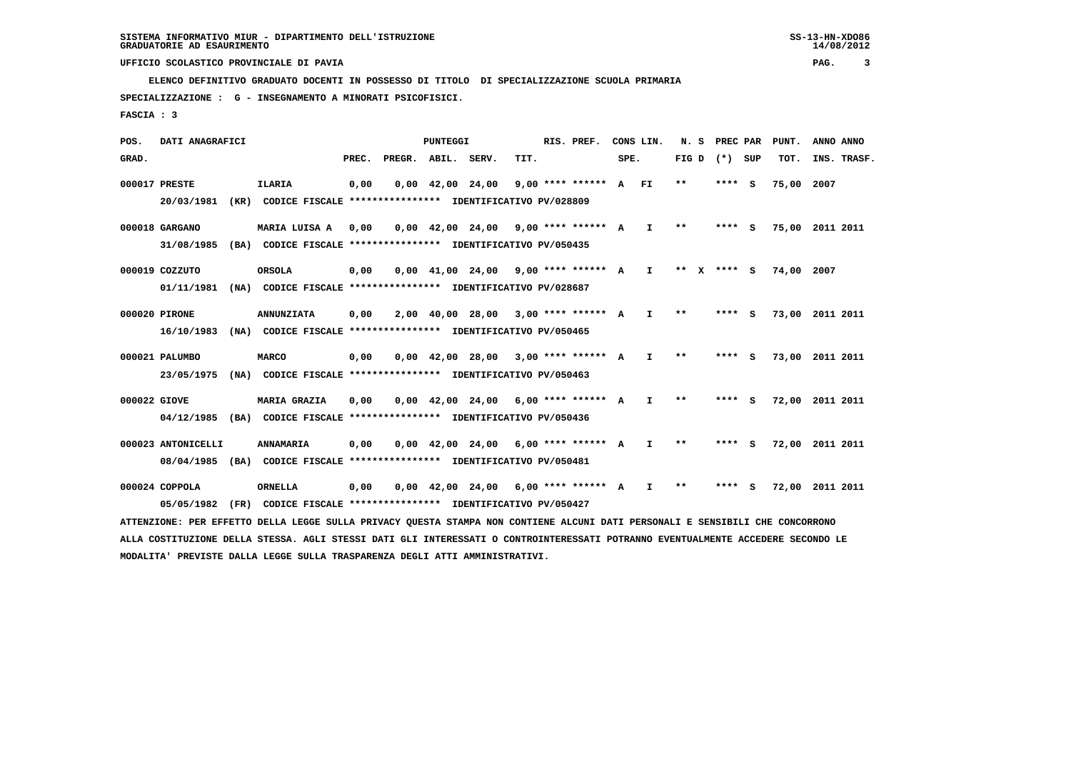**ELENCO DEFINITIVO GRADUATO DOCENTI IN POSSESSO DI TITOLO DI SPECIALIZZAZIONE SCUOLA PRIMARIA**

 **SPECIALIZZAZIONE : G - INSEGNAMENTO A MINORATI PSICOFISICI.**

 **FASCIA : 3**

 **POS. DATI ANAGRAFICI PUNTEGGI RIS. PREF. CONS LIN. N. S PREC PAR PUNT. ANNO ANNO**GRAD. **PREGRADE SERVEGE SERVE SERVE SPEREGE SPEREGALES SPEREGALES SPEREGALES SPEREGALES SPEREGALES SUP TOT. INS. TRASF. 000017 PRESTE ILARIA 0,00 0,00 42,00 24,00 9,00 \*\*\*\* \*\*\*\*\*\* A FI \*\* \*\*\*\* S 75,00 2007 20/03/1981 (KR) CODICE FISCALE \*\*\*\*\*\*\*\*\*\*\*\*\*\*\*\* IDENTIFICATIVO PV/028809 000018 GARGANO MARIA LUISA A 0,00 0,00 42,00 24,00 9,00 \*\*\*\* \*\*\*\*\*\* A I \*\* \*\*\*\* S 75,00 2011 2011 31/08/1985 (BA) CODICE FISCALE \*\*\*\*\*\*\*\*\*\*\*\*\*\*\*\* IDENTIFICATIVO PV/050435 000019 COZZUTO ORSOLA 0,00 0,00 41,00 24,00 9,00 \*\*\*\* \*\*\*\*\*\* A I \*\* X \*\*\*\* S 74,00 2007 01/11/1981 (NA) CODICE FISCALE \*\*\*\*\*\*\*\*\*\*\*\*\*\*\*\* IDENTIFICATIVO PV/028687 000020 PIRONE ANNUNZIATA 0,00 2,00 40,00 28,00 3,00 \*\*\*\* \*\*\*\*\*\* A I \*\* \*\*\*\* S 73,00 2011 2011 16/10/1983 (NA) CODICE FISCALE \*\*\*\*\*\*\*\*\*\*\*\*\*\*\*\* IDENTIFICATIVO PV/050465 000021 PALUMBO MARCO 0,00 0,00 42,00 28,00 3,00 \*\*\*\* \*\*\*\*\*\* A I \*\* \*\*\*\* S 73,00 2011 2011 23/05/1975 (NA) CODICE FISCALE \*\*\*\*\*\*\*\*\*\*\*\*\*\*\*\* IDENTIFICATIVO PV/050463 000022 GIOVE MARIA GRAZIA 0,00 0,00 42,00 24,00 6,00 \*\*\*\* \*\*\*\*\*\* A I \*\* \*\*\*\* S 72,00 2011 2011 04/12/1985 (BA) CODICE FISCALE \*\*\*\*\*\*\*\*\*\*\*\*\*\*\*\* IDENTIFICATIVO PV/050436 000023 ANTONICELLI ANNAMARIA 0,00 0,00 42,00 24,00 6,00 \*\*\*\* \*\*\*\*\*\* A I \*\* \*\*\*\* S 72,00 2011 2011 08/04/1985 (BA) CODICE FISCALE \*\*\*\*\*\*\*\*\*\*\*\*\*\*\*\* IDENTIFICATIVO PV/050481**

 **000024 COPPOLA ORNELLA 0,00 0,00 42,00 24,00 6,00 \*\*\*\* \*\*\*\*\*\* A I \*\* \*\*\*\* S 72,00 2011 2011**

 **ATTENZIONE: PER EFFETTO DELLA LEGGE SULLA PRIVACY QUESTA STAMPA NON CONTIENE ALCUNI DATI PERSONALI E SENSIBILI CHE CONCORRONO ALLA COSTITUZIONE DELLA STESSA. AGLI STESSI DATI GLI INTERESSATI O CONTROINTERESSATI POTRANNO EVENTUALMENTE ACCEDERE SECONDO LE**

 **05/05/1982 (FR) CODICE FISCALE \*\*\*\*\*\*\*\*\*\*\*\*\*\*\*\* IDENTIFICATIVO PV/050427**

 **MODALITA' PREVISTE DALLA LEGGE SULLA TRASPARENZA DEGLI ATTI AMMINISTRATIVI.**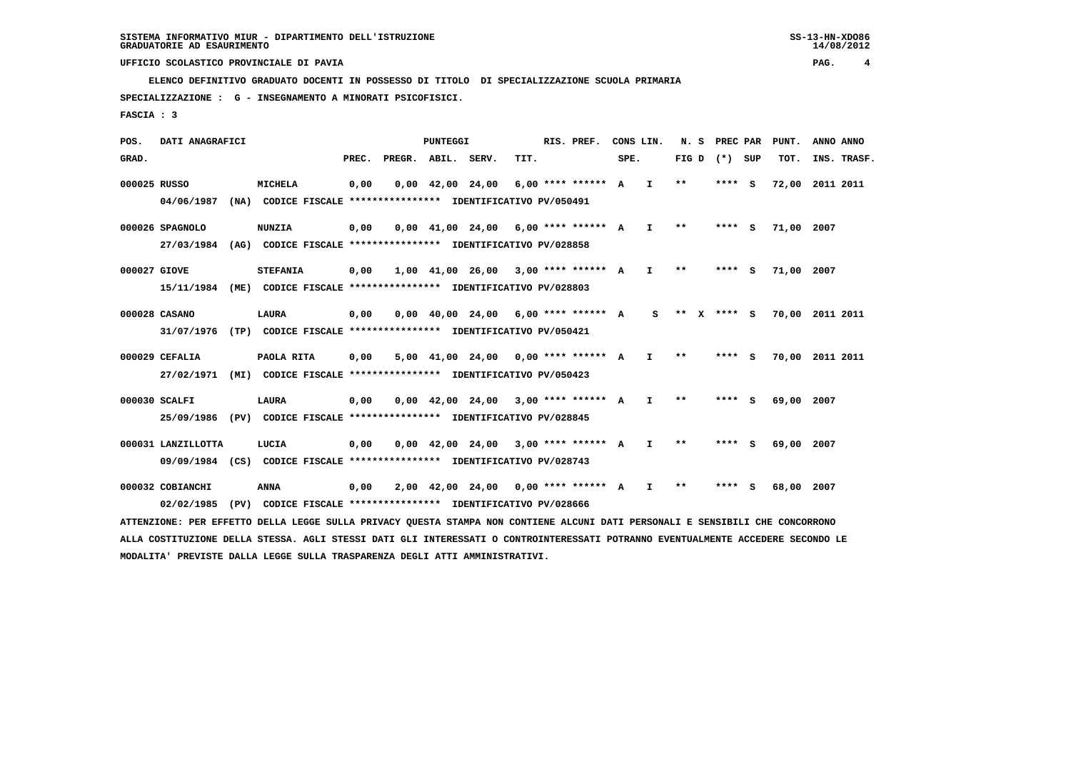**ELENCO DEFINITIVO GRADUATO DOCENTI IN POSSESSO DI TITOLO DI SPECIALIZZAZIONE SCUOLA PRIMARIA**

 **SPECIALIZZAZIONE : G - INSEGNAMENTO A MINORATI PSICOFISICI.**

 **FASCIA : 3**

 **POS. DATI ANAGRAFICI PUNTEGGI RIS. PREF. CONS LIN. N. S PREC PAR PUNT. ANNO ANNO**GRAD. **PREGRADE SERVEGE SERVE SERVE SPEREGE SPEREGALES SPEREGALES SPEREGALES SPEREGALES SPEREGALES SUP TOT. INS. TRASF. 000025 RUSSO MICHELA 0,00 0,00 42,00 24,00 6,00 \*\*\*\* \*\*\*\*\*\* A I \*\* \*\*\*\* S 72,00 2011 2011 04/06/1987 (NA) CODICE FISCALE \*\*\*\*\*\*\*\*\*\*\*\*\*\*\*\* IDENTIFICATIVO PV/050491 000026 SPAGNOLO NUNZIA 0,00 0,00 41,00 24,00 6,00 \*\*\*\* \*\*\*\*\*\* A I \*\* \*\*\*\* S 71,00 2007 27/03/1984 (AG) CODICE FISCALE \*\*\*\*\*\*\*\*\*\*\*\*\*\*\*\* IDENTIFICATIVO PV/028858 000027 GIOVE STEFANIA 0,00 1,00 41,00 26,00 3,00 \*\*\*\* \*\*\*\*\*\* A I \*\* \*\*\*\* S 71,00 2007 15/11/1984 (ME) CODICE FISCALE \*\*\*\*\*\*\*\*\*\*\*\*\*\*\*\* IDENTIFICATIVO PV/028803 000028 CASANO LAURA 0,00 0,00 40,00 24,00 6,00 \*\*\*\* \*\*\*\*\*\* A S \*\* X \*\*\*\* S 70,00 2011 2011 31/07/1976 (TP) CODICE FISCALE \*\*\*\*\*\*\*\*\*\*\*\*\*\*\*\* IDENTIFICATIVO PV/050421 000029 CEFALIA PAOLA RITA 0,00 5,00 41,00 24,00 0,00 \*\*\*\* \*\*\*\*\*\* A I \*\* \*\*\*\* S 70,00 2011 2011 27/02/1971 (MI) CODICE FISCALE \*\*\*\*\*\*\*\*\*\*\*\*\*\*\*\* IDENTIFICATIVO PV/050423 000030 SCALFI LAURA 0,00 0,00 42,00 24,00 3,00 \*\*\*\* \*\*\*\*\*\* A I \*\* \*\*\*\* S 69,00 2007 25/09/1986 (PV) CODICE FISCALE \*\*\*\*\*\*\*\*\*\*\*\*\*\*\*\* IDENTIFICATIVO PV/028845 000031 LANZILLOTTA LUCIA 0,00 0,00 42,00 24,00 3,00 \*\*\*\* \*\*\*\*\*\* A I \*\* \*\*\*\* S 69,00 2007 09/09/1984 (CS) CODICE FISCALE \*\*\*\*\*\*\*\*\*\*\*\*\*\*\*\* IDENTIFICATIVO PV/028743**

 **000032 COBIANCHI ANNA 0,00 2,00 42,00 24,00 0,00 \*\*\*\* \*\*\*\*\*\* A I \*\* \*\*\*\* S 68,00 2007 02/02/1985 (PV) CODICE FISCALE \*\*\*\*\*\*\*\*\*\*\*\*\*\*\*\* IDENTIFICATIVO PV/028666**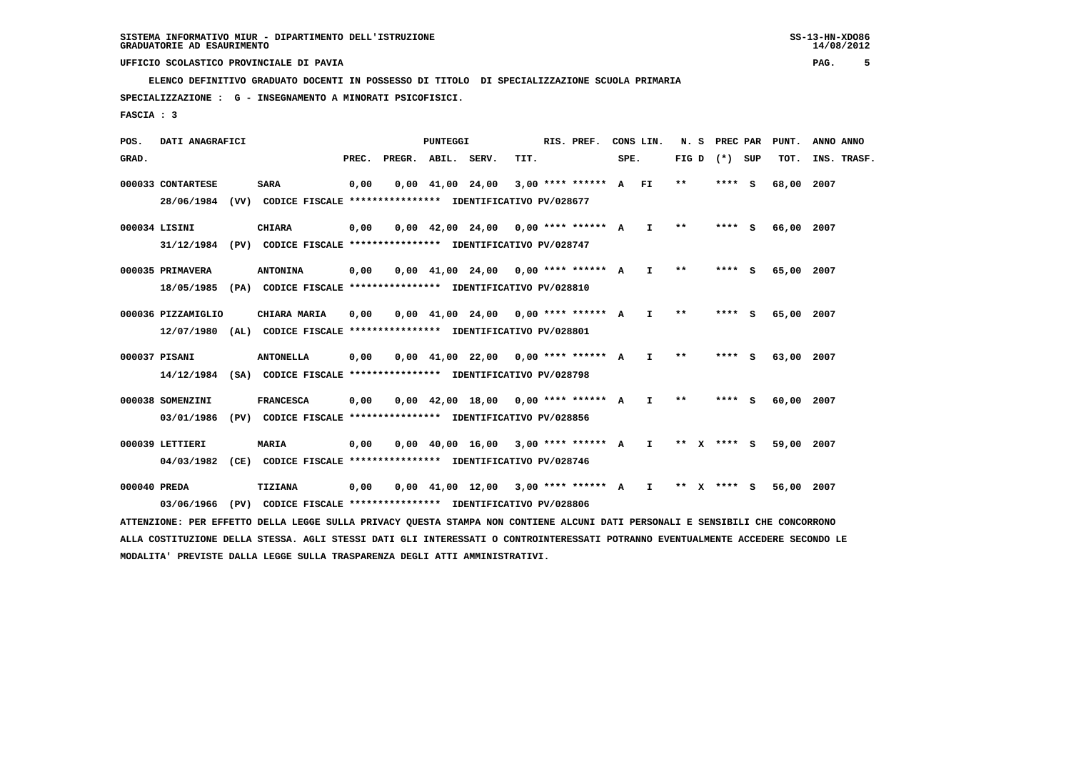**ELENCO DEFINITIVO GRADUATO DOCENTI IN POSSESSO DI TITOLO DI SPECIALIZZAZIONE SCUOLA PRIMARIA**

 **SPECIALIZZAZIONE : G - INSEGNAMENTO A MINORATI PSICOFISICI.**

 **FASCIA : 3**

 **POS. DATI ANAGRAFICI PUNTEGGI RIS. PREF. CONS LIN. N. S PREC PAR PUNT. ANNO ANNO**GRAD. **PREGRADE SERVEGE SERVE SERVE SPEREGE SPEREGALES SPEREGALES SPEREGALES SPEREGALES SPEREGALES SUP TOT. INS. TRASF. 000033 CONTARTESE SARA 0,00 0,00 41,00 24,00 3,00 \*\*\*\* \*\*\*\*\*\* A FI \*\* \*\*\*\* S 68,00 2007 28/06/1984 (VV) CODICE FISCALE \*\*\*\*\*\*\*\*\*\*\*\*\*\*\*\* IDENTIFICATIVO PV/028677 000034 LISINI CHIARA 0,00 0,00 42,00 24,00 0,00 \*\*\*\* \*\*\*\*\*\* A I \*\* \*\*\*\* S 66,00 2007 31/12/1984 (PV) CODICE FISCALE \*\*\*\*\*\*\*\*\*\*\*\*\*\*\*\* IDENTIFICATIVO PV/028747 000035 PRIMAVERA ANTONINA 0,00 0,00 41,00 24,00 0,00 \*\*\*\* \*\*\*\*\*\* A I \*\* \*\*\*\* S 65,00 2007 18/05/1985 (PA) CODICE FISCALE \*\*\*\*\*\*\*\*\*\*\*\*\*\*\*\* IDENTIFICATIVO PV/028810 000036 PIZZAMIGLIO CHIARA MARIA 0,00 0,00 41,00 24,00 0,00 \*\*\*\* \*\*\*\*\*\* A I \*\* \*\*\*\* S 65,00 2007 12/07/1980 (AL) CODICE FISCALE \*\*\*\*\*\*\*\*\*\*\*\*\*\*\*\* IDENTIFICATIVO PV/028801 000037 PISANI ANTONELLA 0,00 0,00 41,00 22,00 0,00 \*\*\*\* \*\*\*\*\*\* A I \*\* \*\*\*\* S 63,00 2007 14/12/1984 (SA) CODICE FISCALE \*\*\*\*\*\*\*\*\*\*\*\*\*\*\*\* IDENTIFICATIVO PV/028798 000038 SOMENZINI FRANCESCA 0,00 0,00 42,00 18,00 0,00 \*\*\*\* \*\*\*\*\*\* A I \*\* \*\*\*\* S 60,00 2007 03/01/1986 (PV) CODICE FISCALE \*\*\*\*\*\*\*\*\*\*\*\*\*\*\*\* IDENTIFICATIVO PV/028856 000039 LETTIERI MARIA 0,00 0,00 40,00 16,00 3,00 \*\*\*\* \*\*\*\*\*\* A I \*\* X \*\*\*\* S 59,00 2007 04/03/1982 (CE) CODICE FISCALE \*\*\*\*\*\*\*\*\*\*\*\*\*\*\*\* IDENTIFICATIVO PV/028746 000040 PREDA TIZIANA 0,00 0,00 41,00 12,00 3,00 \*\*\*\* \*\*\*\*\*\* A I \*\* X \*\*\*\* S 56,00 2007 03/06/1966 (PV) CODICE FISCALE \*\*\*\*\*\*\*\*\*\*\*\*\*\*\*\* IDENTIFICATIVO PV/028806**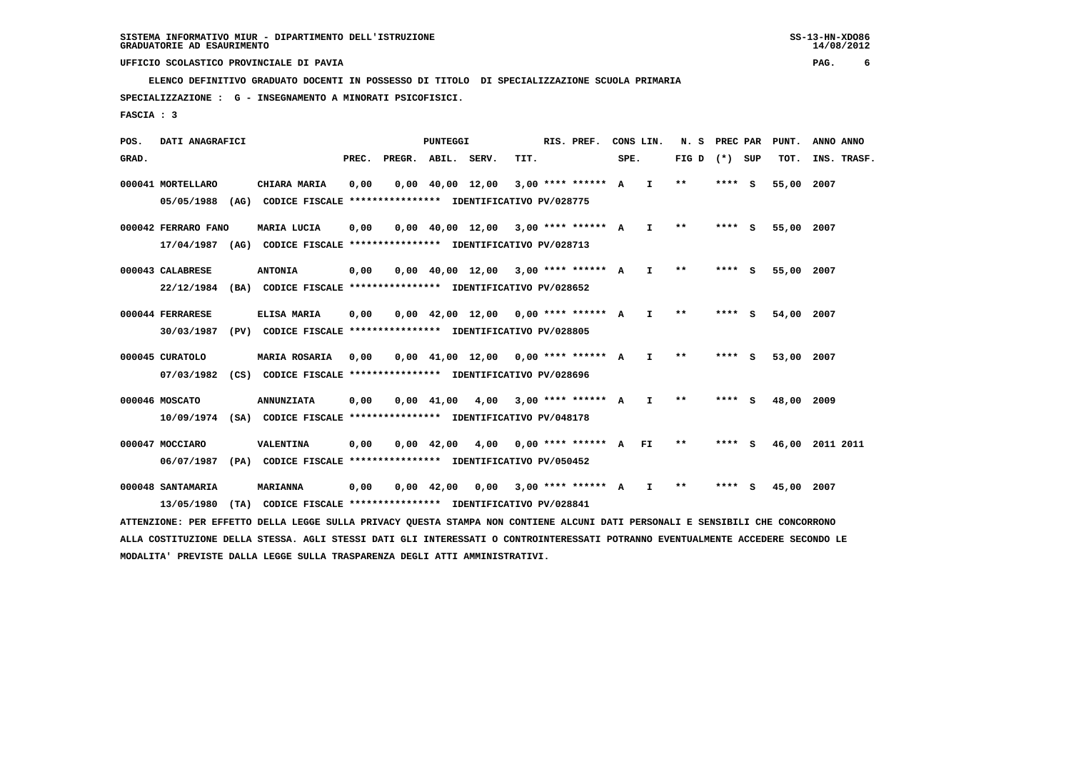**ELENCO DEFINITIVO GRADUATO DOCENTI IN POSSESSO DI TITOLO DI SPECIALIZZAZIONE SCUOLA PRIMARIA**

 **SPECIALIZZAZIONE : G - INSEGNAMENTO A MINORATI PSICOFISICI.**

 **FASCIA : 3**

 **POS. DATI ANAGRAFICI PUNTEGGI RIS. PREF. CONS LIN. N. S PREC PAR PUNT. ANNO ANNO**GRAD. **PREGRADE SERVEGE SERVE SERVE SPEREGE SPEREGALES SPEREGALES SPEREGALES SPEREGALES SPEREGALES SUP TOT. INS. TRASF. 000041 MORTELLARO CHIARA MARIA 0,00 0,00 40,00 12,00 3,00 \*\*\*\* \*\*\*\*\*\* A I \*\* \*\*\*\* S 55,00 2007 05/05/1988 (AG) CODICE FISCALE \*\*\*\*\*\*\*\*\*\*\*\*\*\*\*\* IDENTIFICATIVO PV/028775 000042 FERRARO FANO MARIA LUCIA 0,00 0,00 40,00 12,00 3,00 \*\*\*\* \*\*\*\*\*\* A I \*\* \*\*\*\* S 55,00 2007 17/04/1987 (AG) CODICE FISCALE \*\*\*\*\*\*\*\*\*\*\*\*\*\*\*\* IDENTIFICATIVO PV/028713 000043 CALABRESE ANTONIA 0,00 0,00 40,00 12,00 3,00 \*\*\*\* \*\*\*\*\*\* A I \*\* \*\*\*\* S 55,00 2007 22/12/1984 (BA) CODICE FISCALE \*\*\*\*\*\*\*\*\*\*\*\*\*\*\*\* IDENTIFICATIVO PV/028652 000044 FERRARESE ELISA MARIA 0,00 0,00 42,00 12,00 0,00 \*\*\*\* \*\*\*\*\*\* A I \*\* \*\*\*\* S 54,00 2007 30/03/1987 (PV) CODICE FISCALE \*\*\*\*\*\*\*\*\*\*\*\*\*\*\*\* IDENTIFICATIVO PV/028805 000045 CURATOLO MARIA ROSARIA 0,00 0,00 41,00 12,00 0,00 \*\*\*\* \*\*\*\*\*\* A I \*\* \*\*\*\* S 53,00 2007 07/03/1982 (CS) CODICE FISCALE \*\*\*\*\*\*\*\*\*\*\*\*\*\*\*\* IDENTIFICATIVO PV/028696 000046 MOSCATO ANNUNZIATA 0,00 0,00 41,00 4,00 3,00 \*\*\*\* \*\*\*\*\*\* A I \*\* \*\*\*\* S 48,00 2009 10/09/1974 (SA) CODICE FISCALE \*\*\*\*\*\*\*\*\*\*\*\*\*\*\*\* IDENTIFICATIVO PV/048178 000047 MOCCIARO VALENTINA 0,00 0,00 42,00 4,00 0,00 \*\*\*\* \*\*\*\*\*\* A FI \*\* \*\*\*\* S 46,00 2011 2011 06/07/1987 (PA) CODICE FISCALE \*\*\*\*\*\*\*\*\*\*\*\*\*\*\*\* IDENTIFICATIVO PV/050452 000048 SANTAMARIA MARIANNA 0,00 0,00 42,00 0,00 3,00 \*\*\*\* \*\*\*\*\*\* A I \*\* \*\*\*\* S 45,00 2007 13/05/1980 (TA) CODICE FISCALE \*\*\*\*\*\*\*\*\*\*\*\*\*\*\*\* IDENTIFICATIVO PV/028841**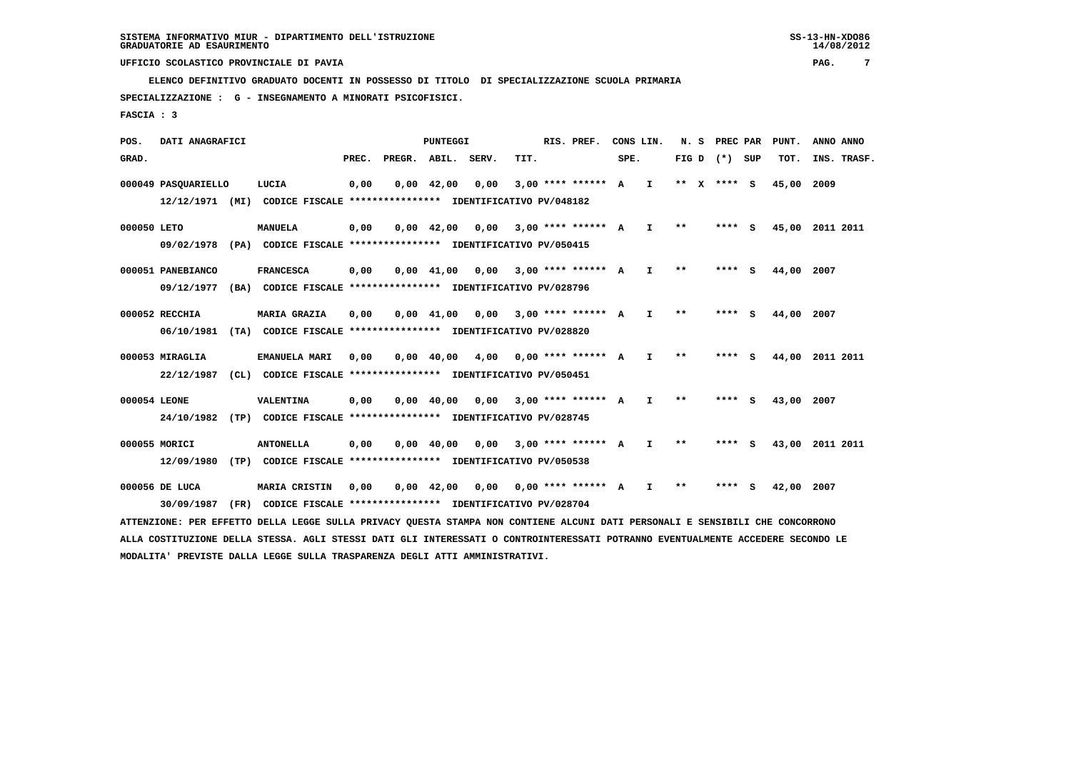**ELENCO DEFINITIVO GRADUATO DOCENTI IN POSSESSO DI TITOLO DI SPECIALIZZAZIONE SCUOLA PRIMARIA**

 **SPECIALIZZAZIONE : G - INSEGNAMENTO A MINORATI PSICOFISICI.**

 **FASCIA : 3**

 **POS. DATI ANAGRAFICI PUNTEGGI RIS. PREF. CONS LIN. N. S PREC PAR PUNT. ANNO ANNO**GRAD. **PREGRADE SERVEGE SERVE SERVE SPEREGE SPEREGALES SPEREGALES SPEREGALES SPEREGALES SPEREGALES SUP TOT. INS. TRASF. 000049 PASQUARIELLO LUCIA 0,00 0,00 42,00 0,00 3,00 \*\*\*\* \*\*\*\*\*\* A I \*\* X \*\*\*\* S 45,00 2009 12/12/1971 (MI) CODICE FISCALE \*\*\*\*\*\*\*\*\*\*\*\*\*\*\*\* IDENTIFICATIVO PV/048182 000050 LETO MANUELA 0,00 0,00 42,00 0,00 3,00 \*\*\*\* \*\*\*\*\*\* A I \*\* \*\*\*\* S 45,00 2011 2011 09/02/1978 (PA) CODICE FISCALE \*\*\*\*\*\*\*\*\*\*\*\*\*\*\*\* IDENTIFICATIVO PV/050415 000051 PANEBIANCO FRANCESCA 0,00 0,00 41,00 0,00 3,00 \*\*\*\* \*\*\*\*\*\* A I \*\* \*\*\*\* S 44,00 2007 09/12/1977 (BA) CODICE FISCALE \*\*\*\*\*\*\*\*\*\*\*\*\*\*\*\* IDENTIFICATIVO PV/028796 000052 RECCHIA MARIA GRAZIA 0,00 0,00 41,00 0,00 3,00 \*\*\*\* \*\*\*\*\*\* A I \*\* \*\*\*\* S 44,00 2007 06/10/1981 (TA) CODICE FISCALE \*\*\*\*\*\*\*\*\*\*\*\*\*\*\*\* IDENTIFICATIVO PV/028820 000053 MIRAGLIA EMANUELA MARI 0,00 0,00 40,00 4,00 0,00 \*\*\*\* \*\*\*\*\*\* A I \*\* \*\*\*\* S 44,00 2011 2011 22/12/1987 (CL) CODICE FISCALE \*\*\*\*\*\*\*\*\*\*\*\*\*\*\*\* IDENTIFICATIVO PV/050451 000054 LEONE VALENTINA 0,00 0,00 40,00 0,00 3,00 \*\*\*\* \*\*\*\*\*\* A I \*\* \*\*\*\* S 43,00 2007 24/10/1982 (TP) CODICE FISCALE \*\*\*\*\*\*\*\*\*\*\*\*\*\*\*\* IDENTIFICATIVO PV/028745 000055 MORICI ANTONELLA 0,00 0,00 40,00 0,00 3,00 \*\*\*\* \*\*\*\*\*\* A I \*\* \*\*\*\* S 43,00 2011 2011 12/09/1980 (TP) CODICE FISCALE \*\*\*\*\*\*\*\*\*\*\*\*\*\*\*\* IDENTIFICATIVO PV/050538 000056 DE LUCA MARIA CRISTIN 0,00 0,00 42,00 0,00 0,00 \*\*\*\* \*\*\*\*\*\* A I \*\* \*\*\*\* S 42,00 2007 30/09/1987 (FR) CODICE FISCALE \*\*\*\*\*\*\*\*\*\*\*\*\*\*\*\* IDENTIFICATIVO PV/028704 ATTENZIONE: PER EFFETTO DELLA LEGGE SULLA PRIVACY QUESTA STAMPA NON CONTIENE ALCUNI DATI PERSONALI E SENSIBILI CHE CONCORRONO**

 **ALLA COSTITUZIONE DELLA STESSA. AGLI STESSI DATI GLI INTERESSATI O CONTROINTERESSATI POTRANNO EVENTUALMENTE ACCEDERE SECONDO LE MODALITA' PREVISTE DALLA LEGGE SULLA TRASPARENZA DEGLI ATTI AMMINISTRATIVI.**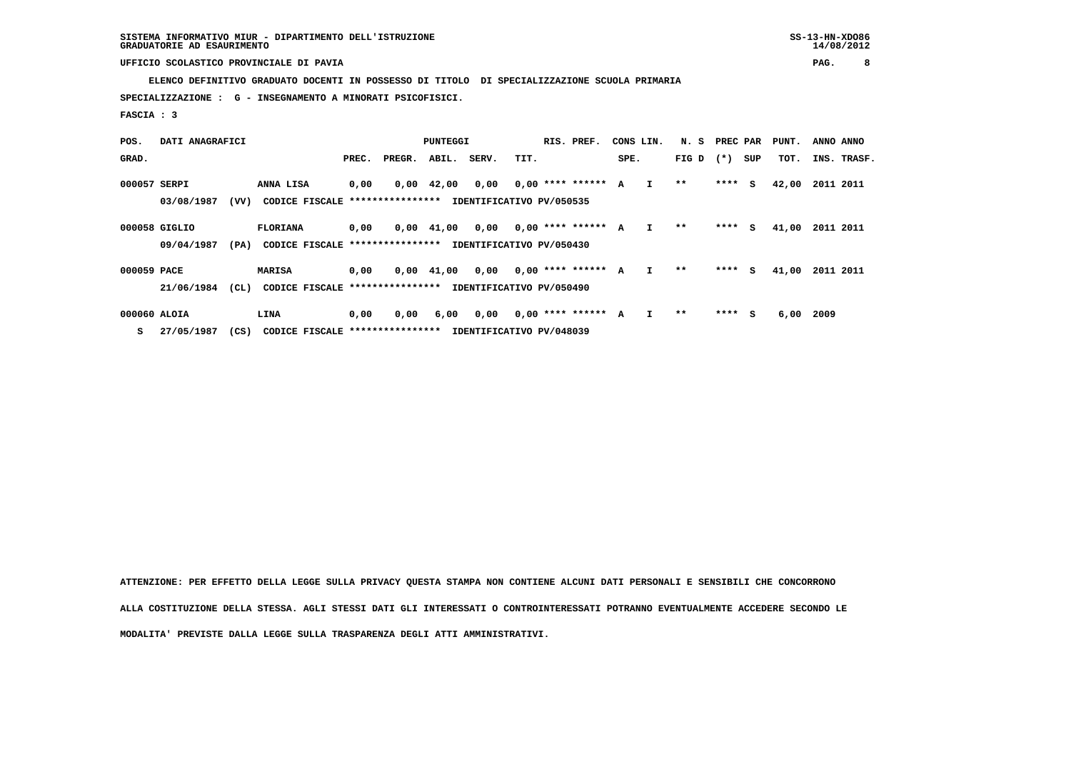**ELENCO DEFINITIVO GRADUATO DOCENTI IN POSSESSO DI TITOLO DI SPECIALIZZAZIONE SCUOLA PRIMARIA**

 **SPECIALIZZAZIONE : G - INSEGNAMENTO A MINORATI PSICOFISICI.**

 **FASCIA : 3**

| POS.         | DATI ANAGRAFICI |      | PUNTEGGI                        |       |        |                    |       | RIS. PREF.<br>CONS LIN.  |                      |      | N. S         | PREC PAR |         | PUNT. | ANNO ANNO |             |  |
|--------------|-----------------|------|---------------------------------|-------|--------|--------------------|-------|--------------------------|----------------------|------|--------------|----------|---------|-------|-----------|-------------|--|
| GRAD.        |                 |      |                                 | PREC. | PREGR. | ABIL.              | SERV. | TIT.                     |                      | SPE. |              | FIG D    | $(* )$  | SUP   | TOT.      | INS. TRASF. |  |
| 000057 SERPI |                 |      | ANNA LISA                       | 0,00  |        | $0,00 \quad 42,00$ | 0,00  |                          | $0.00$ **** ****** A |      | $\mathbf{I}$ | $***$    | $***$ S |       | 42,00     | 2011 2011   |  |
|              | 03/08/1987      | (VV) | CODICE FISCALE **************** |       |        |                    |       | IDENTIFICATIVO PV/050535 |                      |      |              |          |         |       |           |             |  |
|              | 000058 GIGLIO   |      | <b>FLORIANA</b>                 | 0,00  |        | $0.00 \quad 41.00$ | 0,00  |                          | $0,00$ **** ****** A |      | I.           | $* *$    | $***$ S |       | 41,00     | 2011 2011   |  |
|              | 09/04/1987      | (PA) | CODICE FISCALE **************** |       |        |                    |       | IDENTIFICATIVO PV/050430 |                      |      |              |          |         |       |           |             |  |
| 000059 PACE  |                 |      | <b>MARISA</b>                   | 0,00  |        | $0,00$ $41,00$     | 0,00  |                          | $0,00$ **** ****** A |      | I.           | $* *$    | $***$ S |       | 41,00     | 2011 2011   |  |
|              | 21/06/1984      | (CL) | CODICE FISCALE **************** |       |        |                    |       | IDENTIFICATIVO PV/050490 |                      |      |              |          |         |       |           |             |  |
| 000060 ALOIA |                 |      | LINA                            | 0,00  | 0,00   | 6,00               | 0,00  |                          | $0.00$ **** ****** A |      |              | **       | $***$ S |       | 6,00      | 2009        |  |

 **S 27/05/1987 (CS) CODICE FISCALE \*\*\*\*\*\*\*\*\*\*\*\*\*\*\*\* IDENTIFICATIVO PV/048039**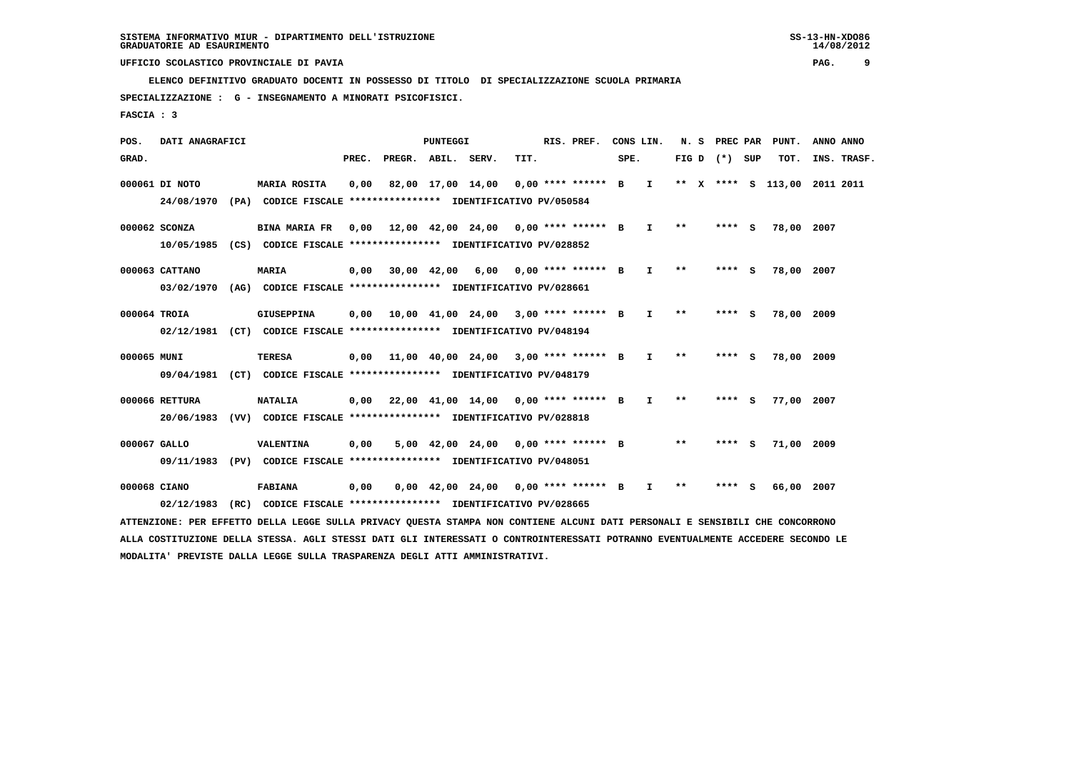**ELENCO DEFINITIVO GRADUATO DOCENTI IN POSSESSO DI TITOLO DI SPECIALIZZAZIONE SCUOLA PRIMARIA**

 **SPECIALIZZAZIONE : G - INSEGNAMENTO A MINORATI PSICOFISICI.**

 **FASCIA : 3**

 **POS. DATI ANAGRAFICI PUNTEGGI RIS. PREF. CONS LIN. N. S PREC PAR PUNT. ANNO ANNO**GRAD. **PREGRADE SERVEGE SERVE SERVE SPEREGE SPEREGALES SPEREGALES SPEREGALES SPEREGALES SPEREGALES SUP TOT. INS. TRASF. 000061 DI NOTO MARIA ROSITA 0,00 82,00 17,00 14,00 0,00 \*\*\*\* \*\*\*\*\*\* B I \*\* X \*\*\*\* S 113,00 2011 2011 24/08/1970 (PA) CODICE FISCALE \*\*\*\*\*\*\*\*\*\*\*\*\*\*\*\* IDENTIFICATIVO PV/050584 000062 SCONZA BINA MARIA FR 0,00 12,00 42,00 24,00 0,00 \*\*\*\* \*\*\*\*\*\* B I \*\* \*\*\*\* S 78,00 2007 10/05/1985 (CS) CODICE FISCALE \*\*\*\*\*\*\*\*\*\*\*\*\*\*\*\* IDENTIFICATIVO PV/028852 000063 CATTANO MARIA 0,00 30,00 42,00 6,00 0,00 \*\*\*\* \*\*\*\*\*\* B I \*\* \*\*\*\* S 78,00 2007 03/02/1970 (AG) CODICE FISCALE \*\*\*\*\*\*\*\*\*\*\*\*\*\*\*\* IDENTIFICATIVO PV/028661 000064 TROIA GIUSEPPINA 0,00 10,00 41,00 24,00 3,00 \*\*\*\* \*\*\*\*\*\* B I \*\* \*\*\*\* S 78,00 2009 02/12/1981 (CT) CODICE FISCALE \*\*\*\*\*\*\*\*\*\*\*\*\*\*\*\* IDENTIFICATIVO PV/048194 000065 MUNI TERESA 0,00 11,00 40,00 24,00 3,00 \*\*\*\* \*\*\*\*\*\* B I \*\* \*\*\*\* S 78,00 2009 09/04/1981 (CT) CODICE FISCALE \*\*\*\*\*\*\*\*\*\*\*\*\*\*\*\* IDENTIFICATIVO PV/048179 000066 RETTURA NATALIA 0,00 22,00 41,00 14,00 0,00 \*\*\*\* \*\*\*\*\*\* B I \*\* \*\*\*\* S 77,00 2007 20/06/1983 (VV) CODICE FISCALE \*\*\*\*\*\*\*\*\*\*\*\*\*\*\*\* IDENTIFICATIVO PV/028818 000067 GALLO VALENTINA 0,00 5,00 42,00 24,00 0,00 \*\*\*\* \*\*\*\*\*\* B \*\* \*\*\*\* S 71,00 2009 09/11/1983 (PV) CODICE FISCALE \*\*\*\*\*\*\*\*\*\*\*\*\*\*\*\* IDENTIFICATIVO PV/048051**

 **000068 CIANO FABIANA 0,00 0,00 42,00 24,00 0,00 \*\*\*\* \*\*\*\*\*\* B I \*\* \*\*\*\* S 66,00 2007 02/12/1983 (RC) CODICE FISCALE \*\*\*\*\*\*\*\*\*\*\*\*\*\*\*\* IDENTIFICATIVO PV/028665**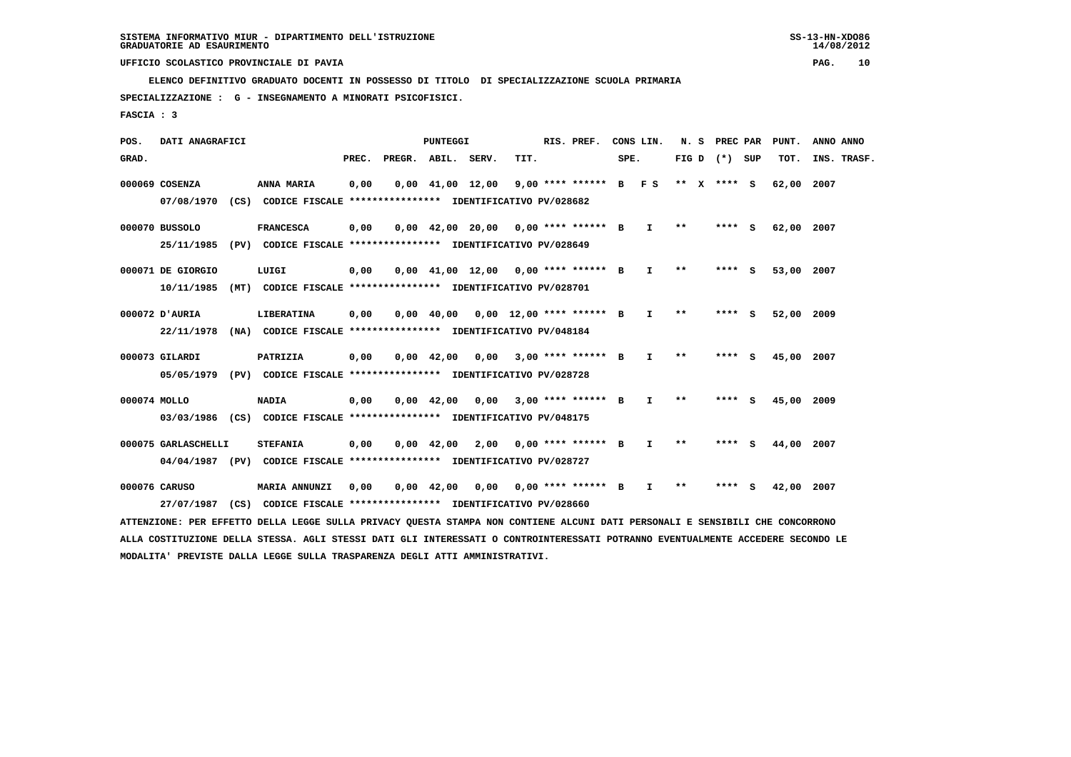**ELENCO DEFINITIVO GRADUATO DOCENTI IN POSSESSO DI TITOLO DI SPECIALIZZAZIONE SCUOLA PRIMARIA**

 **SPECIALIZZAZIONE : G - INSEGNAMENTO A MINORATI PSICOFISICI.**

 **FASCIA : 3**

 **POS. DATI ANAGRAFICI PUNTEGGI RIS. PREF. CONS LIN. N. S PREC PAR PUNT. ANNO ANNO**GRAD. **PREGRADE SERVEGE SERVE SERVE SPEREGE SPEREGALES SPEREGALES SPEREGALES SPEREGALES SPEREGALES SUP TOT. INS. TRASF. 000069 COSENZA ANNA MARIA 0,00 0,00 41,00 12,00 9,00 \*\*\*\* \*\*\*\*\*\* B F S \*\* X \*\*\*\* S 62,00 2007 07/08/1970 (CS) CODICE FISCALE \*\*\*\*\*\*\*\*\*\*\*\*\*\*\*\* IDENTIFICATIVO PV/028682 000070 BUSSOLO FRANCESCA 0,00 0,00 42,00 20,00 0,00 \*\*\*\* \*\*\*\*\*\* B I \*\* \*\*\*\* S 62,00 2007 25/11/1985 (PV) CODICE FISCALE \*\*\*\*\*\*\*\*\*\*\*\*\*\*\*\* IDENTIFICATIVO PV/028649 000071 DE GIORGIO LUIGI 0,00 0,00 41,00 12,00 0,00 \*\*\*\* \*\*\*\*\*\* B I \*\* \*\*\*\* S 53,00 2007 10/11/1985 (MT) CODICE FISCALE \*\*\*\*\*\*\*\*\*\*\*\*\*\*\*\* IDENTIFICATIVO PV/028701 000072 D'AURIA LIBERATINA 0,00 0,00 40,00 0,00 12,00 \*\*\*\* \*\*\*\*\*\* B I \*\* \*\*\*\* S 52,00 2009 22/11/1978 (NA) CODICE FISCALE \*\*\*\*\*\*\*\*\*\*\*\*\*\*\*\* IDENTIFICATIVO PV/048184 000073 GILARDI PATRIZIA 0,00 0,00 42,00 0,00 3,00 \*\*\*\* \*\*\*\*\*\* B I \*\* \*\*\*\* S 45,00 2007 05/05/1979 (PV) CODICE FISCALE \*\*\*\*\*\*\*\*\*\*\*\*\*\*\*\* IDENTIFICATIVO PV/028728 000074 MOLLO NADIA 0,00 0,00 42,00 0,00 3,00 \*\*\*\* \*\*\*\*\*\* B I \*\* \*\*\*\* S 45,00 2009 03/03/1986 (CS) CODICE FISCALE \*\*\*\*\*\*\*\*\*\*\*\*\*\*\*\* IDENTIFICATIVO PV/048175 000075 GARLASCHELLI STEFANIA 0,00 0,00 42,00 2,00 0,00 \*\*\*\* \*\*\*\*\*\* B I \*\* \*\*\*\* S 44,00 2007**

 **04/04/1987 (PV) CODICE FISCALE \*\*\*\*\*\*\*\*\*\*\*\*\*\*\*\* IDENTIFICATIVO PV/028727**

 **000076 CARUSO MARIA ANNUNZI 0,00 0,00 42,00 0,00 0,00 \*\*\*\* \*\*\*\*\*\* B I \*\* \*\*\*\* S 42,00 2007 27/07/1987 (CS) CODICE FISCALE \*\*\*\*\*\*\*\*\*\*\*\*\*\*\*\* IDENTIFICATIVO PV/028660**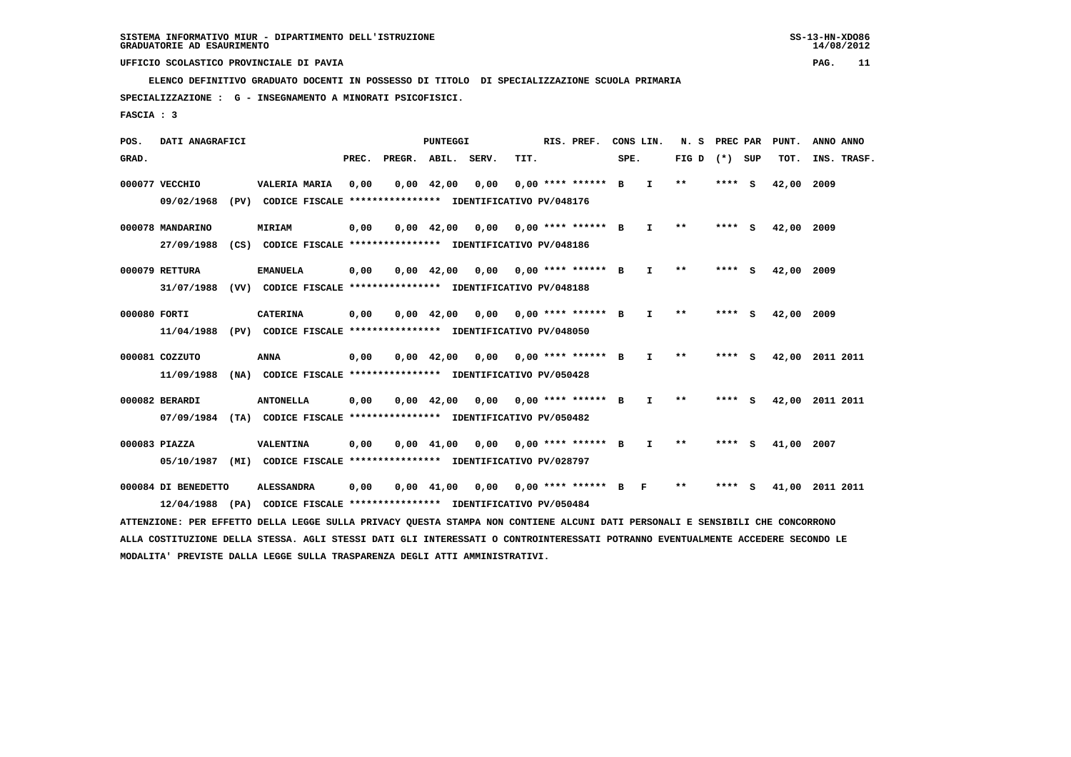**ELENCO DEFINITIVO GRADUATO DOCENTI IN POSSESSO DI TITOLO DI SPECIALIZZAZIONE SCUOLA PRIMARIA**

 **SPECIALIZZAZIONE : G - INSEGNAMENTO A MINORATI PSICOFISICI.**

 **FASCIA : 3**

 **POS. DATI ANAGRAFICI PUNTEGGI RIS. PREF. CONS LIN. N. S PREC PAR PUNT. ANNO ANNO**GRAD. **PREGRADE SERVEGE SERVE SERVE SPEREGE SPEREGALES SPEREGALES SPEREGALES SPEREGALES SPEREGALES SUP TOT. INS. TRASF. 000077 VECCHIO VALERIA MARIA 0,00 0,00 42,00 0,00 0,00 \*\*\*\* \*\*\*\*\*\* B I \*\* \*\*\*\* S 42,00 2009 09/02/1968 (PV) CODICE FISCALE \*\*\*\*\*\*\*\*\*\*\*\*\*\*\*\* IDENTIFICATIVO PV/048176 000078 MANDARINO MIRIAM 0,00 0,00 42,00 0,00 0,00 \*\*\*\* \*\*\*\*\*\* B I \*\* \*\*\*\* S 42,00 2009 27/09/1988 (CS) CODICE FISCALE \*\*\*\*\*\*\*\*\*\*\*\*\*\*\*\* IDENTIFICATIVO PV/048186 000079 RETTURA EMANUELA 0,00 0,00 42,00 0,00 0,00 \*\*\*\* \*\*\*\*\*\* B I \*\* \*\*\*\* S 42,00 2009 31/07/1988 (VV) CODICE FISCALE \*\*\*\*\*\*\*\*\*\*\*\*\*\*\*\* IDENTIFICATIVO PV/048188 000080 FORTI CATERINA 0,00 0,00 42,00 0,00 0,00 \*\*\*\* \*\*\*\*\*\* B I \*\* \*\*\*\* S 42,00 2009 11/04/1988 (PV) CODICE FISCALE \*\*\*\*\*\*\*\*\*\*\*\*\*\*\*\* IDENTIFICATIVO PV/048050 000081 COZZUTO ANNA 0,00 0,00 42,00 0,00 0,00 \*\*\*\* \*\*\*\*\*\* B I \*\* \*\*\*\* S 42,00 2011 2011 11/09/1988 (NA) CODICE FISCALE \*\*\*\*\*\*\*\*\*\*\*\*\*\*\*\* IDENTIFICATIVO PV/050428 000082 BERARDI ANTONELLA 0,00 0,00 42,00 0,00 0,00 \*\*\*\* \*\*\*\*\*\* B I \*\* \*\*\*\* S 42,00 2011 2011 07/09/1984 (TA) CODICE FISCALE \*\*\*\*\*\*\*\*\*\*\*\*\*\*\*\* IDENTIFICATIVO PV/050482 000083 PIAZZA VALENTINA 0,00 0,00 41,00 0,00 0,00 \*\*\*\* \*\*\*\*\*\* B I \*\* \*\*\*\* S 41,00 2007 05/10/1987 (MI) CODICE FISCALE \*\*\*\*\*\*\*\*\*\*\*\*\*\*\*\* IDENTIFICATIVO PV/028797 000084 DI BENEDETTO ALESSANDRA 0,00 0,00 41,00 0,00 0,00 \*\*\*\* \*\*\*\*\*\* B F \*\* \*\*\*\* S 41,00 2011 2011 12/04/1988 (PA) CODICE FISCALE \*\*\*\*\*\*\*\*\*\*\*\*\*\*\*\* IDENTIFICATIVO PV/050484 ATTENZIONE: PER EFFETTO DELLA LEGGE SULLA PRIVACY QUESTA STAMPA NON CONTIENE ALCUNI DATI PERSONALI E SENSIBILI CHE CONCORRONO**

 **ALLA COSTITUZIONE DELLA STESSA. AGLI STESSI DATI GLI INTERESSATI O CONTROINTERESSATI POTRANNO EVENTUALMENTE ACCEDERE SECONDO LE MODALITA' PREVISTE DALLA LEGGE SULLA TRASPARENZA DEGLI ATTI AMMINISTRATIVI.**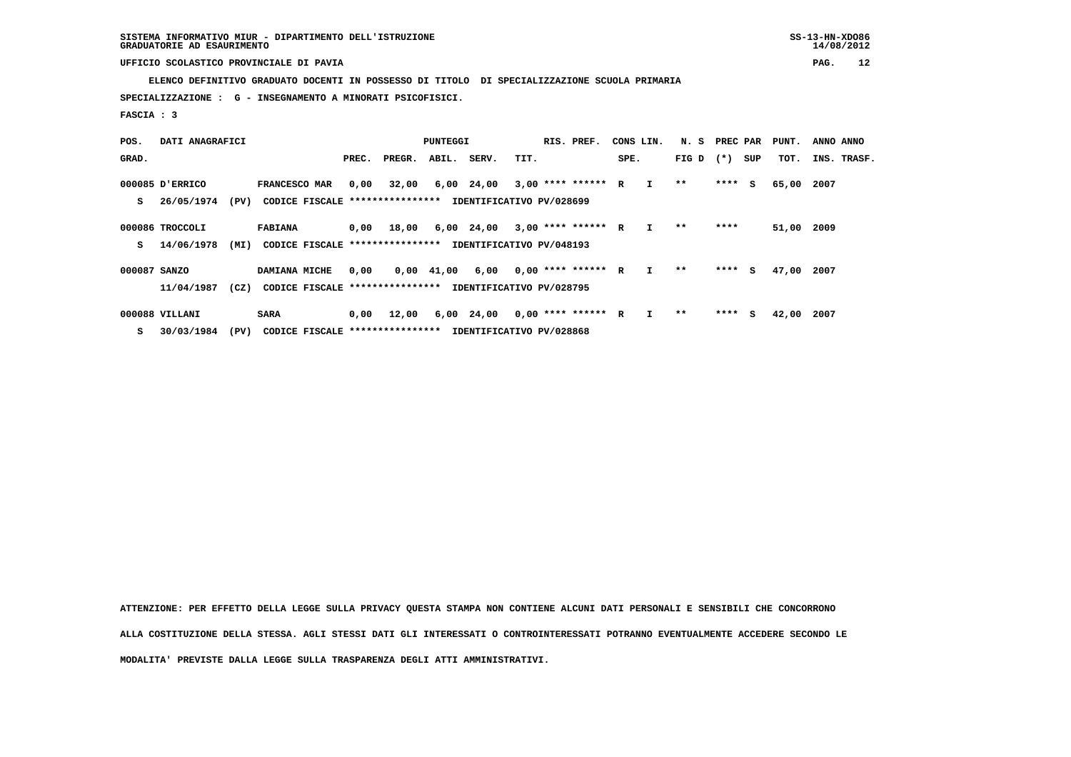**ELENCO DEFINITIVO GRADUATO DOCENTI IN POSSESSO DI TITOLO DI SPECIALIZZAZIONE SCUOLA PRIMARIA**

 **SPECIALIZZAZIONE : G - INSEGNAMENTO A MINORATI PSICOFISICI.**

 **FASCIA : 3**

| POS.         | DATI ANAGRAFICI |      |                                                          | PUNTEGGI |        |                |                          |      | RIS. PREF.           | CONS LIN. |              | N. S        | PREC PAR |     | PUNT. | ANNO ANNO   |
|--------------|-----------------|------|----------------------------------------------------------|----------|--------|----------------|--------------------------|------|----------------------|-----------|--------------|-------------|----------|-----|-------|-------------|
| GRAD.        |                 |      |                                                          | PREC.    | PREGR. | ABIL.          | SERV.                    | TIT. |                      | SPE.      |              | FIG D $(*)$ |          | SUP | тот.  | INS. TRASF. |
|              | 000085 D'ERRICO |      | FRANCESCO MAR                                            | 0,00     | 32,00  |                | 6,00 24,00               |      | $3,00$ **** ****** R |           | $\mathbf{I}$ | $* *$       | $***$ S  |     | 65,00 | 2007        |
| s            | 26/05/1974      | (PV) | CODICE FISCALE **************** IDENTIFICATIVO PV/028699 |          |        |                |                          |      |                      |           |              |             |          |     |       |             |
|              | 000086 TROCCOLI |      | <b>FABIANA</b>                                           | 0,00     | 18,00  |                | 6,00 24,00               |      | $3,00$ **** ****** R |           | I.           | $***$       | ****     |     | 51,00 | 2009        |
| s            | 14/06/1978      | (MI) | CODICE FISCALE *****************                         |          |        |                | IDENTIFICATIVO PV/048193 |      |                      |           |              |             |          |     |       |             |
| 000087 SANZO |                 |      | DAMIANA MICHE                                            | 0,00     |        | $0,00$ $41,00$ | 6,00                     |      | $0.00$ **** ****** R |           | $\mathbf{I}$ | **          | $***$ S  |     | 47,00 | 2007        |
|              | 11/04/1987      | (CZ) | CODICE FISCALE ****************                          |          |        |                | IDENTIFICATIVO PV/028795 |      |                      |           |              |             |          |     |       |             |
|              | 000088 VILLANI  |      | <b>SARA</b>                                              | 0,00     | 12,00  |                | 6,00 24,00               |      | $0.00$ **** ****** R |           |              | **          | $***$ S  |     | 42,00 | 2007        |

 **S 30/03/1984 (PV) CODICE FISCALE \*\*\*\*\*\*\*\*\*\*\*\*\*\*\*\* IDENTIFICATIVO PV/028868**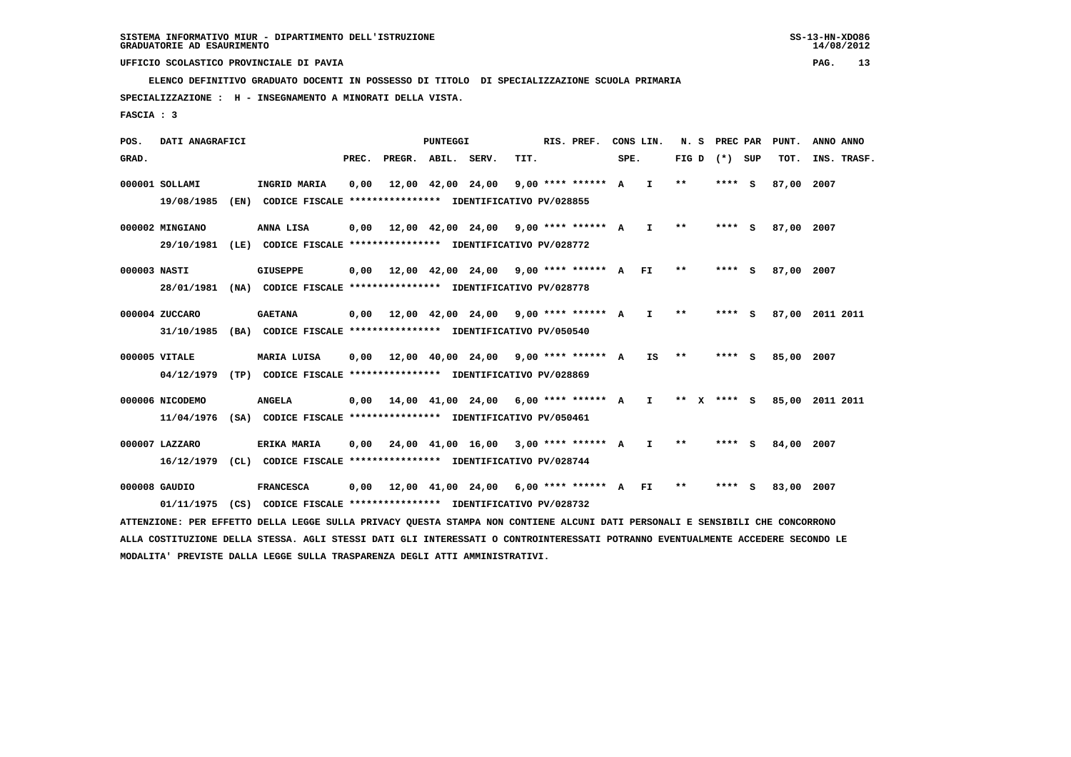**ELENCO DEFINITIVO GRADUATO DOCENTI IN POSSESSO DI TITOLO DI SPECIALIZZAZIONE SCUOLA PRIMARIA**

 **SPECIALIZZAZIONE : H - INSEGNAMENTO A MINORATI DELLA VISTA.**

 **FASCIA : 3**

 **POS. DATI ANAGRAFICI PUNTEGGI RIS. PREF. CONS LIN. N. S PREC PAR PUNT. ANNO ANNO**GRAD. **PREGRADE SERVEGE SERVE SERVE SPEREGE SPEREGALES SPEREGALES SPEREGALES SPEREGALES SPEREGALES SUP TOT. INS. TRASF. 000001 SOLLAMI INGRID MARIA 0,00 12,00 42,00 24,00 9,00 \*\*\*\* \*\*\*\*\*\* A I \*\* \*\*\*\* S 87,00 2007 19/08/1985 (EN) CODICE FISCALE \*\*\*\*\*\*\*\*\*\*\*\*\*\*\*\* IDENTIFICATIVO PV/028855 000002 MINGIANO ANNA LISA 0,00 12,00 42,00 24,00 9,00 \*\*\*\* \*\*\*\*\*\* A I \*\* \*\*\*\* S 87,00 2007 29/10/1981 (LE) CODICE FISCALE \*\*\*\*\*\*\*\*\*\*\*\*\*\*\*\* IDENTIFICATIVO PV/028772 000003 NASTI GIUSEPPE 0,00 12,00 42,00 24,00 9,00 \*\*\*\* \*\*\*\*\*\* A FI \*\* \*\*\*\* S 87,00 2007 28/01/1981 (NA) CODICE FISCALE \*\*\*\*\*\*\*\*\*\*\*\*\*\*\*\* IDENTIFICATIVO PV/028778 000004 ZUCCARO GAETANA 0,00 12,00 42,00 24,00 9,00 \*\*\*\* \*\*\*\*\*\* A I \*\* \*\*\*\* S 87,00 2011 2011 31/10/1985 (BA) CODICE FISCALE \*\*\*\*\*\*\*\*\*\*\*\*\*\*\*\* IDENTIFICATIVO PV/050540**

- **000005 VITALE MARIA LUISA 0,00 12,00 40,00 24,00 9,00 \*\*\*\* \*\*\*\*\*\* A IS \*\* \*\*\*\* S 85,00 2007 04/12/1979 (TP) CODICE FISCALE \*\*\*\*\*\*\*\*\*\*\*\*\*\*\*\* IDENTIFICATIVO PV/028869**
- **000006 NICODEMO ANGELA 0,00 14,00 41,00 24,00 6,00 \*\*\*\* \*\*\*\*\*\* A I \*\* X \*\*\*\* S 85,00 2011 2011 11/04/1976 (SA) CODICE FISCALE \*\*\*\*\*\*\*\*\*\*\*\*\*\*\*\* IDENTIFICATIVO PV/050461**
- **000007 LAZZARO ERIKA MARIA 0,00 24,00 41,00 16,00 3,00 \*\*\*\* \*\*\*\*\*\* A I \*\* \*\*\*\* S 84,00 2007 16/12/1979 (CL) CODICE FISCALE \*\*\*\*\*\*\*\*\*\*\*\*\*\*\*\* IDENTIFICATIVO PV/028744**
- **000008 GAUDIO FRANCESCA 0,00 12,00 41,00 24,00 6,00 \*\*\*\* \*\*\*\*\*\* A FI \*\* \*\*\*\* S 83,00 2007 01/11/1975 (CS) CODICE FISCALE \*\*\*\*\*\*\*\*\*\*\*\*\*\*\*\* IDENTIFICATIVO PV/028732**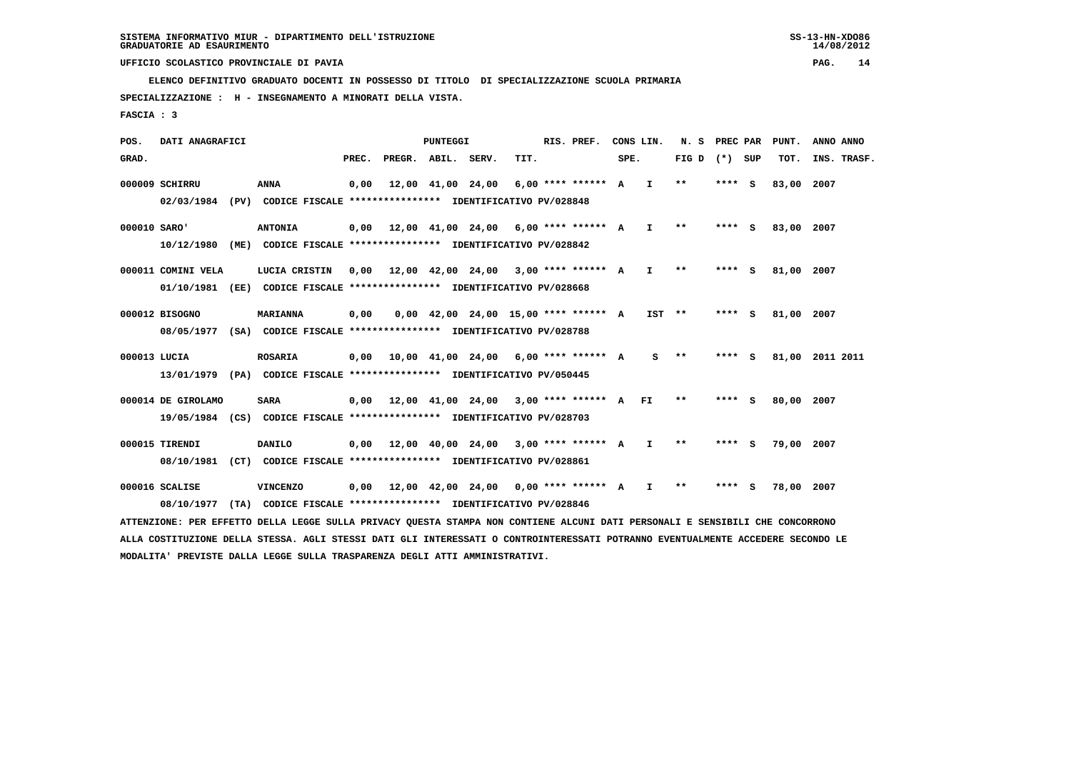**ELENCO DEFINITIVO GRADUATO DOCENTI IN POSSESSO DI TITOLO DI SPECIALIZZAZIONE SCUOLA PRIMARIA**

 **SPECIALIZZAZIONE : H - INSEGNAMENTO A MINORATI DELLA VISTA.**

 **FASCIA : 3**

 **POS. DATI ANAGRAFICI PUNTEGGI RIS. PREF. CONS LIN. N. S PREC PAR PUNT. ANNO ANNO**GRAD. **PREGRADE SERVEGE SERVE SERVE SPEREGE SPEREGALES SPEREGALES SPEREGALES SPEREGALES SPEREGALES SUP TOT. INS. TRASF. 000009 SCHIRRU ANNA 0,00 12,00 41,00 24,00 6,00 \*\*\*\* \*\*\*\*\*\* A I \*\* \*\*\*\* S 83,00 2007 02/03/1984 (PV) CODICE FISCALE \*\*\*\*\*\*\*\*\*\*\*\*\*\*\*\* IDENTIFICATIVO PV/028848 000010 SARO' ANTONIA 0,00 12,00 41,00 24,00 6,00 \*\*\*\* \*\*\*\*\*\* A I \*\* \*\*\*\* S 83,00 2007 10/12/1980 (ME) CODICE FISCALE \*\*\*\*\*\*\*\*\*\*\*\*\*\*\*\* IDENTIFICATIVO PV/028842 000011 COMINI VELA LUCIA CRISTIN 0,00 12,00 42,00 24,00 3,00 \*\*\*\* \*\*\*\*\*\* A I \*\* \*\*\*\* S 81,00 2007 01/10/1981 (EE) CODICE FISCALE \*\*\*\*\*\*\*\*\*\*\*\*\*\*\*\* IDENTIFICATIVO PV/028668 000012 BISOGNO MARIANNA 0,00 0,00 42,00 24,00 15,00 \*\*\*\* \*\*\*\*\*\* A IST \*\* \*\*\*\* S 81,00 2007 08/05/1977 (SA) CODICE FISCALE \*\*\*\*\*\*\*\*\*\*\*\*\*\*\*\* IDENTIFICATIVO PV/028788 000013 LUCIA ROSARIA 0,00 10,00 41,00 24,00 6,00 \*\*\*\* \*\*\*\*\*\* A S \*\* \*\*\*\* S 81,00 2011 2011 13/01/1979 (PA) CODICE FISCALE \*\*\*\*\*\*\*\*\*\*\*\*\*\*\*\* IDENTIFICATIVO PV/050445**

- **000014 DE GIROLAMO SARA 0,00 12,00 41,00 24,00 3,00 \*\*\*\* \*\*\*\*\*\* A FI \*\* \*\*\*\* S 80,00 2007 19/05/1984 (CS) CODICE FISCALE \*\*\*\*\*\*\*\*\*\*\*\*\*\*\*\* IDENTIFICATIVO PV/028703**
- **000015 TIRENDI DANILO 0,00 12,00 40,00 24,00 3,00 \*\*\*\* \*\*\*\*\*\* A I \*\* \*\*\*\* S 79,00 2007 08/10/1981 (CT) CODICE FISCALE \*\*\*\*\*\*\*\*\*\*\*\*\*\*\*\* IDENTIFICATIVO PV/028861**
- **000016 SCALISE VINCENZO 0,00 12,00 42,00 24,00 0,00 \*\*\*\* \*\*\*\*\*\* A I \*\* \*\*\*\* S 78,00 2007 08/10/1977 (TA) CODICE FISCALE \*\*\*\*\*\*\*\*\*\*\*\*\*\*\*\* IDENTIFICATIVO PV/028846**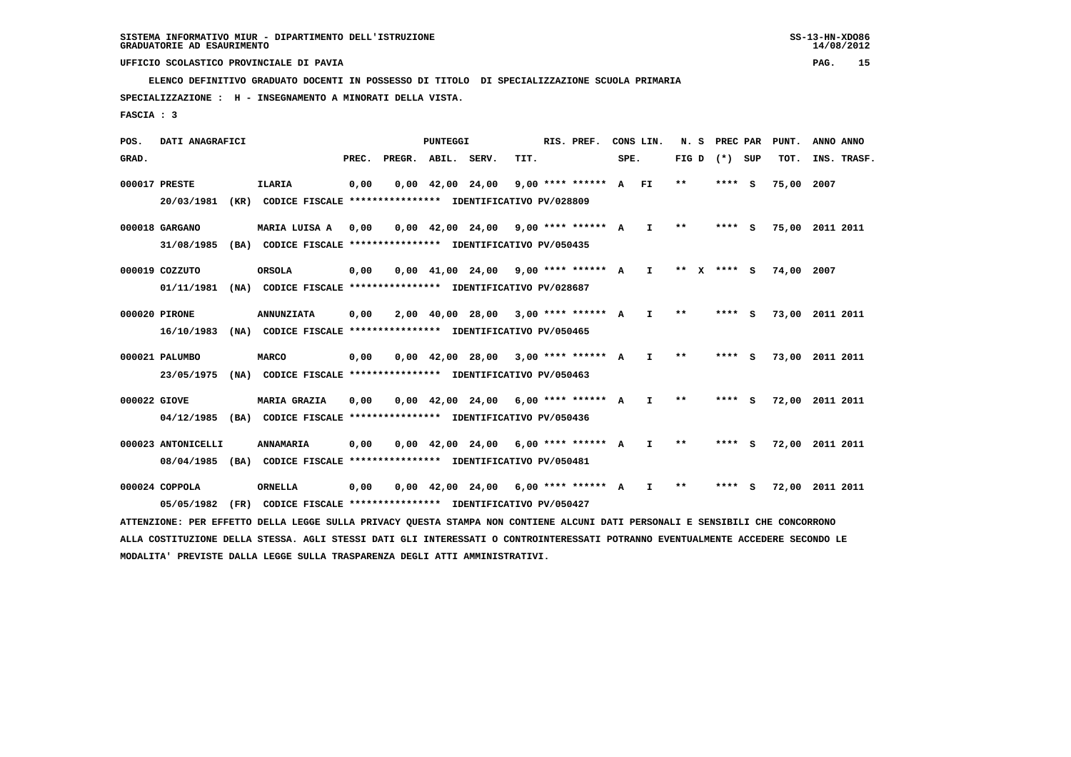**ELENCO DEFINITIVO GRADUATO DOCENTI IN POSSESSO DI TITOLO DI SPECIALIZZAZIONE SCUOLA PRIMARIA**

 **SPECIALIZZAZIONE : H - INSEGNAMENTO A MINORATI DELLA VISTA.**

 **FASCIA : 3**

 **POS. DATI ANAGRAFICI PUNTEGGI RIS. PREF. CONS LIN. N. S PREC PAR PUNT. ANNO ANNO**GRAD. **PREGRADE SERVEGE SERVE SERVE SPEREGE SPEREGALES SPEREGALES SPEREGALES SPEREGALES SPEREGALES SUP TOT. INS. TRASF. 000017 PRESTE ILARIA 0,00 0,00 42,00 24,00 9,00 \*\*\*\* \*\*\*\*\*\* A FI \*\* \*\*\*\* S 75,00 2007 20/03/1981 (KR) CODICE FISCALE \*\*\*\*\*\*\*\*\*\*\*\*\*\*\*\* IDENTIFICATIVO PV/028809 000018 GARGANO MARIA LUISA A 0,00 0,00 42,00 24,00 9,00 \*\*\*\* \*\*\*\*\*\* A I \*\* \*\*\*\* S 75,00 2011 2011 31/08/1985 (BA) CODICE FISCALE \*\*\*\*\*\*\*\*\*\*\*\*\*\*\*\* IDENTIFICATIVO PV/050435 000019 COZZUTO ORSOLA 0,00 0,00 41,00 24,00 9,00 \*\*\*\* \*\*\*\*\*\* A I \*\* X \*\*\*\* S 74,00 2007 01/11/1981 (NA) CODICE FISCALE \*\*\*\*\*\*\*\*\*\*\*\*\*\*\*\* IDENTIFICATIVO PV/028687 000020 PIRONE ANNUNZIATA 0,00 2,00 40,00 28,00 3,00 \*\*\*\* \*\*\*\*\*\* A I \*\* \*\*\*\* S 73,00 2011 2011 16/10/1983 (NA) CODICE FISCALE \*\*\*\*\*\*\*\*\*\*\*\*\*\*\*\* IDENTIFICATIVO PV/050465 000021 PALUMBO MARCO 0,00 0,00 42,00 28,00 3,00 \*\*\*\* \*\*\*\*\*\* A I \*\* \*\*\*\* S 73,00 2011 2011 23/05/1975 (NA) CODICE FISCALE \*\*\*\*\*\*\*\*\*\*\*\*\*\*\*\* IDENTIFICATIVO PV/050463 000022 GIOVE MARIA GRAZIA 0,00 0,00 42,00 24,00 6,00 \*\*\*\* \*\*\*\*\*\* A I \*\* \*\*\*\* S 72,00 2011 2011 04/12/1985 (BA) CODICE FISCALE \*\*\*\*\*\*\*\*\*\*\*\*\*\*\*\* IDENTIFICATIVO PV/050436**

 **000023 ANTONICELLI ANNAMARIA 0,00 0,00 42,00 24,00 6,00 \*\*\*\* \*\*\*\*\*\* A I \*\* \*\*\*\* S 72,00 2011 2011 08/04/1985 (BA) CODICE FISCALE \*\*\*\*\*\*\*\*\*\*\*\*\*\*\*\* IDENTIFICATIVO PV/050481**

 **000024 COPPOLA ORNELLA 0,00 0,00 42,00 24,00 6,00 \*\*\*\* \*\*\*\*\*\* A I \*\* \*\*\*\* S 72,00 2011 2011 05/05/1982 (FR) CODICE FISCALE \*\*\*\*\*\*\*\*\*\*\*\*\*\*\*\* IDENTIFICATIVO PV/050427**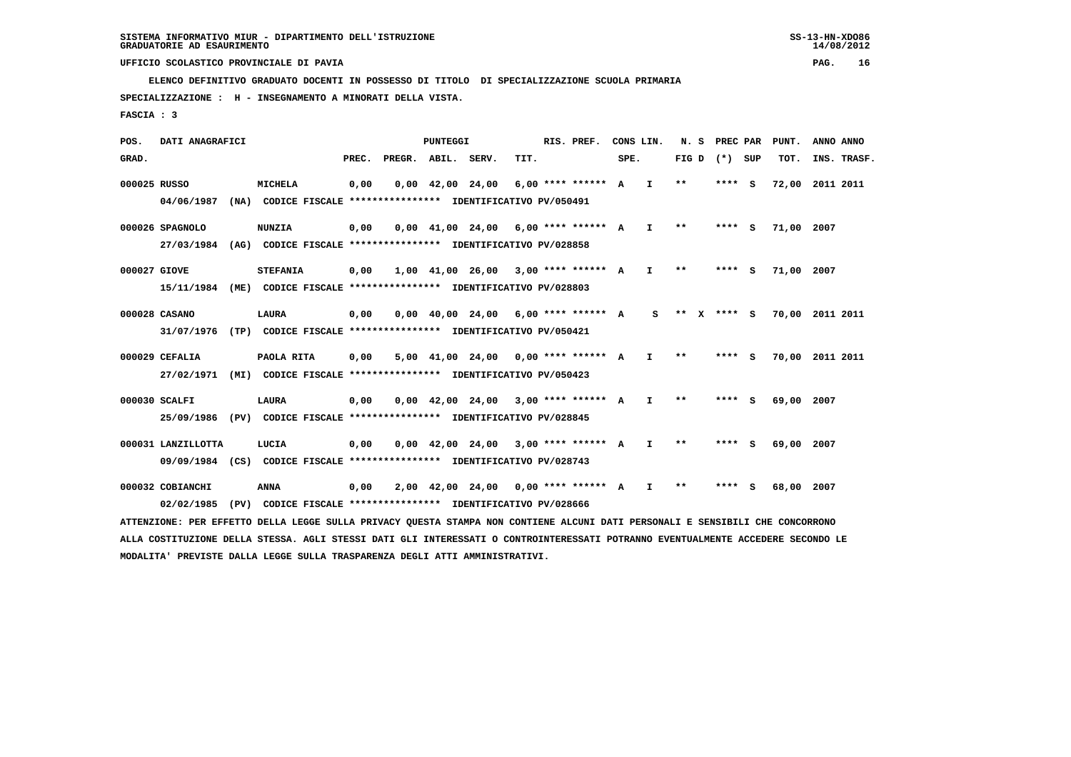**ELENCO DEFINITIVO GRADUATO DOCENTI IN POSSESSO DI TITOLO DI SPECIALIZZAZIONE SCUOLA PRIMARIA**

 **SPECIALIZZAZIONE : H - INSEGNAMENTO A MINORATI DELLA VISTA.**

 **FASCIA : 3**

 **POS. DATI ANAGRAFICI PUNTEGGI RIS. PREF. CONS LIN. N. S PREC PAR PUNT. ANNO ANNO**GRAD. **PREGRADE SERVEGE SERVE SERVE SPEREGE SPEREGALES SPEREGALES SPEREGALES SPEREGALES SPEREGALES SUP TOT. INS. TRASF. 000025 RUSSO MICHELA 0,00 0,00 42,00 24,00 6,00 \*\*\*\* \*\*\*\*\*\* A I \*\* \*\*\*\* S 72,00 2011 2011 04/06/1987 (NA) CODICE FISCALE \*\*\*\*\*\*\*\*\*\*\*\*\*\*\*\* IDENTIFICATIVO PV/050491 000026 SPAGNOLO NUNZIA 0,00 0,00 41,00 24,00 6,00 \*\*\*\* \*\*\*\*\*\* A I \*\* \*\*\*\* S 71,00 2007 27/03/1984 (AG) CODICE FISCALE \*\*\*\*\*\*\*\*\*\*\*\*\*\*\*\* IDENTIFICATIVO PV/028858 000027 GIOVE STEFANIA 0,00 1,00 41,00 26,00 3,00 \*\*\*\* \*\*\*\*\*\* A I \*\* \*\*\*\* S 71,00 2007 15/11/1984 (ME) CODICE FISCALE \*\*\*\*\*\*\*\*\*\*\*\*\*\*\*\* IDENTIFICATIVO PV/028803 000028 CASANO LAURA 0,00 0,00 40,00 24,00 6,00 \*\*\*\* \*\*\*\*\*\* A S \*\* X \*\*\*\* S 70,00 2011 2011 31/07/1976 (TP) CODICE FISCALE \*\*\*\*\*\*\*\*\*\*\*\*\*\*\*\* IDENTIFICATIVO PV/050421 000029 CEFALIA PAOLA RITA 0,00 5,00 41,00 24,00 0,00 \*\*\*\* \*\*\*\*\*\* A I \*\* \*\*\*\* S 70,00 2011 2011 27/02/1971 (MI) CODICE FISCALE \*\*\*\*\*\*\*\*\*\*\*\*\*\*\*\* IDENTIFICATIVO PV/050423 000030 SCALFI LAURA 0,00 0,00 42,00 24,00 3,00 \*\*\*\* \*\*\*\*\*\* A I \*\* \*\*\*\* S 69,00 2007 25/09/1986 (PV) CODICE FISCALE \*\*\*\*\*\*\*\*\*\*\*\*\*\*\*\* IDENTIFICATIVO PV/028845 000031 LANZILLOTTA LUCIA 0,00 0,00 42,00 24,00 3,00 \*\*\*\* \*\*\*\*\*\* A I \*\* \*\*\*\* S 69,00 2007**

 **09/09/1984 (CS) CODICE FISCALE \*\*\*\*\*\*\*\*\*\*\*\*\*\*\*\* IDENTIFICATIVO PV/028743**

 **000032 COBIANCHI ANNA 0,00 2,00 42,00 24,00 0,00 \*\*\*\* \*\*\*\*\*\* A I \*\* \*\*\*\* S 68,00 2007 02/02/1985 (PV) CODICE FISCALE \*\*\*\*\*\*\*\*\*\*\*\*\*\*\*\* IDENTIFICATIVO PV/028666**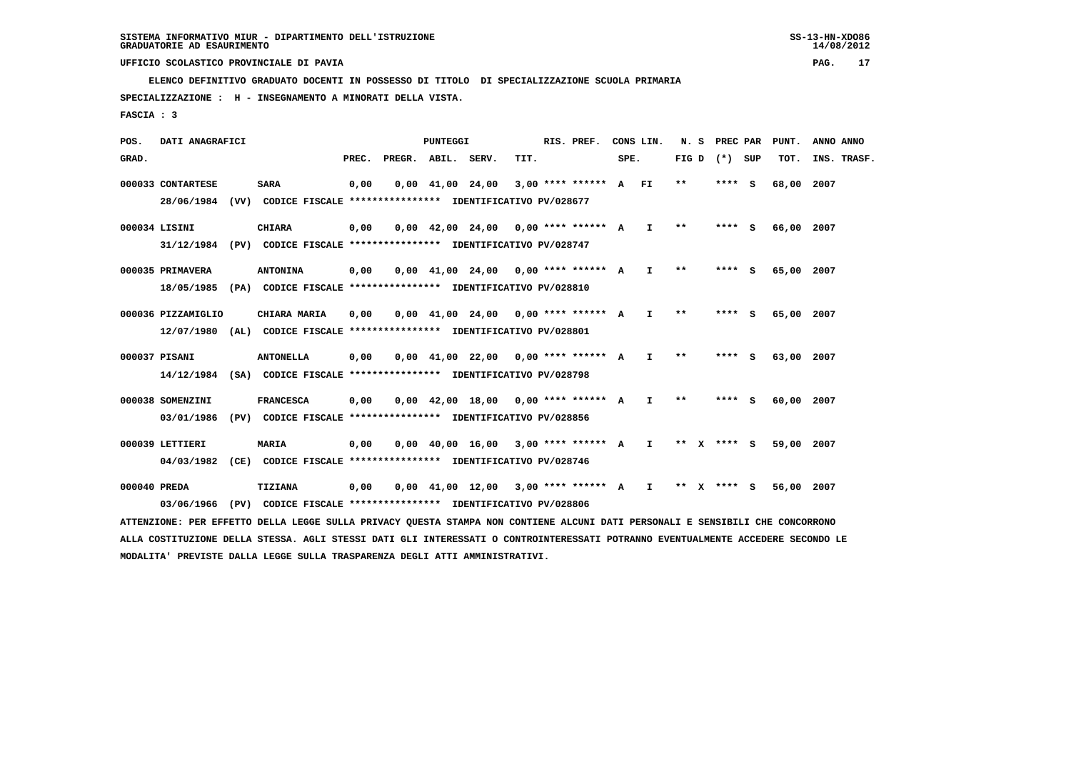**ELENCO DEFINITIVO GRADUATO DOCENTI IN POSSESSO DI TITOLO DI SPECIALIZZAZIONE SCUOLA PRIMARIA**

 **SPECIALIZZAZIONE : H - INSEGNAMENTO A MINORATI DELLA VISTA.**

 **FASCIA : 3**

 **POS. DATI ANAGRAFICI PUNTEGGI RIS. PREF. CONS LIN. N. S PREC PAR PUNT. ANNO ANNO**GRAD. **PREGRADE SERVEGE SERVE SERVE SPEREGE SPEREGALES SPEREGALES SPEREGALES SPEREGALES SPEREGALES SUP TOT. INS. TRASF. 000033 CONTARTESE SARA 0,00 0,00 41,00 24,00 3,00 \*\*\*\* \*\*\*\*\*\* A FI \*\* \*\*\*\* S 68,00 2007 28/06/1984 (VV) CODICE FISCALE \*\*\*\*\*\*\*\*\*\*\*\*\*\*\*\* IDENTIFICATIVO PV/028677 000034 LISINI CHIARA 0,00 0,00 42,00 24,00 0,00 \*\*\*\* \*\*\*\*\*\* A I \*\* \*\*\*\* S 66,00 2007 31/12/1984 (PV) CODICE FISCALE \*\*\*\*\*\*\*\*\*\*\*\*\*\*\*\* IDENTIFICATIVO PV/028747 000035 PRIMAVERA ANTONINA 0,00 0,00 41,00 24,00 0,00 \*\*\*\* \*\*\*\*\*\* A I \*\* \*\*\*\* S 65,00 2007 18/05/1985 (PA) CODICE FISCALE \*\*\*\*\*\*\*\*\*\*\*\*\*\*\*\* IDENTIFICATIVO PV/028810 000036 PIZZAMIGLIO CHIARA MARIA 0,00 0,00 41,00 24,00 0,00 \*\*\*\* \*\*\*\*\*\* A I \*\* \*\*\*\* S 65,00 2007 12/07/1980 (AL) CODICE FISCALE \*\*\*\*\*\*\*\*\*\*\*\*\*\*\*\* IDENTIFICATIVO PV/028801 000037 PISANI ANTONELLA 0,00 0,00 41,00 22,00 0,00 \*\*\*\* \*\*\*\*\*\* A I \*\* \*\*\*\* S 63,00 2007 14/12/1984 (SA) CODICE FISCALE \*\*\*\*\*\*\*\*\*\*\*\*\*\*\*\* IDENTIFICATIVO PV/028798 000038 SOMENZINI FRANCESCA 0,00 0,00 42,00 18,00 0,00 \*\*\*\* \*\*\*\*\*\* A I \*\* \*\*\*\* S 60,00 2007 03/01/1986 (PV) CODICE FISCALE \*\*\*\*\*\*\*\*\*\*\*\*\*\*\*\* IDENTIFICATIVO PV/028856 000039 LETTIERI MARIA 0,00 0,00 40,00 16,00 3,00 \*\*\*\* \*\*\*\*\*\* A I \*\* X \*\*\*\* S 59,00 2007 04/03/1982 (CE) CODICE FISCALE \*\*\*\*\*\*\*\*\*\*\*\*\*\*\*\* IDENTIFICATIVO PV/028746 000040 PREDA TIZIANA 0,00 0,00 41,00 12,00 3,00 \*\*\*\* \*\*\*\*\*\* A I \*\* X \*\*\*\* S 56,00 2007 03/06/1966 (PV) CODICE FISCALE \*\*\*\*\*\*\*\*\*\*\*\*\*\*\*\* IDENTIFICATIVO PV/028806**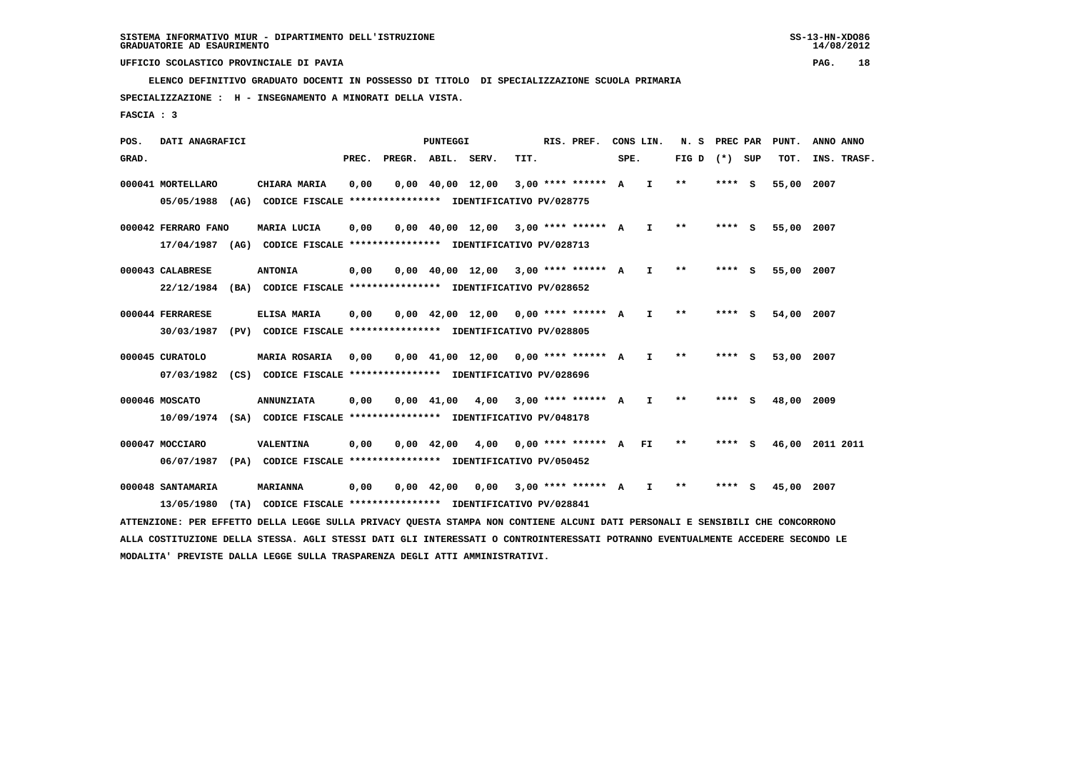**ELENCO DEFINITIVO GRADUATO DOCENTI IN POSSESSO DI TITOLO DI SPECIALIZZAZIONE SCUOLA PRIMARIA**

 **SPECIALIZZAZIONE : H - INSEGNAMENTO A MINORATI DELLA VISTA.**

 **FASCIA : 3**

 **POS. DATI ANAGRAFICI PUNTEGGI RIS. PREF. CONS LIN. N. S PREC PAR PUNT. ANNO ANNO**GRAD. **PREGRADE SERVEGE SERVE SERVE SPEREGE SPEREGALES SPEREGALES SPEREGALES SPEREGALES SPEREGALES SUP TOT. INS. TRASF. 000041 MORTELLARO CHIARA MARIA 0,00 0,00 40,00 12,00 3,00 \*\*\*\* \*\*\*\*\*\* A I \*\* \*\*\*\* S 55,00 2007 05/05/1988 (AG) CODICE FISCALE \*\*\*\*\*\*\*\*\*\*\*\*\*\*\*\* IDENTIFICATIVO PV/028775 000042 FERRARO FANO MARIA LUCIA 0,00 0,00 40,00 12,00 3,00 \*\*\*\* \*\*\*\*\*\* A I \*\* \*\*\*\* S 55,00 2007 17/04/1987 (AG) CODICE FISCALE \*\*\*\*\*\*\*\*\*\*\*\*\*\*\*\* IDENTIFICATIVO PV/028713 000043 CALABRESE ANTONIA 0,00 0,00 40,00 12,00 3,00 \*\*\*\* \*\*\*\*\*\* A I \*\* \*\*\*\* S 55,00 2007 22/12/1984 (BA) CODICE FISCALE \*\*\*\*\*\*\*\*\*\*\*\*\*\*\*\* IDENTIFICATIVO PV/028652 000044 FERRARESE ELISA MARIA 0,00 0,00 42,00 12,00 0,00 \*\*\*\* \*\*\*\*\*\* A I \*\* \*\*\*\* S 54,00 2007 30/03/1987 (PV) CODICE FISCALE \*\*\*\*\*\*\*\*\*\*\*\*\*\*\*\* IDENTIFICATIVO PV/028805 000045 CURATOLO MARIA ROSARIA 0,00 0,00 41,00 12,00 0,00 \*\*\*\* \*\*\*\*\*\* A I \*\* \*\*\*\* S 53,00 2007 07/03/1982 (CS) CODICE FISCALE \*\*\*\*\*\*\*\*\*\*\*\*\*\*\*\* IDENTIFICATIVO PV/028696 000046 MOSCATO ANNUNZIATA 0,00 0,00 41,00 4,00 3,00 \*\*\*\* \*\*\*\*\*\* A I \*\* \*\*\*\* S 48,00 2009 10/09/1974 (SA) CODICE FISCALE \*\*\*\*\*\*\*\*\*\*\*\*\*\*\*\* IDENTIFICATIVO PV/048178 000047 MOCCIARO VALENTINA 0,00 0,00 42,00 4,00 0,00 \*\*\*\* \*\*\*\*\*\* A FI \*\* \*\*\*\* S 46,00 2011 2011 06/07/1987 (PA) CODICE FISCALE \*\*\*\*\*\*\*\*\*\*\*\*\*\*\*\* IDENTIFICATIVO PV/050452 000048 SANTAMARIA MARIANNA 0,00 0,00 42,00 0,00 3,00 \*\*\*\* \*\*\*\*\*\* A I \*\* \*\*\*\* S 45,00 2007 13/05/1980 (TA) CODICE FISCALE \*\*\*\*\*\*\*\*\*\*\*\*\*\*\*\* IDENTIFICATIVO PV/028841**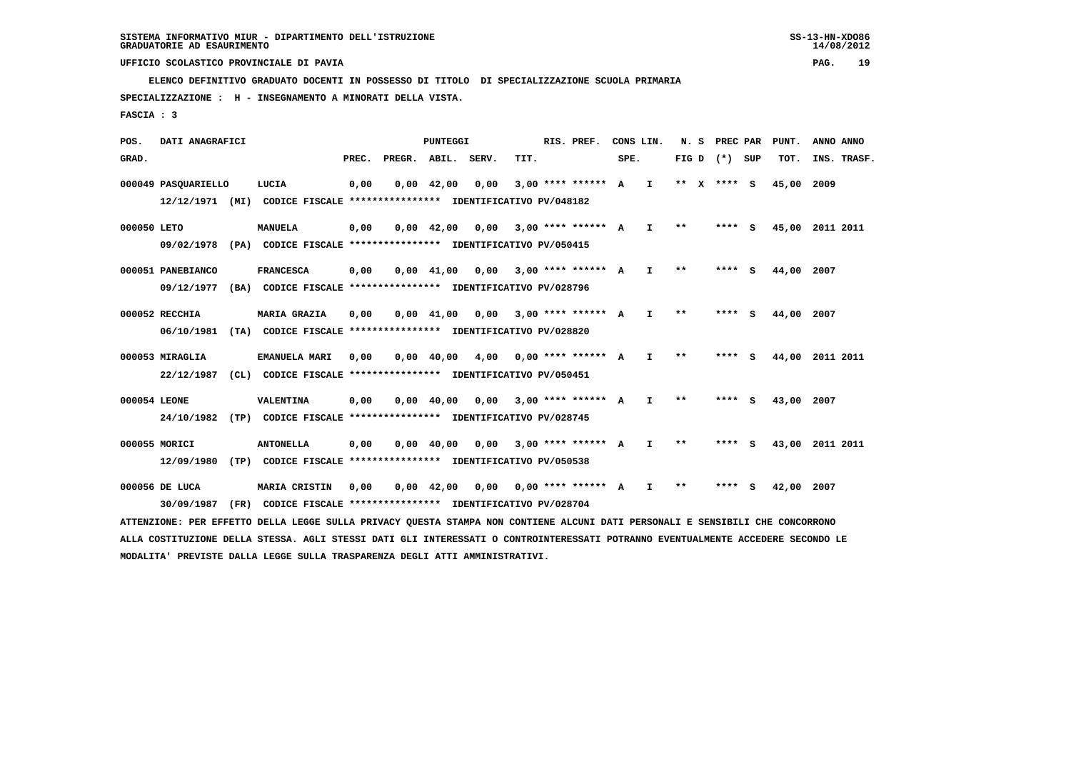**ELENCO DEFINITIVO GRADUATO DOCENTI IN POSSESSO DI TITOLO DI SPECIALIZZAZIONE SCUOLA PRIMARIA**

 **SPECIALIZZAZIONE : H - INSEGNAMENTO A MINORATI DELLA VISTA.**

 **FASCIA : 3**

 **POS. DATI ANAGRAFICI PUNTEGGI RIS. PREF. CONS LIN. N. S PREC PAR PUNT. ANNO ANNO**GRAD. **PREGRADE SERVEGE SERVE SERVE SPEREGE SPEREGALES SPEREGALES SPEREGALES SPEREGALES SPEREGALES SUP TOT. INS. TRASF. 000049 PASQUARIELLO LUCIA 0,00 0,00 42,00 0,00 3,00 \*\*\*\* \*\*\*\*\*\* A I \*\* X \*\*\*\* S 45,00 2009 12/12/1971 (MI) CODICE FISCALE \*\*\*\*\*\*\*\*\*\*\*\*\*\*\*\* IDENTIFICATIVO PV/048182 000050 LETO MANUELA 0,00 0,00 42,00 0,00 3,00 \*\*\*\* \*\*\*\*\*\* A I \*\* \*\*\*\* S 45,00 2011 2011 09/02/1978 (PA) CODICE FISCALE \*\*\*\*\*\*\*\*\*\*\*\*\*\*\*\* IDENTIFICATIVO PV/050415 000051 PANEBIANCO FRANCESCA 0,00 0,00 41,00 0,00 3,00 \*\*\*\* \*\*\*\*\*\* A I \*\* \*\*\*\* S 44,00 2007 09/12/1977 (BA) CODICE FISCALE \*\*\*\*\*\*\*\*\*\*\*\*\*\*\*\* IDENTIFICATIVO PV/028796 000052 RECCHIA MARIA GRAZIA 0,00 0,00 41,00 0,00 3,00 \*\*\*\* \*\*\*\*\*\* A I \*\* \*\*\*\* S 44,00 2007 06/10/1981 (TA) CODICE FISCALE \*\*\*\*\*\*\*\*\*\*\*\*\*\*\*\* IDENTIFICATIVO PV/028820 000053 MIRAGLIA EMANUELA MARI 0,00 0,00 40,00 4,00 0,00 \*\*\*\* \*\*\*\*\*\* A I \*\* \*\*\*\* S 44,00 2011 2011 22/12/1987 (CL) CODICE FISCALE \*\*\*\*\*\*\*\*\*\*\*\*\*\*\*\* IDENTIFICATIVO PV/050451 000054 LEONE VALENTINA 0,00 0,00 40,00 0,00 3,00 \*\*\*\* \*\*\*\*\*\* A I \*\* \*\*\*\* S 43,00 2007 24/10/1982 (TP) CODICE FISCALE \*\*\*\*\*\*\*\*\*\*\*\*\*\*\*\* IDENTIFICATIVO PV/028745 000055 MORICI ANTONELLA 0,00 0,00 40,00 0,00 3,00 \*\*\*\* \*\*\*\*\*\* A I \*\* \*\*\*\* S 43,00 2011 2011 12/09/1980 (TP) CODICE FISCALE \*\*\*\*\*\*\*\*\*\*\*\*\*\*\*\* IDENTIFICATIVO PV/050538 000056 DE LUCA MARIA CRISTIN 0,00 0,00 42,00 0,00 0,00 \*\*\*\* \*\*\*\*\*\* A I \*\* \*\*\*\* S 42,00 2007 30/09/1987 (FR) CODICE FISCALE \*\*\*\*\*\*\*\*\*\*\*\*\*\*\*\* IDENTIFICATIVO PV/028704 ATTENZIONE: PER EFFETTO DELLA LEGGE SULLA PRIVACY QUESTA STAMPA NON CONTIENE ALCUNI DATI PERSONALI E SENSIBILI CHE CONCORRONO**

 **ALLA COSTITUZIONE DELLA STESSA. AGLI STESSI DATI GLI INTERESSATI O CONTROINTERESSATI POTRANNO EVENTUALMENTE ACCEDERE SECONDO LE MODALITA' PREVISTE DALLA LEGGE SULLA TRASPARENZA DEGLI ATTI AMMINISTRATIVI.**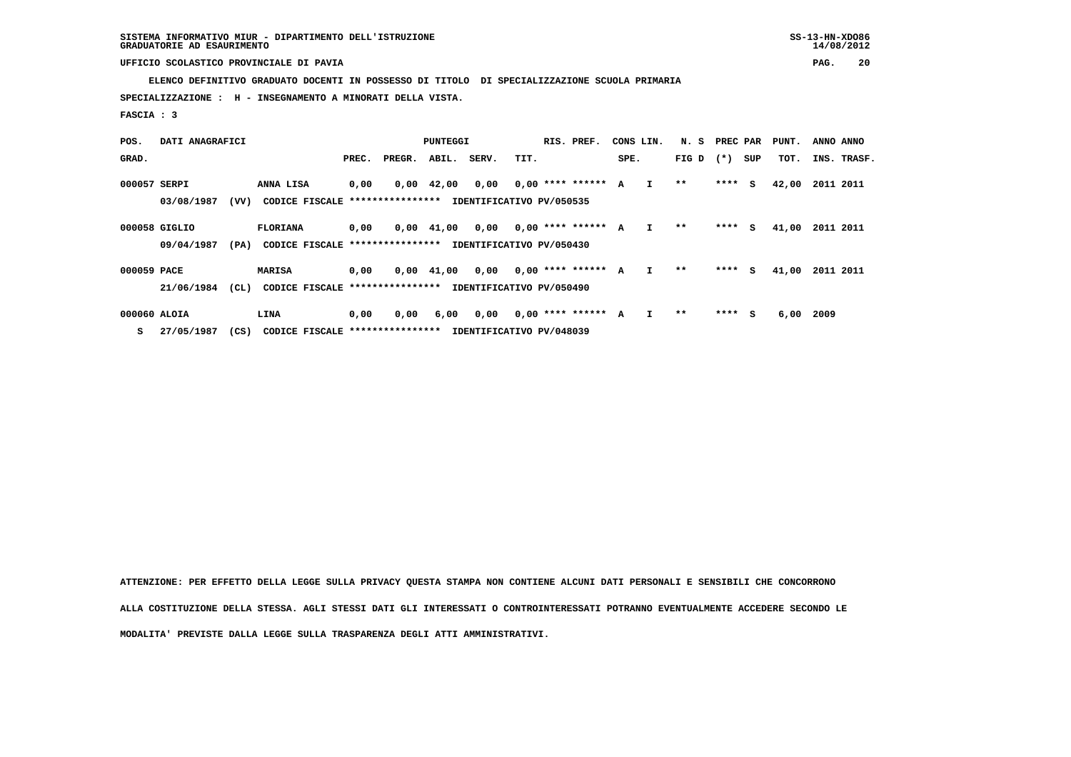**ELENCO DEFINITIVO GRADUATO DOCENTI IN POSSESSO DI TITOLO DI SPECIALIZZAZIONE SCUOLA PRIMARIA**

 **SPECIALIZZAZIONE : H - INSEGNAMENTO A MINORATI DELLA VISTA.**

 **FASCIA : 3**

| POS.         | DATI ANAGRAFICI |      | PUNTEGGI                        |       |        |                    |       | RIS. PREF.<br>CONS LIN.  |                      |      | N. S         | PREC PAR |         | PUNT. | ANNO ANNO |             |  |
|--------------|-----------------|------|---------------------------------|-------|--------|--------------------|-------|--------------------------|----------------------|------|--------------|----------|---------|-------|-----------|-------------|--|
| GRAD.        |                 |      |                                 | PREC. | PREGR. | ABIL.              | SERV. | TIT.                     |                      | SPE. |              | FIG D    | $(* )$  | SUP   | TOT.      | INS. TRASF. |  |
| 000057 SERPI |                 |      | ANNA LISA                       | 0,00  |        | $0,00 \quad 42,00$ | 0,00  |                          | $0.00$ **** ****** A |      | $\mathbf{I}$ | $***$    | $***$ S |       | 42,00     | 2011 2011   |  |
|              | 03/08/1987      | (VV) | CODICE FISCALE **************** |       |        |                    |       | IDENTIFICATIVO PV/050535 |                      |      |              |          |         |       |           |             |  |
|              | 000058 GIGLIO   |      | <b>FLORIANA</b>                 | 0,00  |        | $0.00 \quad 41.00$ | 0,00  |                          | $0,00$ **** ****** A |      | I.           | $* *$    | $***$ S |       | 41,00     | 2011 2011   |  |
|              | 09/04/1987      | (PA) | CODICE FISCALE **************** |       |        |                    |       | IDENTIFICATIVO PV/050430 |                      |      |              |          |         |       |           |             |  |
| 000059 PACE  |                 |      | <b>MARISA</b>                   | 0,00  |        | $0,00$ $41,00$     | 0,00  |                          | $0,00$ **** ****** A |      | I.           | $* *$    | $***$ S |       | 41,00     | 2011 2011   |  |
|              | 21/06/1984      | (CL) | CODICE FISCALE **************** |       |        |                    |       | IDENTIFICATIVO PV/050490 |                      |      |              |          |         |       |           |             |  |
| 000060 ALOIA |                 |      | LINA                            | 0,00  | 0,00   | 6,00               | 0,00  |                          | $0.00$ **** ****** A |      |              | **       | $***$ S |       | 6,00      | 2009        |  |

 **S 27/05/1987 (CS) CODICE FISCALE \*\*\*\*\*\*\*\*\*\*\*\*\*\*\*\* IDENTIFICATIVO PV/048039**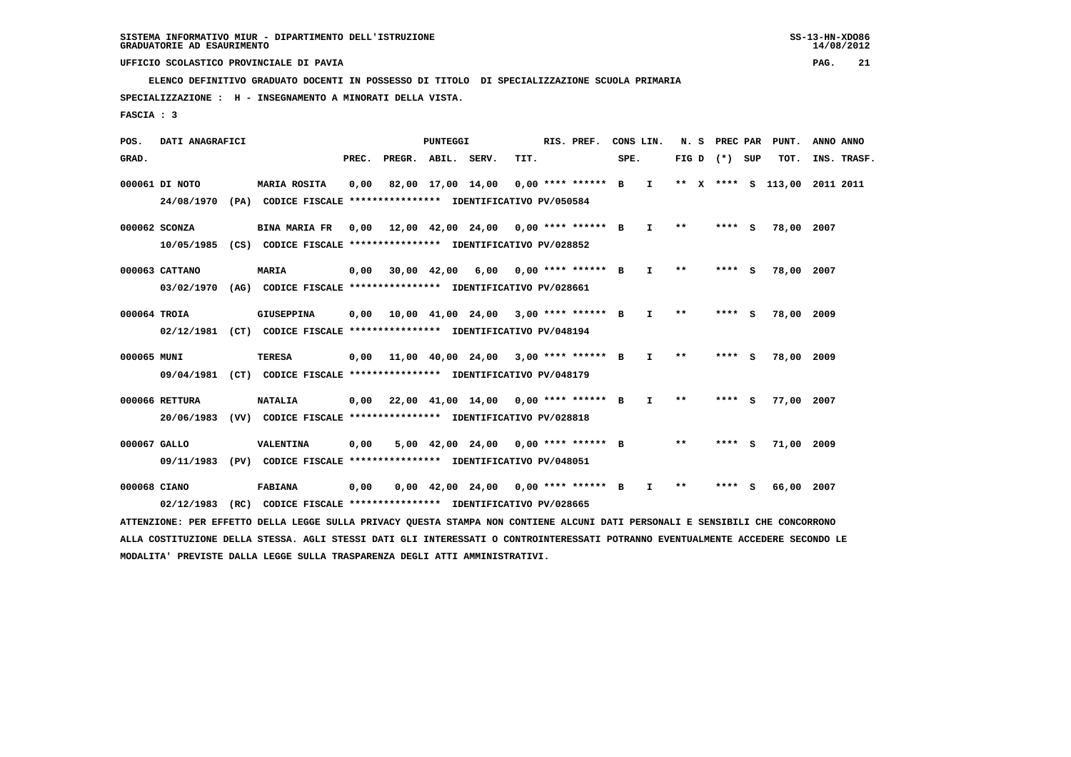**ELENCO DEFINITIVO GRADUATO DOCENTI IN POSSESSO DI TITOLO DI SPECIALIZZAZIONE SCUOLA PRIMARIA**

 **SPECIALIZZAZIONE : H - INSEGNAMENTO A MINORATI DELLA VISTA.**

 **FASCIA : 3**

 **POS. DATI ANAGRAFICI PUNTEGGI RIS. PREF. CONS LIN. N. S PREC PAR PUNT. ANNO ANNO**GRAD. **PREGRADE SERVEGE SERVE SERVE SPEREGE SPEREGALES SPEREGALES SPEREGALES SPEREGALES SPEREGALES SUP TOT. INS. TRASF. 000061 DI NOTO MARIA ROSITA 0,00 82,00 17,00 14,00 0,00 \*\*\*\* \*\*\*\*\*\* B I \*\* X \*\*\*\* S 113,00 2011 2011 24/08/1970 (PA) CODICE FISCALE \*\*\*\*\*\*\*\*\*\*\*\*\*\*\*\* IDENTIFICATIVO PV/050584 000062 SCONZA BINA MARIA FR 0,00 12,00 42,00 24,00 0,00 \*\*\*\* \*\*\*\*\*\* B I \*\* \*\*\*\* S 78,00 2007 10/05/1985 (CS) CODICE FISCALE \*\*\*\*\*\*\*\*\*\*\*\*\*\*\*\* IDENTIFICATIVO PV/028852 000063 CATTANO MARIA 0,00 30,00 42,00 6,00 0,00 \*\*\*\* \*\*\*\*\*\* B I \*\* \*\*\*\* S 78,00 2007 03/02/1970 (AG) CODICE FISCALE \*\*\*\*\*\*\*\*\*\*\*\*\*\*\*\* IDENTIFICATIVO PV/028661 000064 TROIA GIUSEPPINA 0,00 10,00 41,00 24,00 3,00 \*\*\*\* \*\*\*\*\*\* B I \*\* \*\*\*\* S 78,00 2009 02/12/1981 (CT) CODICE FISCALE \*\*\*\*\*\*\*\*\*\*\*\*\*\*\*\* IDENTIFICATIVO PV/048194 000065 MUNI TERESA 0,00 11,00 40,00 24,00 3,00 \*\*\*\* \*\*\*\*\*\* B I \*\* \*\*\*\* S 78,00 2009 09/04/1981 (CT) CODICE FISCALE \*\*\*\*\*\*\*\*\*\*\*\*\*\*\*\* IDENTIFICATIVO PV/048179 000066 RETTURA NATALIA 0,00 22,00 41,00 14,00 0,00 \*\*\*\* \*\*\*\*\*\* B I \*\* \*\*\*\* S 77,00 2007 20/06/1983 (VV) CODICE FISCALE \*\*\*\*\*\*\*\*\*\*\*\*\*\*\*\* IDENTIFICATIVO PV/028818 000067 GALLO VALENTINA 0,00 5,00 42,00 24,00 0,00 \*\*\*\* \*\*\*\*\*\* B \*\* \*\*\*\* S 71,00 2009 09/11/1983 (PV) CODICE FISCALE \*\*\*\*\*\*\*\*\*\*\*\*\*\*\*\* IDENTIFICATIVO PV/048051**

 **000068 CIANO FABIANA 0,00 0,00 42,00 24,00 0,00 \*\*\*\* \*\*\*\*\*\* B I \*\* \*\*\*\* S 66,00 2007 02/12/1983 (RC) CODICE FISCALE \*\*\*\*\*\*\*\*\*\*\*\*\*\*\*\* IDENTIFICATIVO PV/028665**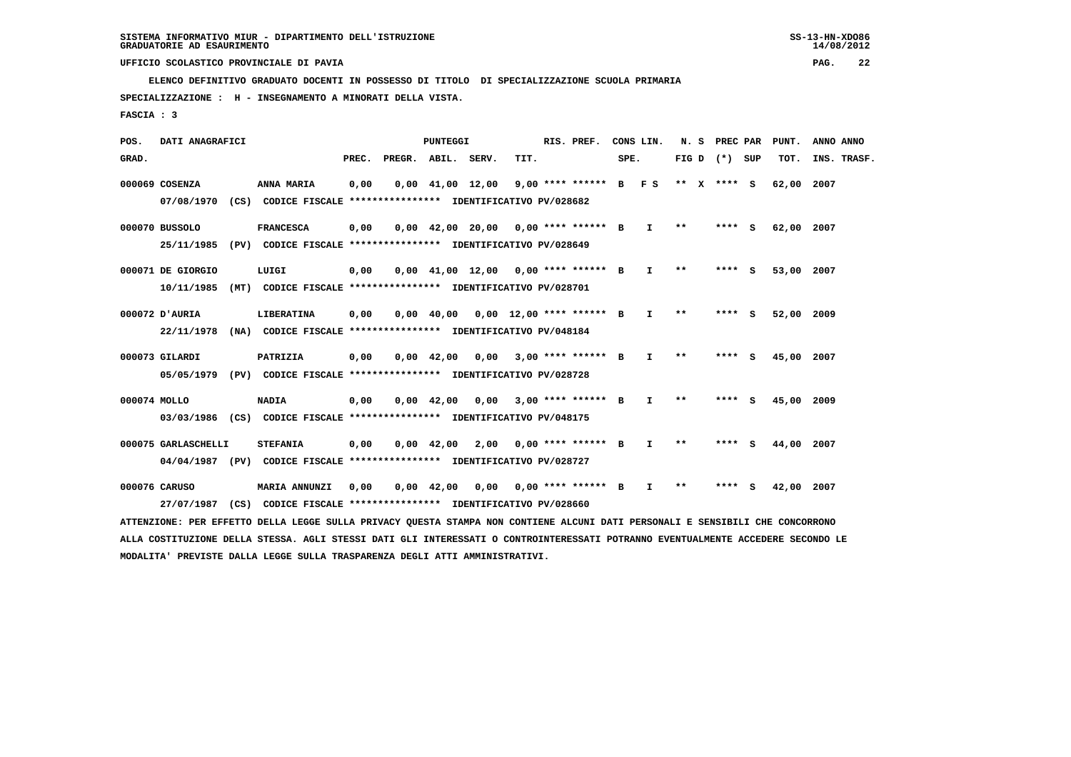**ELENCO DEFINITIVO GRADUATO DOCENTI IN POSSESSO DI TITOLO DI SPECIALIZZAZIONE SCUOLA PRIMARIA**

 **SPECIALIZZAZIONE : H - INSEGNAMENTO A MINORATI DELLA VISTA.**

 **FASCIA : 3**

 **POS. DATI ANAGRAFICI PUNTEGGI RIS. PREF. CONS LIN. N. S PREC PAR PUNT. ANNO ANNO**GRAD. **PREGRADE SERVEGE SERVE SERVE SPEREGE SPEREGALES SPEREGALES SPEREGALES SPEREGALES SPEREGALES SUP TOT. INS. TRASF. 000069 COSENZA ANNA MARIA 0,00 0,00 41,00 12,00 9,00 \*\*\*\* \*\*\*\*\*\* B F S \*\* X \*\*\*\* S 62,00 2007 07/08/1970 (CS) CODICE FISCALE \*\*\*\*\*\*\*\*\*\*\*\*\*\*\*\* IDENTIFICATIVO PV/028682 000070 BUSSOLO FRANCESCA 0,00 0,00 42,00 20,00 0,00 \*\*\*\* \*\*\*\*\*\* B I \*\* \*\*\*\* S 62,00 2007 25/11/1985 (PV) CODICE FISCALE \*\*\*\*\*\*\*\*\*\*\*\*\*\*\*\* IDENTIFICATIVO PV/028649 000071 DE GIORGIO LUIGI 0,00 0,00 41,00 12,00 0,00 \*\*\*\* \*\*\*\*\*\* B I \*\* \*\*\*\* S 53,00 2007 10/11/1985 (MT) CODICE FISCALE \*\*\*\*\*\*\*\*\*\*\*\*\*\*\*\* IDENTIFICATIVO PV/028701 000072 D'AURIA LIBERATINA 0,00 0,00 40,00 0,00 12,00 \*\*\*\* \*\*\*\*\*\* B I \*\* \*\*\*\* S 52,00 2009 22/11/1978 (NA) CODICE FISCALE \*\*\*\*\*\*\*\*\*\*\*\*\*\*\*\* IDENTIFICATIVO PV/048184 000073 GILARDI PATRIZIA 0,00 0,00 42,00 0,00 3,00 \*\*\*\* \*\*\*\*\*\* B I \*\* \*\*\*\* S 45,00 2007 05/05/1979 (PV) CODICE FISCALE \*\*\*\*\*\*\*\*\*\*\*\*\*\*\*\* IDENTIFICATIVO PV/028728 000074 MOLLO NADIA 0,00 0,00 42,00 0,00 3,00 \*\*\*\* \*\*\*\*\*\* B I \*\* \*\*\*\* S 45,00 2009 03/03/1986 (CS) CODICE FISCALE \*\*\*\*\*\*\*\*\*\*\*\*\*\*\*\* IDENTIFICATIVO PV/048175**

 **000075 GARLASCHELLI STEFANIA 0,00 0,00 42,00 2,00 0,00 \*\*\*\* \*\*\*\*\*\* B I \*\* \*\*\*\* S 44,00 2007 04/04/1987 (PV) CODICE FISCALE \*\*\*\*\*\*\*\*\*\*\*\*\*\*\*\* IDENTIFICATIVO PV/028727**

 **000076 CARUSO MARIA ANNUNZI 0,00 0,00 42,00 0,00 0,00 \*\*\*\* \*\*\*\*\*\* B I \*\* \*\*\*\* S 42,00 2007 27/07/1987 (CS) CODICE FISCALE \*\*\*\*\*\*\*\*\*\*\*\*\*\*\*\* IDENTIFICATIVO PV/028660**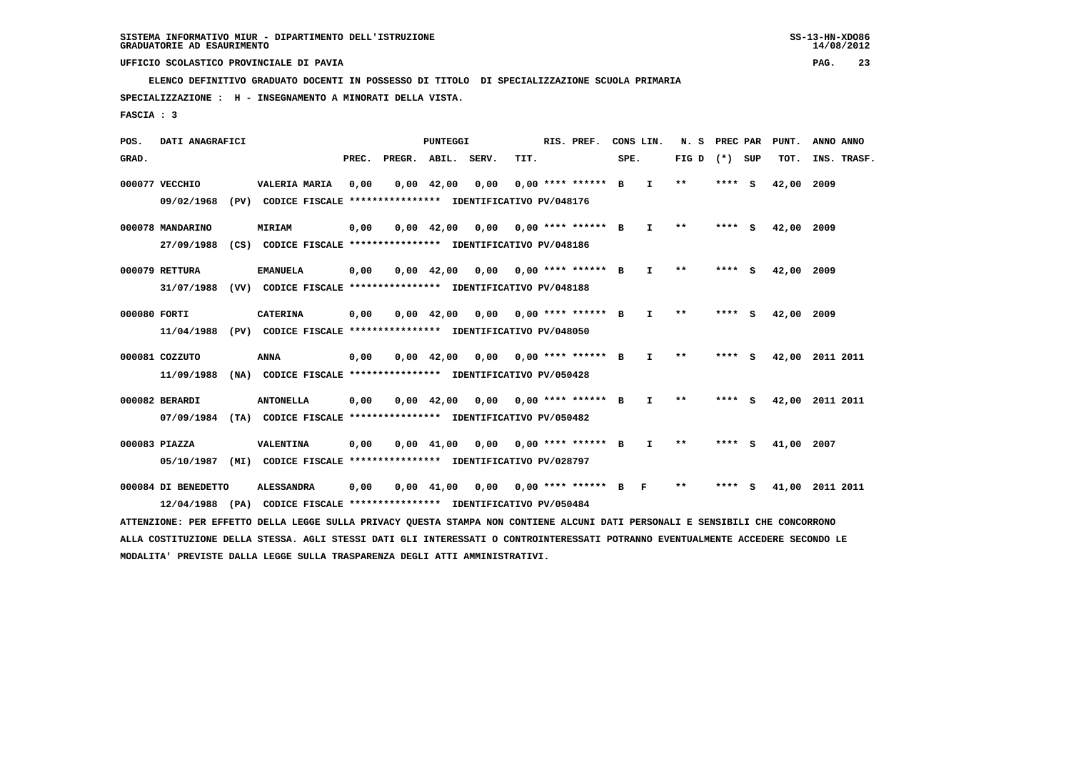**ELENCO DEFINITIVO GRADUATO DOCENTI IN POSSESSO DI TITOLO DI SPECIALIZZAZIONE SCUOLA PRIMARIA**

 **SPECIALIZZAZIONE : H - INSEGNAMENTO A MINORATI DELLA VISTA.**

 **FASCIA : 3**

 **POS. DATI ANAGRAFICI PUNTEGGI RIS. PREF. CONS LIN. N. S PREC PAR PUNT. ANNO ANNO**GRAD. **PREGRADE SERVEGE SERVE SERVE SPEREGE SPEREGALES SPEREGALES SPEREGALES SPEREGALES SPEREGALES SUP TOT. INS. TRASF. 000077 VECCHIO VALERIA MARIA 0,00 0,00 42,00 0,00 0,00 \*\*\*\* \*\*\*\*\*\* B I \*\* \*\*\*\* S 42,00 2009 09/02/1968 (PV) CODICE FISCALE \*\*\*\*\*\*\*\*\*\*\*\*\*\*\*\* IDENTIFICATIVO PV/048176 000078 MANDARINO MIRIAM 0,00 0,00 42,00 0,00 0,00 \*\*\*\* \*\*\*\*\*\* B I \*\* \*\*\*\* S 42,00 2009 27/09/1988 (CS) CODICE FISCALE \*\*\*\*\*\*\*\*\*\*\*\*\*\*\*\* IDENTIFICATIVO PV/048186 000079 RETTURA EMANUELA 0,00 0,00 42,00 0,00 0,00 \*\*\*\* \*\*\*\*\*\* B I \*\* \*\*\*\* S 42,00 2009 31/07/1988 (VV) CODICE FISCALE \*\*\*\*\*\*\*\*\*\*\*\*\*\*\*\* IDENTIFICATIVO PV/048188 000080 FORTI CATERINA 0,00 0,00 42,00 0,00 0,00 \*\*\*\* \*\*\*\*\*\* B I \*\* \*\*\*\* S 42,00 2009 11/04/1988 (PV) CODICE FISCALE \*\*\*\*\*\*\*\*\*\*\*\*\*\*\*\* IDENTIFICATIVO PV/048050 000081 COZZUTO ANNA 0,00 0,00 42,00 0,00 0,00 \*\*\*\* \*\*\*\*\*\* B I \*\* \*\*\*\* S 42,00 2011 2011 11/09/1988 (NA) CODICE FISCALE \*\*\*\*\*\*\*\*\*\*\*\*\*\*\*\* IDENTIFICATIVO PV/050428 000082 BERARDI ANTONELLA 0,00 0,00 42,00 0,00 0,00 \*\*\*\* \*\*\*\*\*\* B I \*\* \*\*\*\* S 42,00 2011 2011 07/09/1984 (TA) CODICE FISCALE \*\*\*\*\*\*\*\*\*\*\*\*\*\*\*\* IDENTIFICATIVO PV/050482 000083 PIAZZA VALENTINA 0,00 0,00 41,00 0,00 0,00 \*\*\*\* \*\*\*\*\*\* B I \*\* \*\*\*\* S 41,00 2007 05/10/1987 (MI) CODICE FISCALE \*\*\*\*\*\*\*\*\*\*\*\*\*\*\*\* IDENTIFICATIVO PV/028797 000084 DI BENEDETTO ALESSANDRA 0,00 0,00 41,00 0,00 0,00 \*\*\*\* \*\*\*\*\*\* B F \*\* \*\*\*\* S 41,00 2011 2011 12/04/1988 (PA) CODICE FISCALE \*\*\*\*\*\*\*\*\*\*\*\*\*\*\*\* IDENTIFICATIVO PV/050484 ATTENZIONE: PER EFFETTO DELLA LEGGE SULLA PRIVACY QUESTA STAMPA NON CONTIENE ALCUNI DATI PERSONALI E SENSIBILI CHE CONCORRONO**

 **ALLA COSTITUZIONE DELLA STESSA. AGLI STESSI DATI GLI INTERESSATI O CONTROINTERESSATI POTRANNO EVENTUALMENTE ACCEDERE SECONDO LE MODALITA' PREVISTE DALLA LEGGE SULLA TRASPARENZA DEGLI ATTI AMMINISTRATIVI.**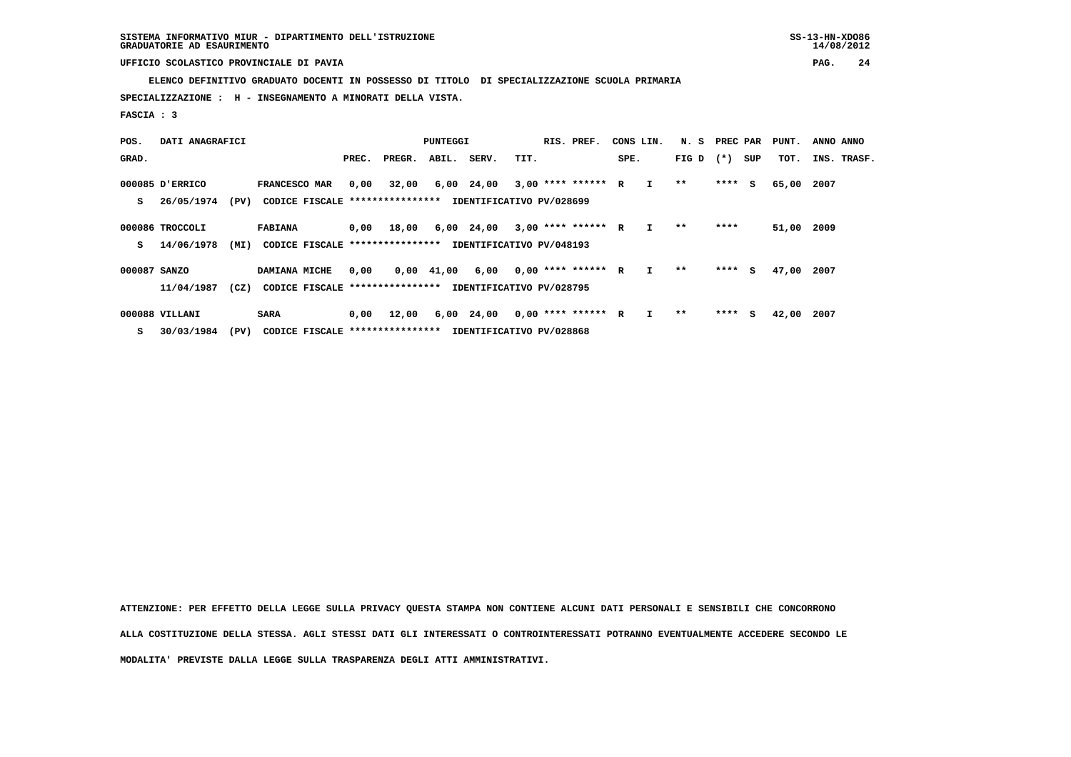**ELENCO DEFINITIVO GRADUATO DOCENTI IN POSSESSO DI TITOLO DI SPECIALIZZAZIONE SCUOLA PRIMARIA**

 **SPECIALIZZAZIONE : H - INSEGNAMENTO A MINORATI DELLA VISTA.**

 **FASCIA : 3**

| POS.         | DATI ANAGRAFICI |      |                                                          | PUNTEGGI |        |            |            |                          | RIS. PREF.<br>CONS LIN. |      |              | N. S        | PREC PAR |     | PUNT.      | ANNO ANNO   |
|--------------|-----------------|------|----------------------------------------------------------|----------|--------|------------|------------|--------------------------|-------------------------|------|--------------|-------------|----------|-----|------------|-------------|
| GRAD.        |                 |      |                                                          | PREC.    | PREGR. | ABIL.      | SERV.      | TIT.                     |                         | SPE. |              | FIG D $(*)$ |          | SUP | TOT.       | INS. TRASF. |
|              | 000085 D'ERRICO |      | <b>FRANCESCO MAR</b>                                     | 0,00     | 32,00  |            | 6,00 24,00 | $3,00$ **** ****** R     |                         |      | $\mathbf{I}$ | $* *$       | $***$ S  |     | 65,00      | 2007        |
| s            | 26/05/1974      | (PV) | CODICE FISCALE **************** IDENTIFICATIVO PV/028699 |          |        |            |            |                          |                         |      |              |             |          |     |            |             |
|              | 000086 TROCCOLI |      | <b>FABIANA</b>                                           | 0,00     | 18,00  |            | 6,00 24,00 | $3,00$ **** ****** R     |                         |      | $\mathbf{I}$ | $* *$       | ****     |     | 51,00 2009 |             |
| s            | 14/06/1978      | (MI) | CODICE FISCALE *****************                         |          |        |            |            | IDENTIFICATIVO PV/048193 |                         |      |              |             |          |     |            |             |
| 000087 SANZO |                 |      | DAMIANA MICHE                                            | 0,00     |        | 0,00 41,00 | 6,00       | $0.00$ **** ****** R     |                         |      | $\mathbf{I}$ | **          | $***$ S  |     | 47,00      | 2007        |
|              | 11/04/1987      | (CZ) | CODICE FISCALE **************** IDENTIFICATIVO PV/028795 |          |        |            |            |                          |                         |      |              |             |          |     |            |             |
|              | 000088 VILLANI  |      | <b>SARA</b>                                              | 0,00     | 12,00  |            | 6,00 24,00 | $0.00$ **** ****** R     |                         |      |              | $***$       | $***$ S  |     | 42,00      | 2007        |

 **S 30/03/1984 (PV) CODICE FISCALE \*\*\*\*\*\*\*\*\*\*\*\*\*\*\*\* IDENTIFICATIVO PV/028868**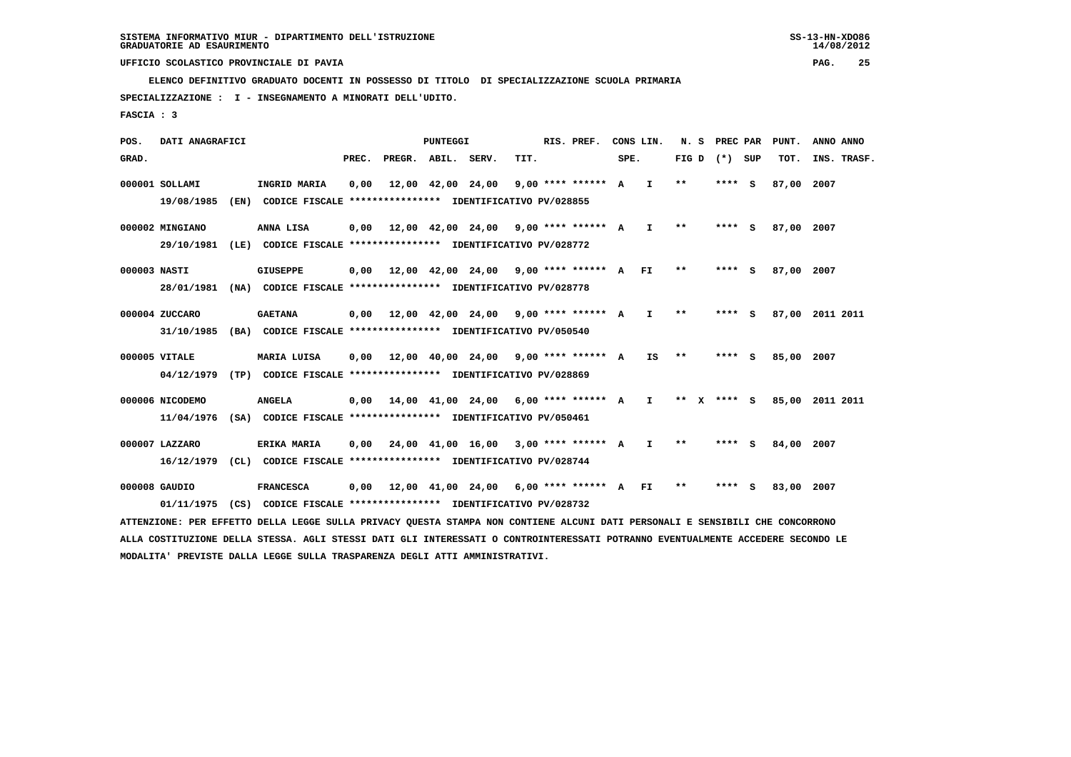**ELENCO DEFINITIVO GRADUATO DOCENTI IN POSSESSO DI TITOLO DI SPECIALIZZAZIONE SCUOLA PRIMARIA**

 **31/10/1985 (BA) CODICE FISCALE \*\*\*\*\*\*\*\*\*\*\*\*\*\*\*\* IDENTIFICATIVO PV/050540**

 **SPECIALIZZAZIONE : I - INSEGNAMENTO A MINORATI DELL'UDITO.**

 **FASCIA : 3**

 **POS. DATI ANAGRAFICI PUNTEGGI RIS. PREF. CONS LIN. N. S PREC PAR PUNT. ANNO ANNO**GRAD. **PREGRADE SERVEGE SERVE SERVE SPEREGE SPEREGALES SPEREGALES SPEREGALES SPEREGALES SPEREGALES SUP TOT. INS. TRASF. 000001 SOLLAMI INGRID MARIA 0,00 12,00 42,00 24,00 9,00 \*\*\*\* \*\*\*\*\*\* A I \*\* \*\*\*\* S 87,00 2007 19/08/1985 (EN) CODICE FISCALE \*\*\*\*\*\*\*\*\*\*\*\*\*\*\*\* IDENTIFICATIVO PV/028855 000002 MINGIANO ANNA LISA 0,00 12,00 42,00 24,00 9,00 \*\*\*\* \*\*\*\*\*\* A I \*\* \*\*\*\* S 87,00 2007 29/10/1981 (LE) CODICE FISCALE \*\*\*\*\*\*\*\*\*\*\*\*\*\*\*\* IDENTIFICATIVO PV/028772 000003 NASTI GIUSEPPE 0,00 12,00 42,00 24,00 9,00 \*\*\*\* \*\*\*\*\*\* A FI \*\* \*\*\*\* S 87,00 2007 28/01/1981 (NA) CODICE FISCALE \*\*\*\*\*\*\*\*\*\*\*\*\*\*\*\* IDENTIFICATIVO PV/028778 000004 ZUCCARO GAETANA 0,00 12,00 42,00 24,00 9,00 \*\*\*\* \*\*\*\*\*\* A I \*\* \*\*\*\* S 87,00 2011 2011**

- **000005 VITALE MARIA LUISA 0,00 12,00 40,00 24,00 9,00 \*\*\*\* \*\*\*\*\*\* A IS \*\* \*\*\*\* S 85,00 2007 04/12/1979 (TP) CODICE FISCALE \*\*\*\*\*\*\*\*\*\*\*\*\*\*\*\* IDENTIFICATIVO PV/028869**
- **000006 NICODEMO ANGELA 0,00 14,00 41,00 24,00 6,00 \*\*\*\* \*\*\*\*\*\* A I \*\* X \*\*\*\* S 85,00 2011 2011 11/04/1976 (SA) CODICE FISCALE \*\*\*\*\*\*\*\*\*\*\*\*\*\*\*\* IDENTIFICATIVO PV/050461**
- **000007 LAZZARO ERIKA MARIA 0,00 24,00 41,00 16,00 3,00 \*\*\*\* \*\*\*\*\*\* A I \*\* \*\*\*\* S 84,00 2007 16/12/1979 (CL) CODICE FISCALE \*\*\*\*\*\*\*\*\*\*\*\*\*\*\*\* IDENTIFICATIVO PV/028744**
- **000008 GAUDIO FRANCESCA 0,00 12,00 41,00 24,00 6,00 \*\*\*\* \*\*\*\*\*\* A FI \*\* \*\*\*\* S 83,00 2007 01/11/1975 (CS) CODICE FISCALE \*\*\*\*\*\*\*\*\*\*\*\*\*\*\*\* IDENTIFICATIVO PV/028732**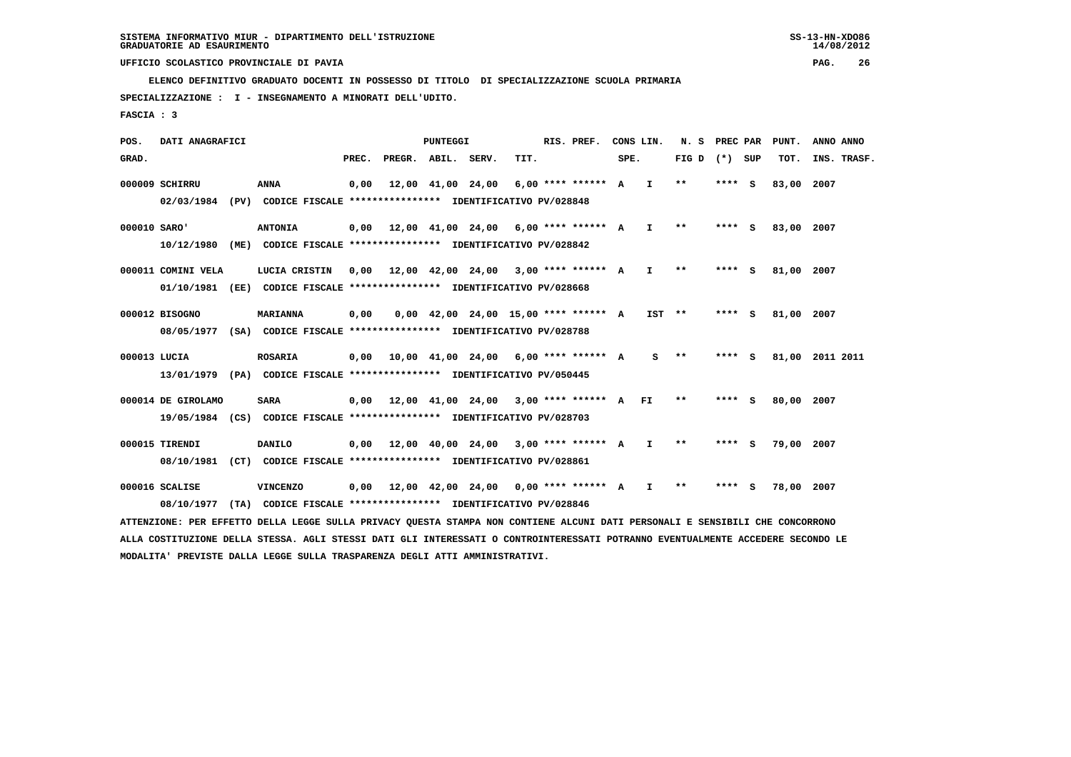**ELENCO DEFINITIVO GRADUATO DOCENTI IN POSSESSO DI TITOLO DI SPECIALIZZAZIONE SCUOLA PRIMARIA**

 **SPECIALIZZAZIONE : I - INSEGNAMENTO A MINORATI DELL'UDITO.**

 **FASCIA : 3**

 **POS. DATI ANAGRAFICI PUNTEGGI RIS. PREF. CONS LIN. N. S PREC PAR PUNT. ANNO ANNO**GRAD. **PREGRADE SERVEGE SERVE SERVE SPEREGE SPEREGALES SPEREGALES SPEREGALES SPEREGALES SPEREGALES SUP TOT. INS. TRASF. 000009 SCHIRRU ANNA 0,00 12,00 41,00 24,00 6,00 \*\*\*\* \*\*\*\*\*\* A I \*\* \*\*\*\* S 83,00 2007 02/03/1984 (PV) CODICE FISCALE \*\*\*\*\*\*\*\*\*\*\*\*\*\*\*\* IDENTIFICATIVO PV/028848 000010 SARO' ANTONIA 0,00 12,00 41,00 24,00 6,00 \*\*\*\* \*\*\*\*\*\* A I \*\* \*\*\*\* S 83,00 2007 10/12/1980 (ME) CODICE FISCALE \*\*\*\*\*\*\*\*\*\*\*\*\*\*\*\* IDENTIFICATIVO PV/028842 000011 COMINI VELA LUCIA CRISTIN 0,00 12,00 42,00 24,00 3,00 \*\*\*\* \*\*\*\*\*\* A I \*\* \*\*\*\* S 81,00 2007 01/10/1981 (EE) CODICE FISCALE \*\*\*\*\*\*\*\*\*\*\*\*\*\*\*\* IDENTIFICATIVO PV/028668 000012 BISOGNO MARIANNA 0,00 0,00 42,00 24,00 15,00 \*\*\*\* \*\*\*\*\*\* A IST \*\* \*\*\*\* S 81,00 2007 08/05/1977 (SA) CODICE FISCALE \*\*\*\*\*\*\*\*\*\*\*\*\*\*\*\* IDENTIFICATIVO PV/028788 000013 LUCIA ROSARIA 0,00 10,00 41,00 24,00 6,00 \*\*\*\* \*\*\*\*\*\* A S \*\* \*\*\*\* S 81,00 2011 2011 13/01/1979 (PA) CODICE FISCALE \*\*\*\*\*\*\*\*\*\*\*\*\*\*\*\* IDENTIFICATIVO PV/050445**

- **000014 DE GIROLAMO SARA 0,00 12,00 41,00 24,00 3,00 \*\*\*\* \*\*\*\*\*\* A FI \*\* \*\*\*\* S 80,00 2007 19/05/1984 (CS) CODICE FISCALE \*\*\*\*\*\*\*\*\*\*\*\*\*\*\*\* IDENTIFICATIVO PV/028703**
- **000015 TIRENDI DANILO 0,00 12,00 40,00 24,00 3,00 \*\*\*\* \*\*\*\*\*\* A I \*\* \*\*\*\* S 79,00 2007 08/10/1981 (CT) CODICE FISCALE \*\*\*\*\*\*\*\*\*\*\*\*\*\*\*\* IDENTIFICATIVO PV/028861**
- **000016 SCALISE VINCENZO 0,00 12,00 42,00 24,00 0,00 \*\*\*\* \*\*\*\*\*\* A I \*\* \*\*\*\* S 78,00 2007 08/10/1977 (TA) CODICE FISCALE \*\*\*\*\*\*\*\*\*\*\*\*\*\*\*\* IDENTIFICATIVO PV/028846**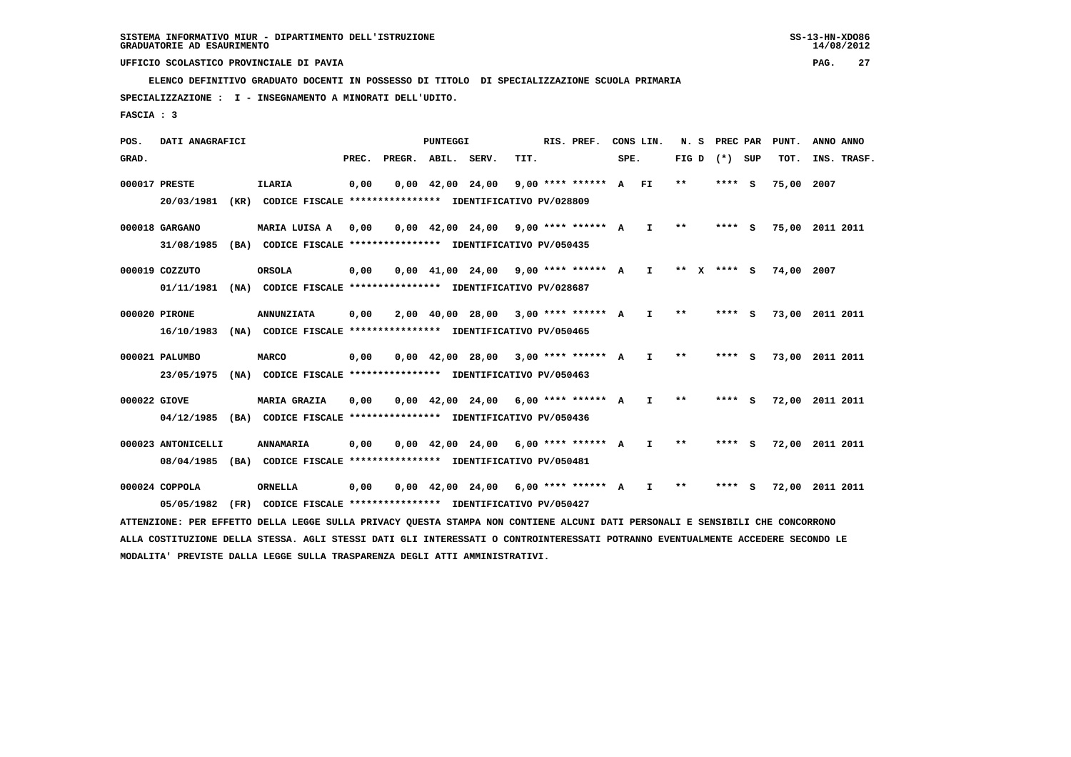**ELENCO DEFINITIVO GRADUATO DOCENTI IN POSSESSO DI TITOLO DI SPECIALIZZAZIONE SCUOLA PRIMARIA**

 **SPECIALIZZAZIONE : I - INSEGNAMENTO A MINORATI DELL'UDITO.**

 **FASCIA : 3**

 **POS. DATI ANAGRAFICI PUNTEGGI RIS. PREF. CONS LIN. N. S PREC PAR PUNT. ANNO ANNO**GRAD. **PREGRADE SERVEGE SERVE SERVE SPEREGE SPEREGALES SPEREGALES SPEREGALES SPEREGALES SPEREGALES SUP TOT. INS. TRASF. 000017 PRESTE ILARIA 0,00 0,00 42,00 24,00 9,00 \*\*\*\* \*\*\*\*\*\* A FI \*\* \*\*\*\* S 75,00 2007 20/03/1981 (KR) CODICE FISCALE \*\*\*\*\*\*\*\*\*\*\*\*\*\*\*\* IDENTIFICATIVO PV/028809 000018 GARGANO MARIA LUISA A 0,00 0,00 42,00 24,00 9,00 \*\*\*\* \*\*\*\*\*\* A I \*\* \*\*\*\* S 75,00 2011 2011 31/08/1985 (BA) CODICE FISCALE \*\*\*\*\*\*\*\*\*\*\*\*\*\*\*\* IDENTIFICATIVO PV/050435 000019 COZZUTO ORSOLA 0,00 0,00 41,00 24,00 9,00 \*\*\*\* \*\*\*\*\*\* A I \*\* X \*\*\*\* S 74,00 2007 01/11/1981 (NA) CODICE FISCALE \*\*\*\*\*\*\*\*\*\*\*\*\*\*\*\* IDENTIFICATIVO PV/028687 000020 PIRONE ANNUNZIATA 0,00 2,00 40,00 28,00 3,00 \*\*\*\* \*\*\*\*\*\* A I \*\* \*\*\*\* S 73,00 2011 2011 16/10/1983 (NA) CODICE FISCALE \*\*\*\*\*\*\*\*\*\*\*\*\*\*\*\* IDENTIFICATIVO PV/050465 000021 PALUMBO MARCO 0,00 0,00 42,00 28,00 3,00 \*\*\*\* \*\*\*\*\*\* A I \*\* \*\*\*\* S 73,00 2011 2011 23/05/1975 (NA) CODICE FISCALE \*\*\*\*\*\*\*\*\*\*\*\*\*\*\*\* IDENTIFICATIVO PV/050463 000022 GIOVE MARIA GRAZIA 0,00 0,00 42,00 24,00 6,00 \*\*\*\* \*\*\*\*\*\* A I \*\* \*\*\*\* S 72,00 2011 2011 04/12/1985 (BA) CODICE FISCALE \*\*\*\*\*\*\*\*\*\*\*\*\*\*\*\* IDENTIFICATIVO PV/050436**

 **000023 ANTONICELLI ANNAMARIA 0,00 0,00 42,00 24,00 6,00 \*\*\*\* \*\*\*\*\*\* A I \*\* \*\*\*\* S 72,00 2011 2011 08/04/1985 (BA) CODICE FISCALE \*\*\*\*\*\*\*\*\*\*\*\*\*\*\*\* IDENTIFICATIVO PV/050481**

 **000024 COPPOLA ORNELLA 0,00 0,00 42,00 24,00 6,00 \*\*\*\* \*\*\*\*\*\* A I \*\* \*\*\*\* S 72,00 2011 2011 05/05/1982 (FR) CODICE FISCALE \*\*\*\*\*\*\*\*\*\*\*\*\*\*\*\* IDENTIFICATIVO PV/050427**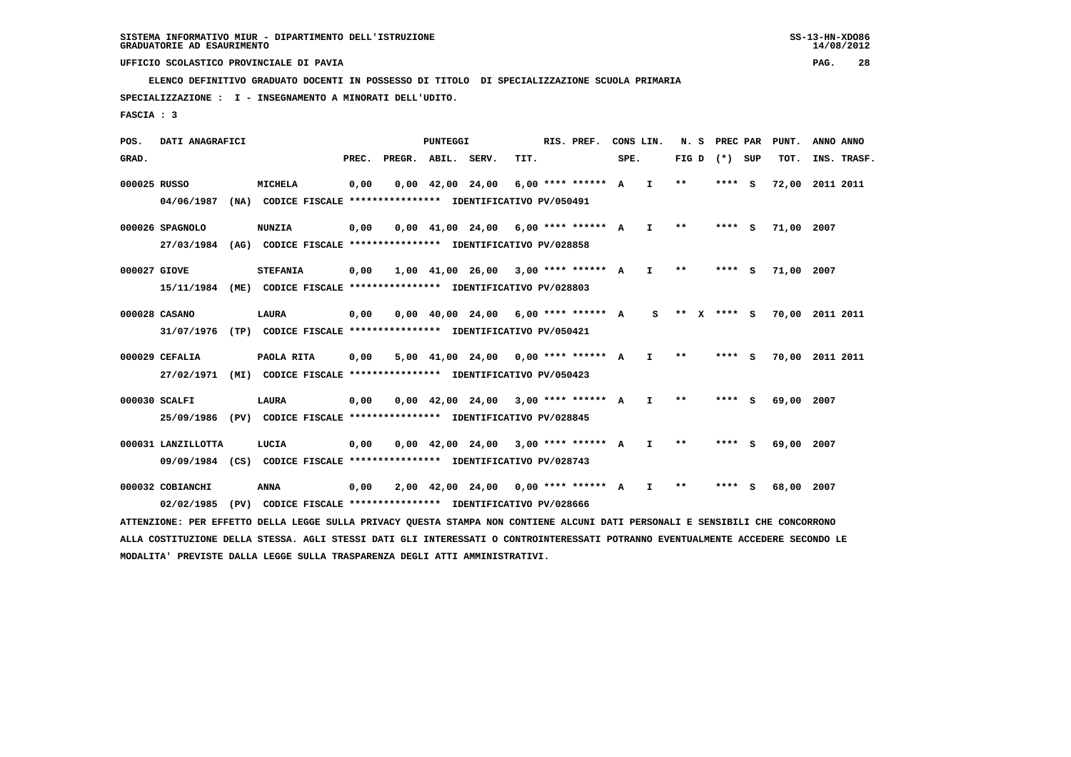**ELENCO DEFINITIVO GRADUATO DOCENTI IN POSSESSO DI TITOLO DI SPECIALIZZAZIONE SCUOLA PRIMARIA**

 **SPECIALIZZAZIONE : I - INSEGNAMENTO A MINORATI DELL'UDITO.**

 **FASCIA : 3**

 **POS. DATI ANAGRAFICI PUNTEGGI RIS. PREF. CONS LIN. N. S PREC PAR PUNT. ANNO ANNO**GRAD. **PREGRADE SERVEGE SERVE SERVE SPEREGE SPEREGALES SPEREGALES SPEREGALES SPEREGALES SPEREGALES SUP TOT. INS. TRASF. 000025 RUSSO MICHELA 0,00 0,00 42,00 24,00 6,00 \*\*\*\* \*\*\*\*\*\* A I \*\* \*\*\*\* S 72,00 2011 2011 04/06/1987 (NA) CODICE FISCALE \*\*\*\*\*\*\*\*\*\*\*\*\*\*\*\* IDENTIFICATIVO PV/050491 000026 SPAGNOLO NUNZIA 0,00 0,00 41,00 24,00 6,00 \*\*\*\* \*\*\*\*\*\* A I \*\* \*\*\*\* S 71,00 2007 27/03/1984 (AG) CODICE FISCALE \*\*\*\*\*\*\*\*\*\*\*\*\*\*\*\* IDENTIFICATIVO PV/028858 000027 GIOVE STEFANIA 0,00 1,00 41,00 26,00 3,00 \*\*\*\* \*\*\*\*\*\* A I \*\* \*\*\*\* S 71,00 2007 15/11/1984 (ME) CODICE FISCALE \*\*\*\*\*\*\*\*\*\*\*\*\*\*\*\* IDENTIFICATIVO PV/028803 000028 CASANO LAURA 0,00 0,00 40,00 24,00 6,00 \*\*\*\* \*\*\*\*\*\* A S \*\* X \*\*\*\* S 70,00 2011 2011 31/07/1976 (TP) CODICE FISCALE \*\*\*\*\*\*\*\*\*\*\*\*\*\*\*\* IDENTIFICATIVO PV/050421 000029 CEFALIA PAOLA RITA 0,00 5,00 41,00 24,00 0,00 \*\*\*\* \*\*\*\*\*\* A I \*\* \*\*\*\* S 70,00 2011 2011 27/02/1971 (MI) CODICE FISCALE \*\*\*\*\*\*\*\*\*\*\*\*\*\*\*\* IDENTIFICATIVO PV/050423 000030 SCALFI LAURA 0,00 0,00 42,00 24,00 3,00 \*\*\*\* \*\*\*\*\*\* A I \*\* \*\*\*\* S 69,00 2007 25/09/1986 (PV) CODICE FISCALE \*\*\*\*\*\*\*\*\*\*\*\*\*\*\*\* IDENTIFICATIVO PV/028845**

 **000031 LANZILLOTTA LUCIA 0,00 0,00 42,00 24,00 3,00 \*\*\*\* \*\*\*\*\*\* A I \*\* \*\*\*\* S 69,00 2007 09/09/1984 (CS) CODICE FISCALE \*\*\*\*\*\*\*\*\*\*\*\*\*\*\*\* IDENTIFICATIVO PV/028743**

 **000032 COBIANCHI ANNA 0,00 2,00 42,00 24,00 0,00 \*\*\*\* \*\*\*\*\*\* A I \*\* \*\*\*\* S 68,00 2007 02/02/1985 (PV) CODICE FISCALE \*\*\*\*\*\*\*\*\*\*\*\*\*\*\*\* IDENTIFICATIVO PV/028666**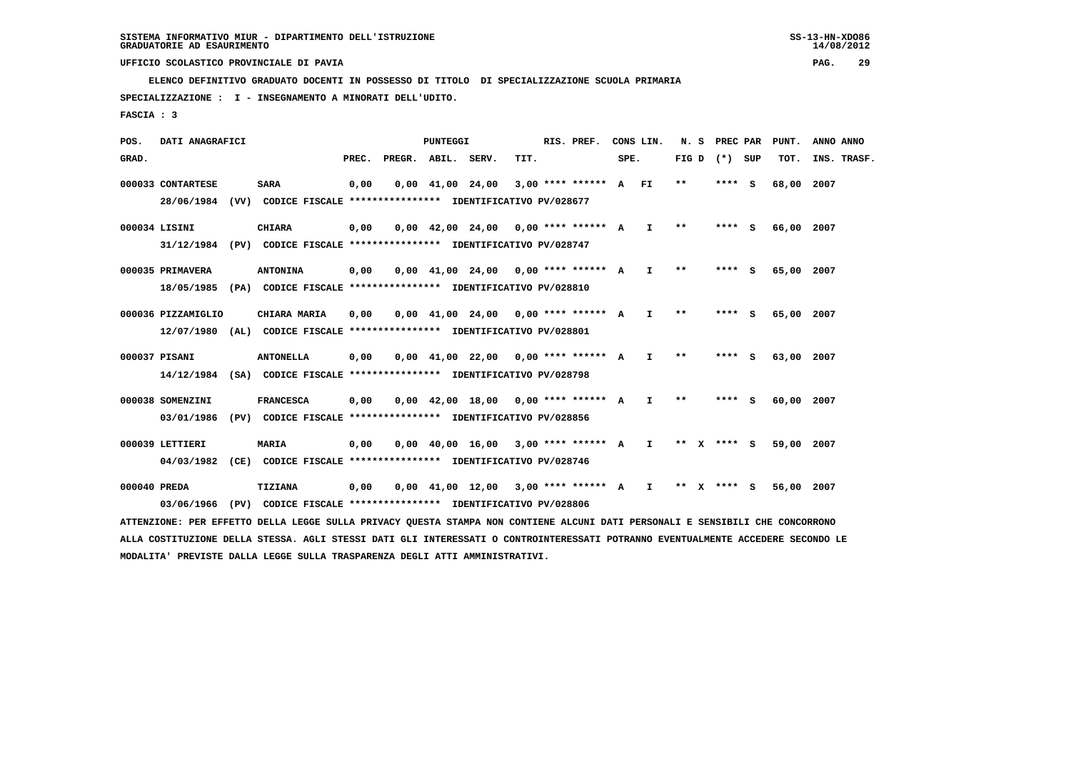**ELENCO DEFINITIVO GRADUATO DOCENTI IN POSSESSO DI TITOLO DI SPECIALIZZAZIONE SCUOLA PRIMARIA**

 **SPECIALIZZAZIONE : I - INSEGNAMENTO A MINORATI DELL'UDITO.**

 **FASCIA : 3**

 **POS. DATI ANAGRAFICI PUNTEGGI RIS. PREF. CONS LIN. N. S PREC PAR PUNT. ANNO ANNO**GRAD. **PREGRADE SERVEGE SERVE SERVE SPEREGE SPEREGALES SPEREGALES SPEREGALES SPEREGALES SPEREGALES SUP TOT. INS. TRASF. 000033 CONTARTESE SARA 0,00 0,00 41,00 24,00 3,00 \*\*\*\* \*\*\*\*\*\* A FI \*\* \*\*\*\* S 68,00 2007 28/06/1984 (VV) CODICE FISCALE \*\*\*\*\*\*\*\*\*\*\*\*\*\*\*\* IDENTIFICATIVO PV/028677 000034 LISINI CHIARA 0,00 0,00 42,00 24,00 0,00 \*\*\*\* \*\*\*\*\*\* A I \*\* \*\*\*\* S 66,00 2007 31/12/1984 (PV) CODICE FISCALE \*\*\*\*\*\*\*\*\*\*\*\*\*\*\*\* IDENTIFICATIVO PV/028747 000035 PRIMAVERA ANTONINA 0,00 0,00 41,00 24,00 0,00 \*\*\*\* \*\*\*\*\*\* A I \*\* \*\*\*\* S 65,00 2007 18/05/1985 (PA) CODICE FISCALE \*\*\*\*\*\*\*\*\*\*\*\*\*\*\*\* IDENTIFICATIVO PV/028810 000036 PIZZAMIGLIO CHIARA MARIA 0,00 0,00 41,00 24,00 0,00 \*\*\*\* \*\*\*\*\*\* A I \*\* \*\*\*\* S 65,00 2007 12/07/1980 (AL) CODICE FISCALE \*\*\*\*\*\*\*\*\*\*\*\*\*\*\*\* IDENTIFICATIVO PV/028801 000037 PISANI ANTONELLA 0,00 0,00 41,00 22,00 0,00 \*\*\*\* \*\*\*\*\*\* A I \*\* \*\*\*\* S 63,00 2007 14/12/1984 (SA) CODICE FISCALE \*\*\*\*\*\*\*\*\*\*\*\*\*\*\*\* IDENTIFICATIVO PV/028798 000038 SOMENZINI FRANCESCA 0,00 0,00 42,00 18,00 0,00 \*\*\*\* \*\*\*\*\*\* A I \*\* \*\*\*\* S 60,00 2007 03/01/1986 (PV) CODICE FISCALE \*\*\*\*\*\*\*\*\*\*\*\*\*\*\*\* IDENTIFICATIVO PV/028856 000039 LETTIERI MARIA 0,00 0,00 40,00 16,00 3,00 \*\*\*\* \*\*\*\*\*\* A I \*\* X \*\*\*\* S 59,00 2007 04/03/1982 (CE) CODICE FISCALE \*\*\*\*\*\*\*\*\*\*\*\*\*\*\*\* IDENTIFICATIVO PV/028746 000040 PREDA TIZIANA 0,00 0,00 41,00 12,00 3,00 \*\*\*\* \*\*\*\*\*\* A I \*\* X \*\*\*\* S 56,00 2007 03/06/1966 (PV) CODICE FISCALE \*\*\*\*\*\*\*\*\*\*\*\*\*\*\*\* IDENTIFICATIVO PV/028806**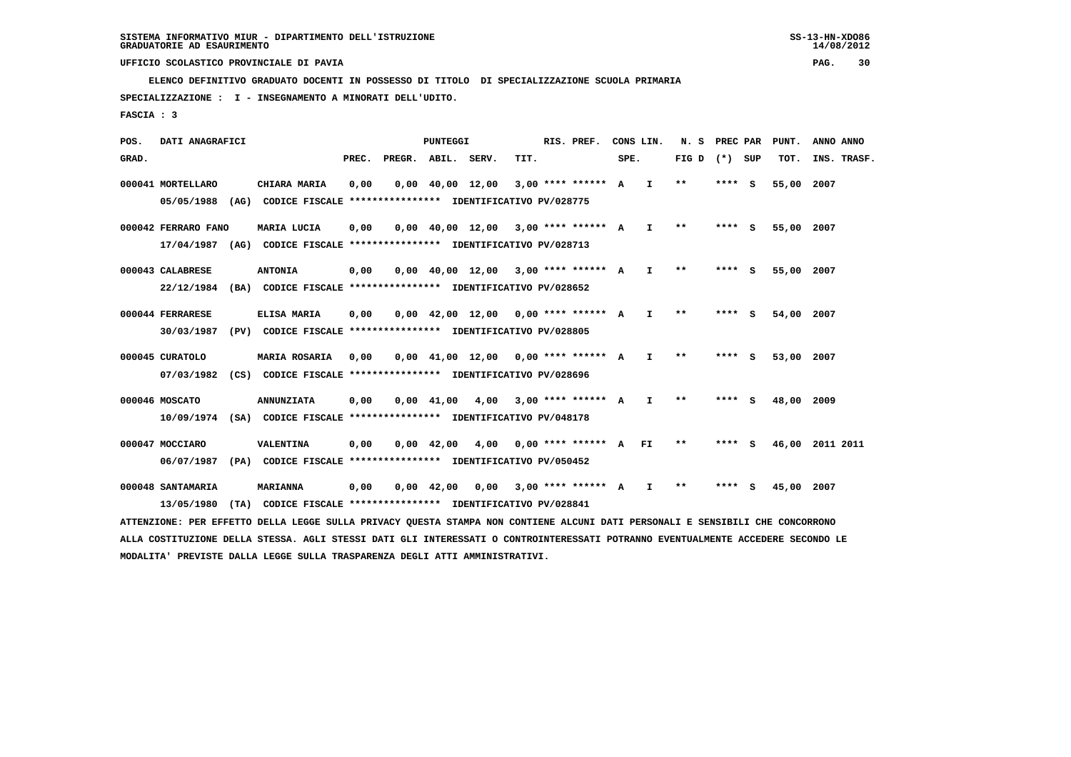**ELENCO DEFINITIVO GRADUATO DOCENTI IN POSSESSO DI TITOLO DI SPECIALIZZAZIONE SCUOLA PRIMARIA**

 **SPECIALIZZAZIONE : I - INSEGNAMENTO A MINORATI DELL'UDITO.**

 **FASCIA : 3**

 **POS. DATI ANAGRAFICI PUNTEGGI RIS. PREF. CONS LIN. N. S PREC PAR PUNT. ANNO ANNO**GRAD. **PREGRADE SERVEGE SERVE SERVE SPEREGE SPEREGALES SPEREGALES SPEREGALES SPEREGALES SPEREGALES SUP TOT. INS. TRASF. 000041 MORTELLARO CHIARA MARIA 0,00 0,00 40,00 12,00 3,00 \*\*\*\* \*\*\*\*\*\* A I \*\* \*\*\*\* S 55,00 2007 05/05/1988 (AG) CODICE FISCALE \*\*\*\*\*\*\*\*\*\*\*\*\*\*\*\* IDENTIFICATIVO PV/028775 000042 FERRARO FANO MARIA LUCIA 0,00 0,00 40,00 12,00 3,00 \*\*\*\* \*\*\*\*\*\* A I \*\* \*\*\*\* S 55,00 2007 17/04/1987 (AG) CODICE FISCALE \*\*\*\*\*\*\*\*\*\*\*\*\*\*\*\* IDENTIFICATIVO PV/028713 000043 CALABRESE ANTONIA 0,00 0,00 40,00 12,00 3,00 \*\*\*\* \*\*\*\*\*\* A I \*\* \*\*\*\* S 55,00 2007 22/12/1984 (BA) CODICE FISCALE \*\*\*\*\*\*\*\*\*\*\*\*\*\*\*\* IDENTIFICATIVO PV/028652 000044 FERRARESE ELISA MARIA 0,00 0,00 42,00 12,00 0,00 \*\*\*\* \*\*\*\*\*\* A I \*\* \*\*\*\* S 54,00 2007 30/03/1987 (PV) CODICE FISCALE \*\*\*\*\*\*\*\*\*\*\*\*\*\*\*\* IDENTIFICATIVO PV/028805 000045 CURATOLO MARIA ROSARIA 0,00 0,00 41,00 12,00 0,00 \*\*\*\* \*\*\*\*\*\* A I \*\* \*\*\*\* S 53,00 2007 07/03/1982 (CS) CODICE FISCALE \*\*\*\*\*\*\*\*\*\*\*\*\*\*\*\* IDENTIFICATIVO PV/028696 000046 MOSCATO ANNUNZIATA 0,00 0,00 41,00 4,00 3,00 \*\*\*\* \*\*\*\*\*\* A I \*\* \*\*\*\* S 48,00 2009 10/09/1974 (SA) CODICE FISCALE \*\*\*\*\*\*\*\*\*\*\*\*\*\*\*\* IDENTIFICATIVO PV/048178 000047 MOCCIARO VALENTINA 0,00 0,00 42,00 4,00 0,00 \*\*\*\* \*\*\*\*\*\* A FI \*\* \*\*\*\* S 46,00 2011 2011 06/07/1987 (PA) CODICE FISCALE \*\*\*\*\*\*\*\*\*\*\*\*\*\*\*\* IDENTIFICATIVO PV/050452 000048 SANTAMARIA MARIANNA 0,00 0,00 42,00 0,00 3,00 \*\*\*\* \*\*\*\*\*\* A I \*\* \*\*\*\* S 45,00 2007 13/05/1980 (TA) CODICE FISCALE \*\*\*\*\*\*\*\*\*\*\*\*\*\*\*\* IDENTIFICATIVO PV/028841**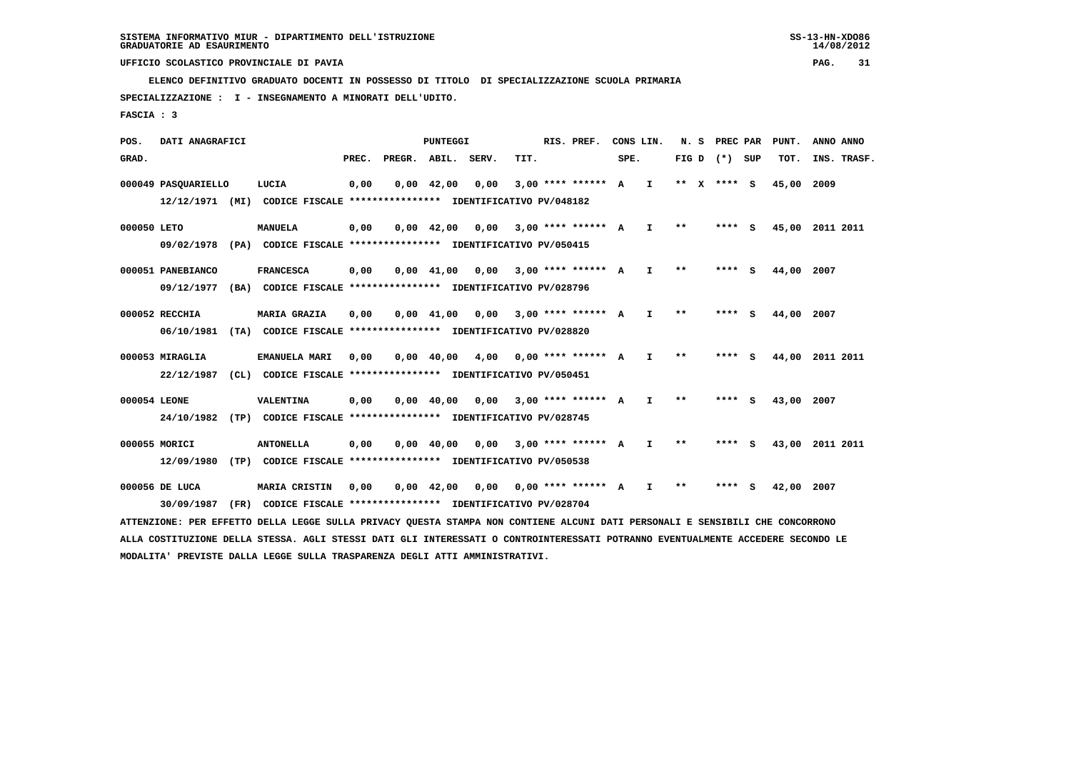**ELENCO DEFINITIVO GRADUATO DOCENTI IN POSSESSO DI TITOLO DI SPECIALIZZAZIONE SCUOLA PRIMARIA**

 **SPECIALIZZAZIONE : I - INSEGNAMENTO A MINORATI DELL'UDITO.**

 **FASCIA : 3**

 **POS. DATI ANAGRAFICI PUNTEGGI RIS. PREF. CONS LIN. N. S PREC PAR PUNT. ANNO ANNO**GRAD. **PREGRADE SERVEGE SERVE SERVE SPEREGE SPEREGALES SPEREGALES SPEREGALES SPEREGALES SPEREGALES SUP TOT. INS. TRASF. 000049 PASQUARIELLO LUCIA 0,00 0,00 42,00 0,00 3,00 \*\*\*\* \*\*\*\*\*\* A I \*\* X \*\*\*\* S 45,00 2009 12/12/1971 (MI) CODICE FISCALE \*\*\*\*\*\*\*\*\*\*\*\*\*\*\*\* IDENTIFICATIVO PV/048182 000050 LETO MANUELA 0,00 0,00 42,00 0,00 3,00 \*\*\*\* \*\*\*\*\*\* A I \*\* \*\*\*\* S 45,00 2011 2011 09/02/1978 (PA) CODICE FISCALE \*\*\*\*\*\*\*\*\*\*\*\*\*\*\*\* IDENTIFICATIVO PV/050415 000051 PANEBIANCO FRANCESCA 0,00 0,00 41,00 0,00 3,00 \*\*\*\* \*\*\*\*\*\* A I \*\* \*\*\*\* S 44,00 2007 09/12/1977 (BA) CODICE FISCALE \*\*\*\*\*\*\*\*\*\*\*\*\*\*\*\* IDENTIFICATIVO PV/028796 000052 RECCHIA MARIA GRAZIA 0,00 0,00 41,00 0,00 3,00 \*\*\*\* \*\*\*\*\*\* A I \*\* \*\*\*\* S 44,00 2007 06/10/1981 (TA) CODICE FISCALE \*\*\*\*\*\*\*\*\*\*\*\*\*\*\*\* IDENTIFICATIVO PV/028820 000053 MIRAGLIA EMANUELA MARI 0,00 0,00 40,00 4,00 0,00 \*\*\*\* \*\*\*\*\*\* A I \*\* \*\*\*\* S 44,00 2011 2011 22/12/1987 (CL) CODICE FISCALE \*\*\*\*\*\*\*\*\*\*\*\*\*\*\*\* IDENTIFICATIVO PV/050451 000054 LEONE VALENTINA 0,00 0,00 40,00 0,00 3,00 \*\*\*\* \*\*\*\*\*\* A I \*\* \*\*\*\* S 43,00 2007 24/10/1982 (TP) CODICE FISCALE \*\*\*\*\*\*\*\*\*\*\*\*\*\*\*\* IDENTIFICATIVO PV/028745 000055 MORICI ANTONELLA 0,00 0,00 40,00 0,00 3,00 \*\*\*\* \*\*\*\*\*\* A I \*\* \*\*\*\* S 43,00 2011 2011 12/09/1980 (TP) CODICE FISCALE \*\*\*\*\*\*\*\*\*\*\*\*\*\*\*\* IDENTIFICATIVO PV/050538 000056 DE LUCA MARIA CRISTIN 0,00 0,00 42,00 0,00 0,00 \*\*\*\* \*\*\*\*\*\* A I \*\* \*\*\*\* S 42,00 2007 30/09/1987 (FR) CODICE FISCALE \*\*\*\*\*\*\*\*\*\*\*\*\*\*\*\* IDENTIFICATIVO PV/028704 ATTENZIONE: PER EFFETTO DELLA LEGGE SULLA PRIVACY QUESTA STAMPA NON CONTIENE ALCUNI DATI PERSONALI E SENSIBILI CHE CONCORRONO**

 **ALLA COSTITUZIONE DELLA STESSA. AGLI STESSI DATI GLI INTERESSATI O CONTROINTERESSATI POTRANNO EVENTUALMENTE ACCEDERE SECONDO LE MODALITA' PREVISTE DALLA LEGGE SULLA TRASPARENZA DEGLI ATTI AMMINISTRATIVI.**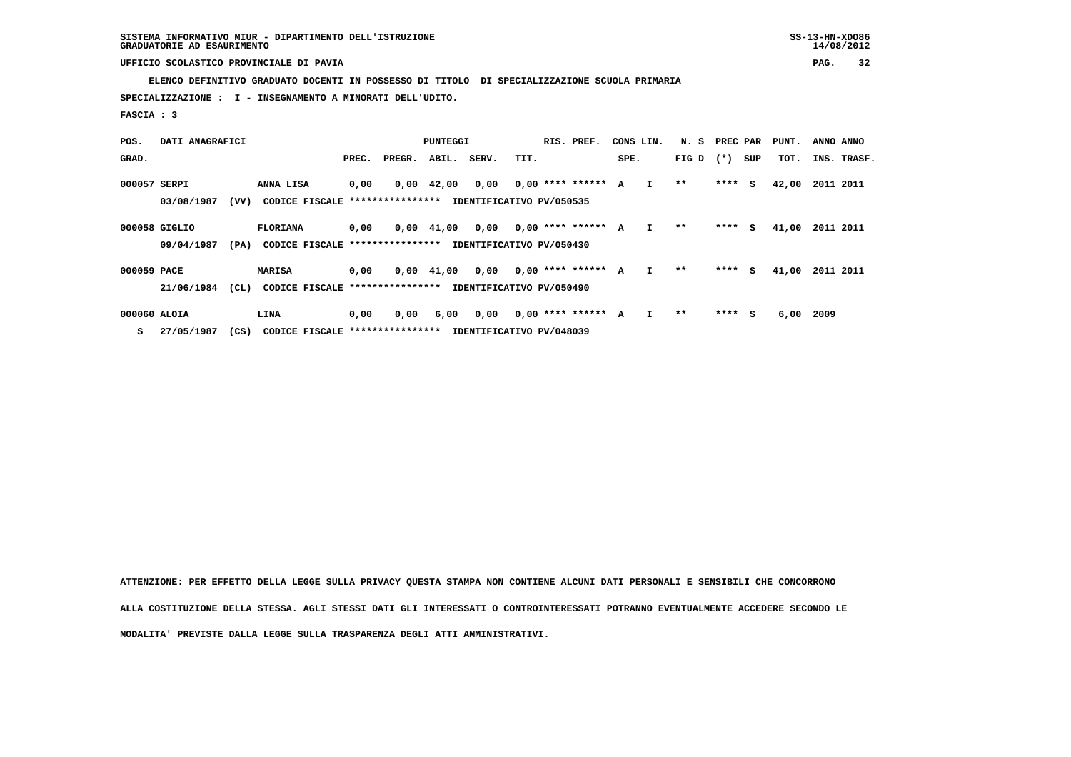**ELENCO DEFINITIVO GRADUATO DOCENTI IN POSSESSO DI TITOLO DI SPECIALIZZAZIONE SCUOLA PRIMARIA**

 **SPECIALIZZAZIONE : I - INSEGNAMENTO A MINORATI DELL'UDITO.**

 **FASCIA : 3**

| POS.         | DATI ANAGRAFICI             |      | PUNTEGGI                                           |       |                  |                    |                                  | RIS. PREF.<br>CONS LIN. |  |                      | N. S | PREC PAR     |       | PUNT.   | ANNO ANNO |       |           |             |
|--------------|-----------------------------|------|----------------------------------------------------|-------|------------------|--------------------|----------------------------------|-------------------------|--|----------------------|------|--------------|-------|---------|-----------|-------|-----------|-------------|
| GRAD.        |                             |      |                                                    | PREC. | PREGR.           | ABIL.              | SERV.                            | TIT.                    |  |                      | SPE. |              | FIG D | $(* )$  | SUP       | TOT.  |           | INS. TRASF. |
| 000057 SERPI | 03/08/1987                  | (vv) | ANNA LISA<br>CODICE FISCALE                        | 0,00  | **************** | $0,00 \quad 42,00$ | 0,00<br>IDENTIFICATIVO PV/050535 |                         |  | $0.00$ **** ****** A |      | $\mathbf{I}$ | $* *$ | $***$ S |           | 42,00 | 2011 2011 |             |
|              | 000058 GIGLIO<br>09/04/1987 | (PA) | <b>FLORIANA</b><br>CODICE FISCALE **************** | 0,00  |                  | $0,00$ $41,00$     | 0,00<br>IDENTIFICATIVO PV/050430 |                         |  | $0,00$ **** ****** A |      | $\mathbf{I}$ | $***$ | $***$ S |           | 41,00 | 2011 2011 |             |
| 000059 PACE  | 21/06/1984                  | (CL) | <b>MARISA</b><br>CODICE FISCALE ****************   | 0,00  |                  | $0,00$ $41,00$     | 0,00<br>IDENTIFICATIVO PV/050490 |                         |  | $0.00$ **** ****** A |      | $\mathbf{I}$ | $* *$ | $***$ S |           | 41,00 | 2011 2011 |             |
| 000060 ALOIA |                             |      | LINA                                               | 0,00  | 0,00             | 6,00               | 0,00                             |                         |  | $0,00$ **** ******   | A    |              | **    | $***$ S |           | 6,00  | -2009     |             |

 **S 27/05/1987 (CS) CODICE FISCALE \*\*\*\*\*\*\*\*\*\*\*\*\*\*\*\* IDENTIFICATIVO PV/048039**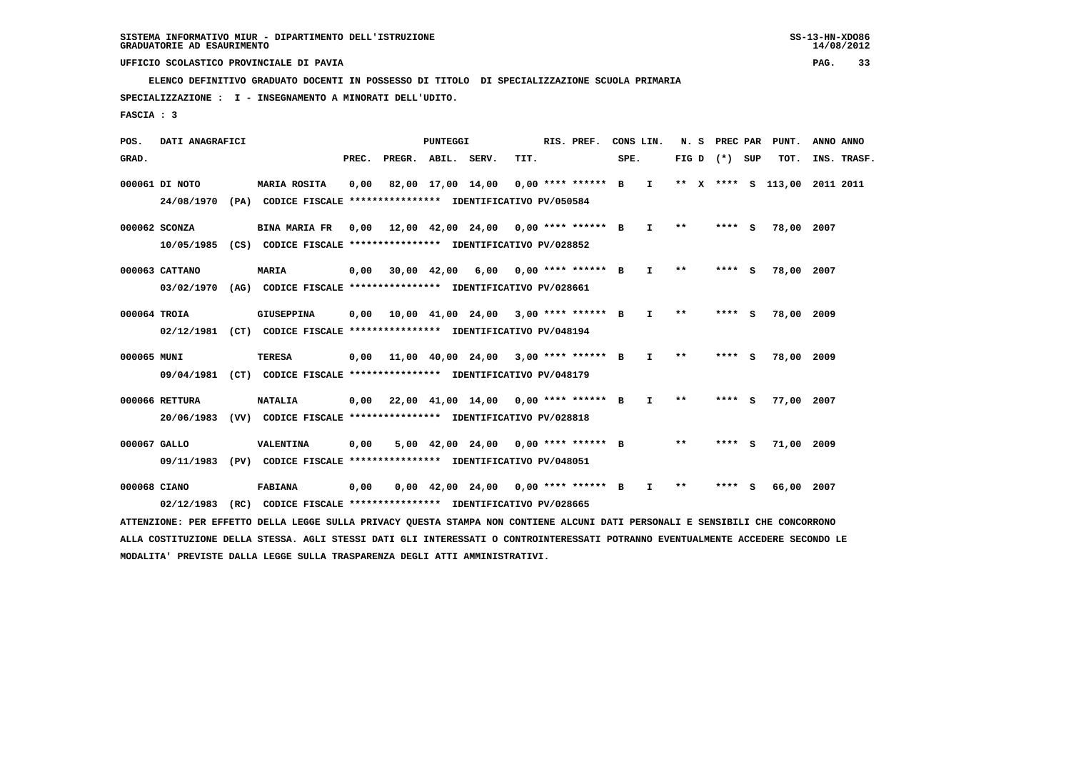**ELENCO DEFINITIVO GRADUATO DOCENTI IN POSSESSO DI TITOLO DI SPECIALIZZAZIONE SCUOLA PRIMARIA**

 **SPECIALIZZAZIONE : I - INSEGNAMENTO A MINORATI DELL'UDITO.**

 **FASCIA : 3**

 **POS. DATI ANAGRAFICI PUNTEGGI RIS. PREF. CONS LIN. N. S PREC PAR PUNT. ANNO ANNO**GRAD. **PREGRADE SERVEGE SERVE SERVE SPEREGE SPEREGALES SPEREGALES SPEREGALES SPEREGALES SPEREGALES SUP TOT. INS. TRASF. 000061 DI NOTO MARIA ROSITA 0,00 82,00 17,00 14,00 0,00 \*\*\*\* \*\*\*\*\*\* B I \*\* X \*\*\*\* S 113,00 2011 2011 24/08/1970 (PA) CODICE FISCALE \*\*\*\*\*\*\*\*\*\*\*\*\*\*\*\* IDENTIFICATIVO PV/050584 000062 SCONZA BINA MARIA FR 0,00 12,00 42,00 24,00 0,00 \*\*\*\* \*\*\*\*\*\* B I \*\* \*\*\*\* S 78,00 2007 10/05/1985 (CS) CODICE FISCALE \*\*\*\*\*\*\*\*\*\*\*\*\*\*\*\* IDENTIFICATIVO PV/028852 000063 CATTANO MARIA 0,00 30,00 42,00 6,00 0,00 \*\*\*\* \*\*\*\*\*\* B I \*\* \*\*\*\* S 78,00 2007 03/02/1970 (AG) CODICE FISCALE \*\*\*\*\*\*\*\*\*\*\*\*\*\*\*\* IDENTIFICATIVO PV/028661 000064 TROIA GIUSEPPINA 0,00 10,00 41,00 24,00 3,00 \*\*\*\* \*\*\*\*\*\* B I \*\* \*\*\*\* S 78,00 2009 02/12/1981 (CT) CODICE FISCALE \*\*\*\*\*\*\*\*\*\*\*\*\*\*\*\* IDENTIFICATIVO PV/048194 000065 MUNI TERESA 0,00 11,00 40,00 24,00 3,00 \*\*\*\* \*\*\*\*\*\* B I \*\* \*\*\*\* S 78,00 2009 09/04/1981 (CT) CODICE FISCALE \*\*\*\*\*\*\*\*\*\*\*\*\*\*\*\* IDENTIFICATIVO PV/048179 000066 RETTURA NATALIA 0,00 22,00 41,00 14,00 0,00 \*\*\*\* \*\*\*\*\*\* B I \*\* \*\*\*\* S 77,00 2007 20/06/1983 (VV) CODICE FISCALE \*\*\*\*\*\*\*\*\*\*\*\*\*\*\*\* IDENTIFICATIVO PV/028818 000067 GALLO VALENTINA 0,00 5,00 42,00 24,00 0,00 \*\*\*\* \*\*\*\*\*\* B \*\* \*\*\*\* S 71,00 2009 09/11/1983 (PV) CODICE FISCALE \*\*\*\*\*\*\*\*\*\*\*\*\*\*\*\* IDENTIFICATIVO PV/048051**

 **000068 CIANO FABIANA 0,00 0,00 42,00 24,00 0,00 \*\*\*\* \*\*\*\*\*\* B I \*\* \*\*\*\* S 66,00 2007 02/12/1983 (RC) CODICE FISCALE \*\*\*\*\*\*\*\*\*\*\*\*\*\*\*\* IDENTIFICATIVO PV/028665**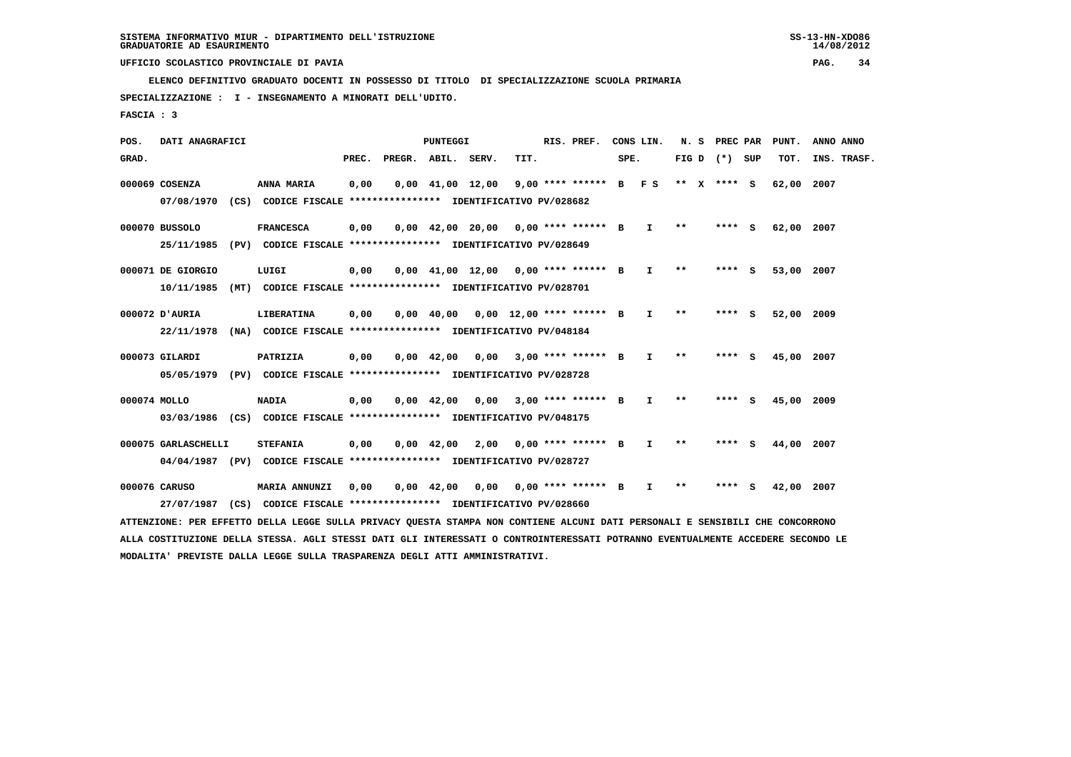**ELENCO DEFINITIVO GRADUATO DOCENTI IN POSSESSO DI TITOLO DI SPECIALIZZAZIONE SCUOLA PRIMARIA**

 **SPECIALIZZAZIONE : I - INSEGNAMENTO A MINORATI DELL'UDITO.**

 **FASCIA : 3**

 **POS. DATI ANAGRAFICI PUNTEGGI RIS. PREF. CONS LIN. N. S PREC PAR PUNT. ANNO ANNO**GRAD. **PREGRADE SERVEGE SERVE SERVE SPEREGE SPEREGALES SPEREGALES SPEREGALES SPEREGALES SPEREGALES SUP TOT. INS. TRASF. 000069 COSENZA ANNA MARIA 0,00 0,00 41,00 12,00 9,00 \*\*\*\* \*\*\*\*\*\* B F S \*\* X \*\*\*\* S 62,00 2007 07/08/1970 (CS) CODICE FISCALE \*\*\*\*\*\*\*\*\*\*\*\*\*\*\*\* IDENTIFICATIVO PV/028682 000070 BUSSOLO FRANCESCA 0,00 0,00 42,00 20,00 0,00 \*\*\*\* \*\*\*\*\*\* B I \*\* \*\*\*\* S 62,00 2007 25/11/1985 (PV) CODICE FISCALE \*\*\*\*\*\*\*\*\*\*\*\*\*\*\*\* IDENTIFICATIVO PV/028649 000071 DE GIORGIO LUIGI 0,00 0,00 41,00 12,00 0,00 \*\*\*\* \*\*\*\*\*\* B I \*\* \*\*\*\* S 53,00 2007 10/11/1985 (MT) CODICE FISCALE \*\*\*\*\*\*\*\*\*\*\*\*\*\*\*\* IDENTIFICATIVO PV/028701 000072 D'AURIA LIBERATINA 0,00 0,00 40,00 0,00 12,00 \*\*\*\* \*\*\*\*\*\* B I \*\* \*\*\*\* S 52,00 2009 22/11/1978 (NA) CODICE FISCALE \*\*\*\*\*\*\*\*\*\*\*\*\*\*\*\* IDENTIFICATIVO PV/048184 000073 GILARDI PATRIZIA 0,00 0,00 42,00 0,00 3,00 \*\*\*\* \*\*\*\*\*\* B I \*\* \*\*\*\* S 45,00 2007 05/05/1979 (PV) CODICE FISCALE \*\*\*\*\*\*\*\*\*\*\*\*\*\*\*\* IDENTIFICATIVO PV/028728 000074 MOLLO NADIA 0,00 0,00 42,00 0,00 3,00 \*\*\*\* \*\*\*\*\*\* B I \*\* \*\*\*\* S 45,00 2009 03/03/1986 (CS) CODICE FISCALE \*\*\*\*\*\*\*\*\*\*\*\*\*\*\*\* IDENTIFICATIVO PV/048175**

 **000075 GARLASCHELLI STEFANIA 0,00 0,00 42,00 2,00 0,00 \*\*\*\* \*\*\*\*\*\* B I \*\* \*\*\*\* S 44,00 2007 04/04/1987 (PV) CODICE FISCALE \*\*\*\*\*\*\*\*\*\*\*\*\*\*\*\* IDENTIFICATIVO PV/028727**

 **000076 CARUSO MARIA ANNUNZI 0,00 0,00 42,00 0,00 0,00 \*\*\*\* \*\*\*\*\*\* B I \*\* \*\*\*\* S 42,00 2007 27/07/1987 (CS) CODICE FISCALE \*\*\*\*\*\*\*\*\*\*\*\*\*\*\*\* IDENTIFICATIVO PV/028660**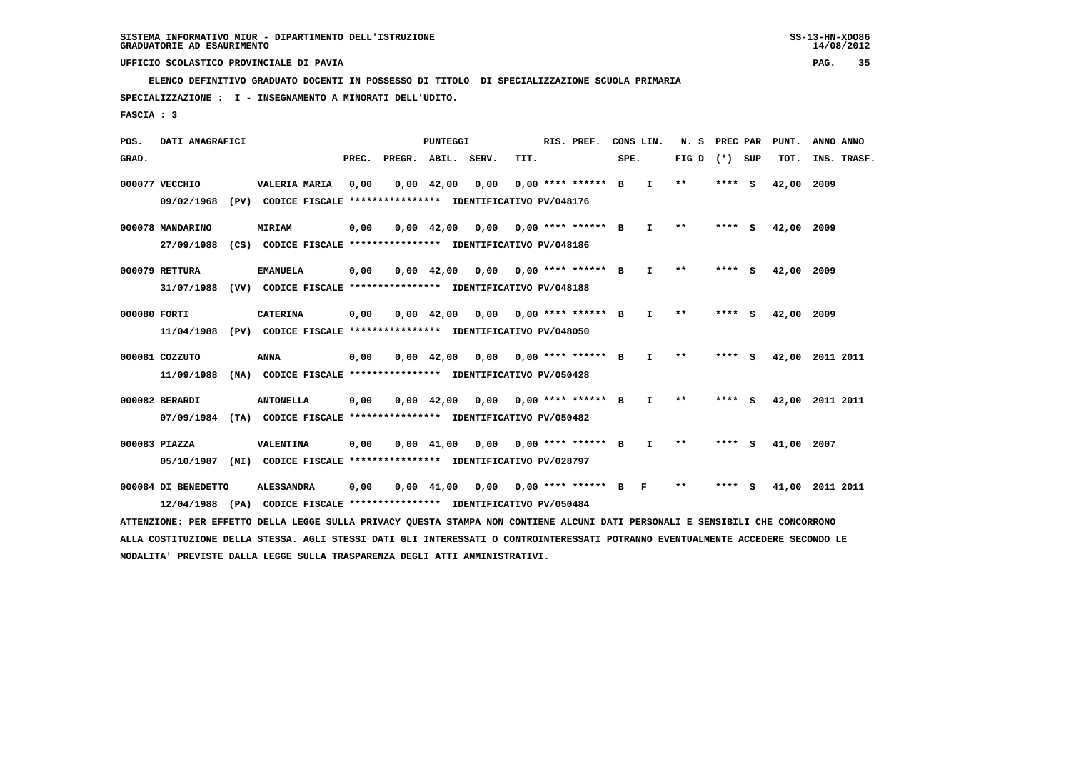**ELENCO DEFINITIVO GRADUATO DOCENTI IN POSSESSO DI TITOLO DI SPECIALIZZAZIONE SCUOLA PRIMARIA**

 **SPECIALIZZAZIONE : I - INSEGNAMENTO A MINORATI DELL'UDITO.**

 **FASCIA : 3**

 **POS. DATI ANAGRAFICI PUNTEGGI RIS. PREF. CONS LIN. N. S PREC PAR PUNT. ANNO ANNO**GRAD. **PREGRADE SERVEGE SERVE SERVE SPEREGE SPEREGALES SPEREGALES SPEREGALES SPEREGALES SPEREGALES SUP TOT. INS. TRASF. 000077 VECCHIO VALERIA MARIA 0,00 0,00 42,00 0,00 0,00 \*\*\*\* \*\*\*\*\*\* B I \*\* \*\*\*\* S 42,00 2009 09/02/1968 (PV) CODICE FISCALE \*\*\*\*\*\*\*\*\*\*\*\*\*\*\*\* IDENTIFICATIVO PV/048176 000078 MANDARINO MIRIAM 0,00 0,00 42,00 0,00 0,00 \*\*\*\* \*\*\*\*\*\* B I \*\* \*\*\*\* S 42,00 2009 27/09/1988 (CS) CODICE FISCALE \*\*\*\*\*\*\*\*\*\*\*\*\*\*\*\* IDENTIFICATIVO PV/048186 000079 RETTURA EMANUELA 0,00 0,00 42,00 0,00 0,00 \*\*\*\* \*\*\*\*\*\* B I \*\* \*\*\*\* S 42,00 2009 31/07/1988 (VV) CODICE FISCALE \*\*\*\*\*\*\*\*\*\*\*\*\*\*\*\* IDENTIFICATIVO PV/048188 000080 FORTI CATERINA 0,00 0,00 42,00 0,00 0,00 \*\*\*\* \*\*\*\*\*\* B I \*\* \*\*\*\* S 42,00 2009 11/04/1988 (PV) CODICE FISCALE \*\*\*\*\*\*\*\*\*\*\*\*\*\*\*\* IDENTIFICATIVO PV/048050 000081 COZZUTO ANNA 0,00 0,00 42,00 0,00 0,00 \*\*\*\* \*\*\*\*\*\* B I \*\* \*\*\*\* S 42,00 2011 2011 11/09/1988 (NA) CODICE FISCALE \*\*\*\*\*\*\*\*\*\*\*\*\*\*\*\* IDENTIFICATIVO PV/050428 000082 BERARDI ANTONELLA 0,00 0,00 42,00 0,00 0,00 \*\*\*\* \*\*\*\*\*\* B I \*\* \*\*\*\* S 42,00 2011 2011 07/09/1984 (TA) CODICE FISCALE \*\*\*\*\*\*\*\*\*\*\*\*\*\*\*\* IDENTIFICATIVO PV/050482 000083 PIAZZA VALENTINA 0,00 0,00 41,00 0,00 0,00 \*\*\*\* \*\*\*\*\*\* B I \*\* \*\*\*\* S 41,00 2007 05/10/1987 (MI) CODICE FISCALE \*\*\*\*\*\*\*\*\*\*\*\*\*\*\*\* IDENTIFICATIVO PV/028797 000084 DI BENEDETTO ALESSANDRA 0,00 0,00 41,00 0,00 0,00 \*\*\*\* \*\*\*\*\*\* B F \*\* \*\*\*\* S 41,00 2011 2011 12/04/1988 (PA) CODICE FISCALE \*\*\*\*\*\*\*\*\*\*\*\*\*\*\*\* IDENTIFICATIVO PV/050484 ATTENZIONE: PER EFFETTO DELLA LEGGE SULLA PRIVACY QUESTA STAMPA NON CONTIENE ALCUNI DATI PERSONALI E SENSIBILI CHE CONCORRONO**

 **ALLA COSTITUZIONE DELLA STESSA. AGLI STESSI DATI GLI INTERESSATI O CONTROINTERESSATI POTRANNO EVENTUALMENTE ACCEDERE SECONDO LE MODALITA' PREVISTE DALLA LEGGE SULLA TRASPARENZA DEGLI ATTI AMMINISTRATIVI.**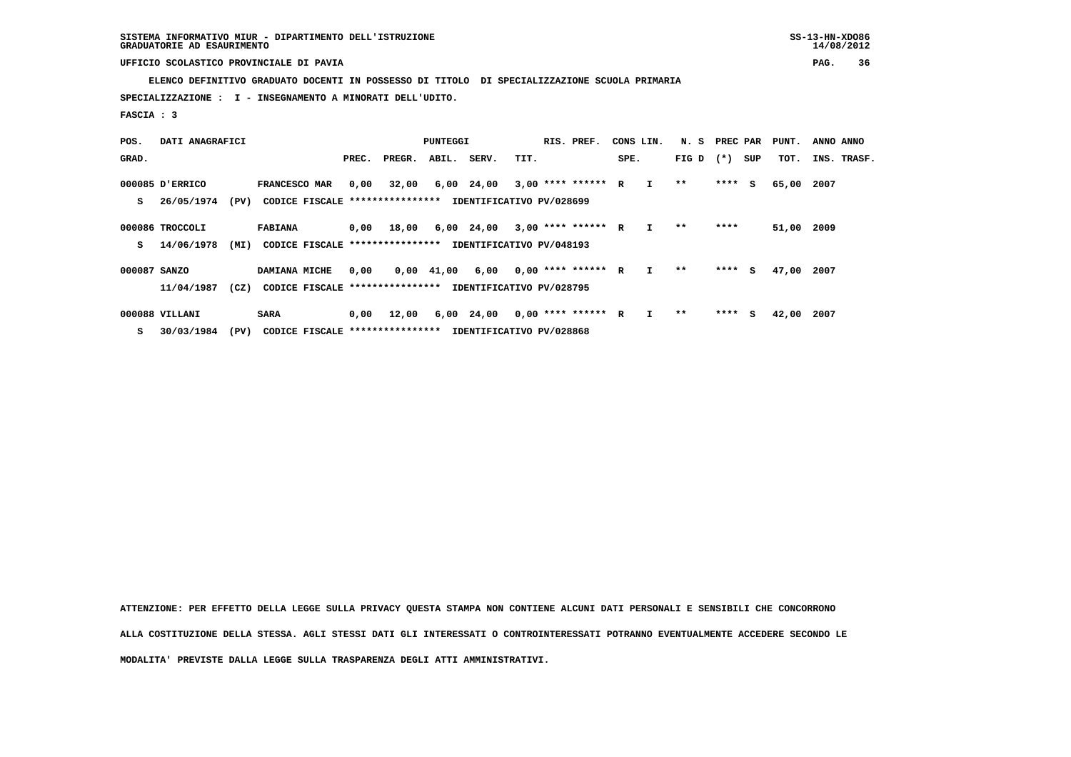**ELENCO DEFINITIVO GRADUATO DOCENTI IN POSSESSO DI TITOLO DI SPECIALIZZAZIONE SCUOLA PRIMARIA**

 **SPECIALIZZAZIONE : I - INSEGNAMENTO A MINORATI DELL'UDITO.**

 **FASCIA : 3**

| POS.         | DATI ANAGRAFICI |      |                                                          | PUNTEGGI |        |                |                          |      | RIS. PREF.           | CONS LIN. |              | N. S PREC PAR |         |     | PUNT. | ANNO ANNO   |
|--------------|-----------------|------|----------------------------------------------------------|----------|--------|----------------|--------------------------|------|----------------------|-----------|--------------|---------------|---------|-----|-------|-------------|
| GRAD.        |                 |      |                                                          | PREC.    | PREGR. | ABIL.          | SERV.                    | TIT. |                      | SPE.      |              | FIG D $(*)$   |         | SUP | тот.  | INS. TRASF. |
|              | 000085 D'ERRICO |      | FRANCESCO MAR                                            | 0,00     | 32,00  |                | 6,00 24,00               |      | $3,00$ **** ****** R |           | I.           | **            | $***$ S |     | 65,00 | 2007        |
| s            | 26/05/1974      | (PV) | CODICE FISCALE **************** IDENTIFICATIVO PV/028699 |          |        |                |                          |      |                      |           |              |               |         |     |       |             |
|              | 000086 TROCCOLI |      | <b>FABIANA</b>                                           | 0,00     | 18,00  |                | 6,00 24,00               |      | $3,00$ **** ****** R |           | $\mathbf{I}$ | $* *$         | ****    |     | 51,00 | 2009        |
| s            | 14/06/1978      | (MI) | CODICE FISCALE ****************                          |          |        |                | IDENTIFICATIVO PV/048193 |      |                      |           |              |               |         |     |       |             |
| 000087 SANZO |                 |      | DAMIANA MICHE                                            | 0,00     |        | $0,00$ $41,00$ | 6,00                     |      | $0.00$ **** ****** R |           | $\mathbf{I}$ | $* *$         | $***$ S |     | 47,00 | 2007        |
|              | 11/04/1987      | (CZ) | CODICE FISCALE **************** IDENTIFICATIVO PV/028795 |          |        |                |                          |      |                      |           |              |               |         |     |       |             |
|              | 000088 VILLANI  |      | <b>SARA</b>                                              | 0,00     | 12,00  |                | 6,00 24,00               |      | $0,00$ **** ****** R |           | I            | $* *$         | $***$ S |     | 42,00 | 2007        |

 **S 30/03/1984 (PV) CODICE FISCALE \*\*\*\*\*\*\*\*\*\*\*\*\*\*\*\* IDENTIFICATIVO PV/028868**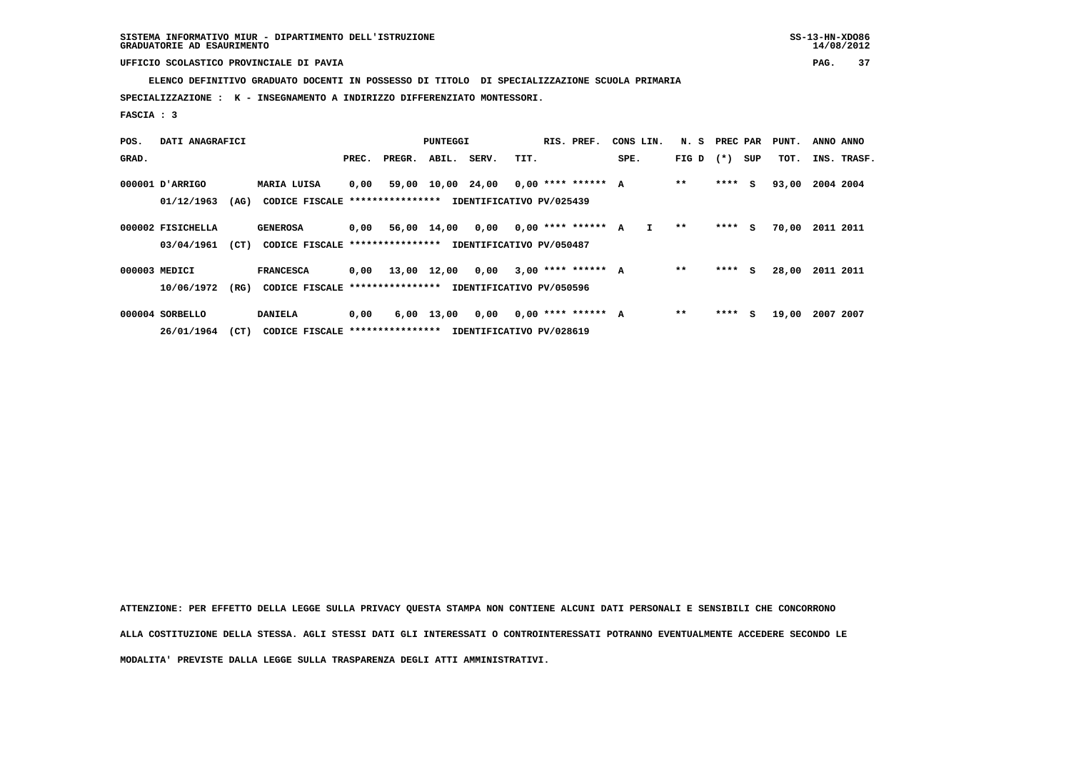**ELENCO DEFINITIVO GRADUATO DOCENTI IN POSSESSO DI TITOLO DI SPECIALIZZAZIONE SCUOLA PRIMARIA**

 **SPECIALIZZAZIONE : K - INSEGNAMENTO A INDIRIZZO DIFFERENZIATO MONTESSORI.**

 **FASCIA : 3**

| POS.  | DATI ANAGRAFICI   |      | PUNTEGGI                         |       |             |                    |                          | RIS. PREF. | CONS LIN.            |      | N. S         | PREC PAR |         | PUNT. | ANNO ANNO |           |             |
|-------|-------------------|------|----------------------------------|-------|-------------|--------------------|--------------------------|------------|----------------------|------|--------------|----------|---------|-------|-----------|-----------|-------------|
| GRAD. |                   |      |                                  | PREC. | PREGR.      | ABIL.              | SERV.                    | TIT.       |                      | SPE. |              | FIG D    | $(*)$   | SUP   | TOT.      |           | INS. TRASF. |
|       | 000001 D'ARRIGO   |      | MARIA LUISA                      | 0,00  | 59,00       | 10,00 24,00        |                          |            | $0,00$ **** ****** A |      |              | $* *$    | $***$ S |       | 93,00     | 2004 2004 |             |
|       | 01/12/1963        | (AG) | CODICE FISCALE ***************** |       |             |                    | IDENTIFICATIVO PV/025439 |            |                      |      |              |          |         |       |           |           |             |
|       | 000002 FISICHELLA |      | <b>GENEROSA</b>                  | 0,00  | 56,00 14,00 |                    | 0,00                     |            | $0.00$ **** ****** A |      | $\mathbf{I}$ | $* *$    | $***$ S |       | 70,00     | 2011 2011 |             |
|       | 03/04/1961        | (CT) | CODICE FISCALE ****************  |       |             |                    | IDENTIFICATIVO PV/050487 |            |                      |      |              |          |         |       |           |           |             |
|       | 000003 MEDICI     |      | <b>FRANCESCA</b>                 | 0,00  | 13,00 12,00 |                    | 0,00                     |            | $3,00$ **** ****** A |      |              | $* *$    | ****    | s.    | 28,00     | 2011 2011 |             |
|       | 10/06/1972        | (RG) | CODICE FISCALE ****************  |       |             |                    | IDENTIFICATIVO PV/050596 |            |                      |      |              |          |         |       |           |           |             |
|       | 000004 SORBELLO   |      | <b>DANIELA</b>                   | 0,00  |             | $6,00 \quad 13,00$ | 0,00                     |            | $0.00$ **** ****** A |      |              | $* *$    | $***$ S |       | 19,00     | 2007 2007 |             |

 **26/01/1964 (CT) CODICE FISCALE \*\*\*\*\*\*\*\*\*\*\*\*\*\*\*\* IDENTIFICATIVO PV/028619**